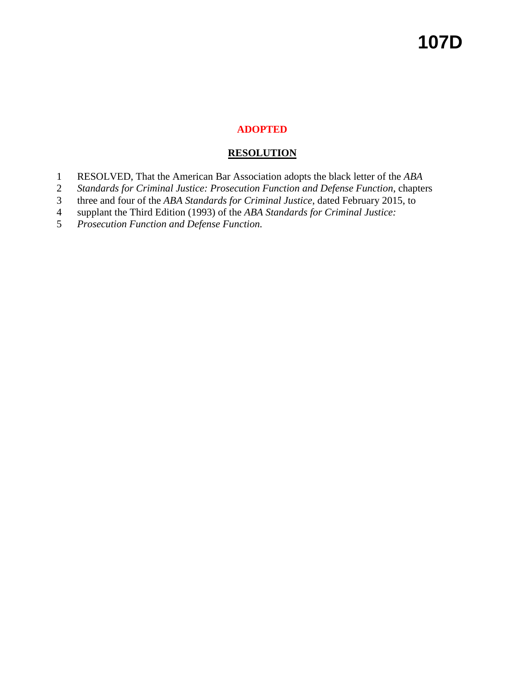#### **ADOPTED**

#### **RESOLUTION**

- RESOLVED, That the American Bar Association adopts the black letter of the *ABA*
- *Standards for Criminal Justice: Prosecution Function and Defense Function*, chapters
- three and four of the *ABA Standards for Criminal Justice*, dated February 2015, to
- supplant the Third Edition (1993) of the *ABA Standards for Criminal Justice:*
- *Prosecution Function and Defense Function.*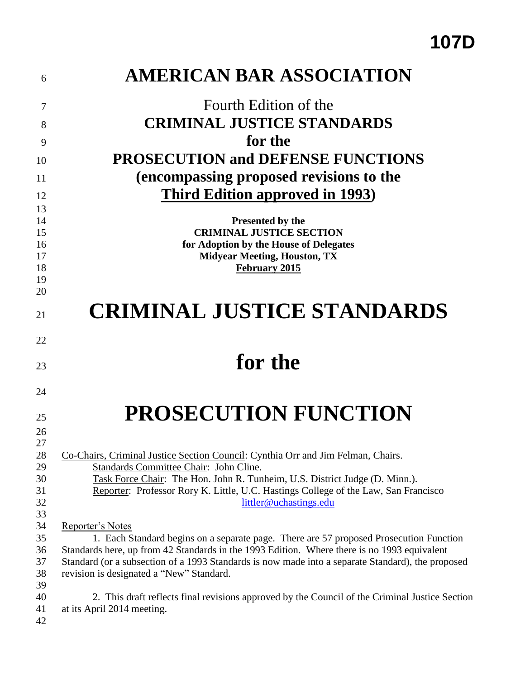### **AMERICAN BAR ASSOCIATION**  Fourth Edition of the **CRIMINAL JUSTICE STANDARDS for the PROSECUTION and DEFENSE FUNCTIONS (encompassing proposed revisions to the Third Edition approved in 1993) Presented by the CRIMINAL JUSTICE SECTION for Adoption by the House of Delegates**

**CRIMINAL JUSTICE STANDARDS**

**Midyear Meeting, Houston, TX**

**February 2015**

### **for the**

# **PROSECUTION FUNCTION**

| 28 | Co-Chairs, Criminal Justice Section Council: Cynthia Orr and Jim Felman, Chairs.                  |
|----|---------------------------------------------------------------------------------------------------|
| 29 | Standards Committee Chair: John Cline.                                                            |
| 30 | Task Force Chair: The Hon. John R. Tunheim, U.S. District Judge (D. Minn.).                       |
| 31 | Reporter: Professor Rory K. Little, U.C. Hastings College of the Law, San Francisco               |
| 32 | littler@uchastings.edu                                                                            |
| 33 |                                                                                                   |
| 34 | Reporter's Notes                                                                                  |
| 35 | 1. Each Standard begins on a separate page. There are 57 proposed Prosecution Function            |
| 36 | Standards here, up from 42 Standards in the 1993 Edition. Where there is no 1993 equivalent       |
| 37 | Standard (or a subsection of a 1993 Standards is now made into a separate Standard), the proposed |
| 38 | revision is designated a "New" Standard.                                                          |
| 39 |                                                                                                   |
| 40 | 2. This draft reflects final revisions approved by the Council of the Criminal Justice Section    |
|    |                                                                                                   |

- at its April 2014 meeting.
-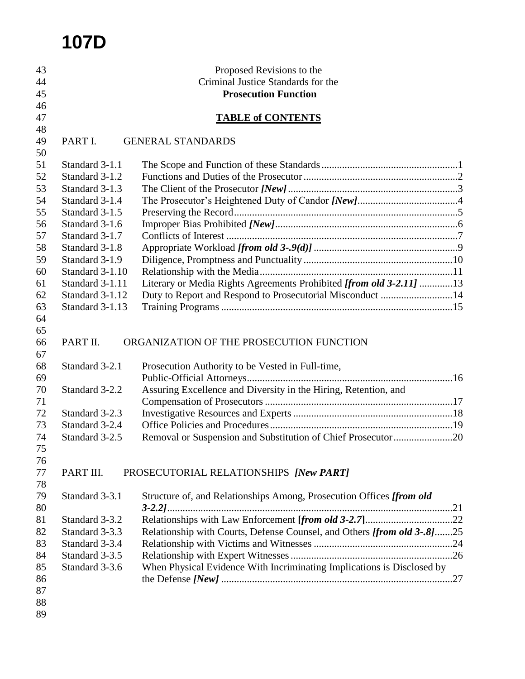| 43<br>44<br>45 |                 | Proposed Revisions to the<br>Criminal Justice Standards for the<br><b>Prosecution Function</b> |
|----------------|-----------------|------------------------------------------------------------------------------------------------|
| 46<br>47       |                 | <b>TABLE of CONTENTS</b>                                                                       |
| 48<br>49<br>50 | PART I.         | <b>GENERAL STANDARDS</b>                                                                       |
| 51             | Standard 3-1.1  |                                                                                                |
| 52             | Standard 3-1.2  |                                                                                                |
| 53             | Standard 3-1.3  |                                                                                                |
| 54             | Standard 3-1.4  |                                                                                                |
| 55             | Standard 3-1.5  |                                                                                                |
| 56             | Standard 3-1.6  |                                                                                                |
| 57             | Standard 3-1.7  |                                                                                                |
| 58             | Standard 3-1.8  |                                                                                                |
| 59             | Standard 3-1.9  |                                                                                                |
| 60             | Standard 3-1.10 |                                                                                                |
| 61             | Standard 3-1.11 | Literary or Media Rights Agreements Prohibited [from old 3-2.11] 13                            |
| 62             | Standard 3-1.12 | Duty to Report and Respond to Prosecutorial Misconduct 14                                      |
| 63             | Standard 3-1.13 |                                                                                                |
| 64             |                 |                                                                                                |
| 65             |                 |                                                                                                |
| 66             | PART II.        | ORGANIZATION OF THE PROSECUTION FUNCTION                                                       |
| 67             |                 |                                                                                                |
| 68             | Standard 3-2.1  | Prosecution Authority to be Vested in Full-time,                                               |
| 69             |                 |                                                                                                |
| 70             | Standard 3-2.2  | Assuring Excellence and Diversity in the Hiring, Retention, and                                |
| 71             |                 |                                                                                                |
| 72             | Standard 3-2.3  |                                                                                                |
| 73             | Standard 3-2.4  |                                                                                                |
| 74             | Standard 3-2.5  | Removal or Suspension and Substitution of Chief Prosecutor20                                   |
| 75             |                 |                                                                                                |
| 76             |                 |                                                                                                |
| 77             | PART III.       | PROSECUTORIAL RELATIONSHIPS [New PART]                                                         |
| 78             |                 |                                                                                                |
| 79             | Standard 3-3.1  | Structure of, and Relationships Among, Prosecution Offices [from old                           |
| 80             |                 |                                                                                                |
| 81             | Standard 3-3.2  |                                                                                                |
| 82             | Standard 3-3.3  | Relationship with Courts, Defense Counsel, and Others [from old 3-.8]25                        |
| 83             | Standard 3-3.4  |                                                                                                |
| 84             | Standard 3-3.5  |                                                                                                |
| 85             | Standard 3-3.6  | When Physical Evidence With Incriminating Implications is Disclosed by                         |
| 86             |                 |                                                                                                |
| 87             |                 |                                                                                                |
| 88             |                 |                                                                                                |
|                |                 |                                                                                                |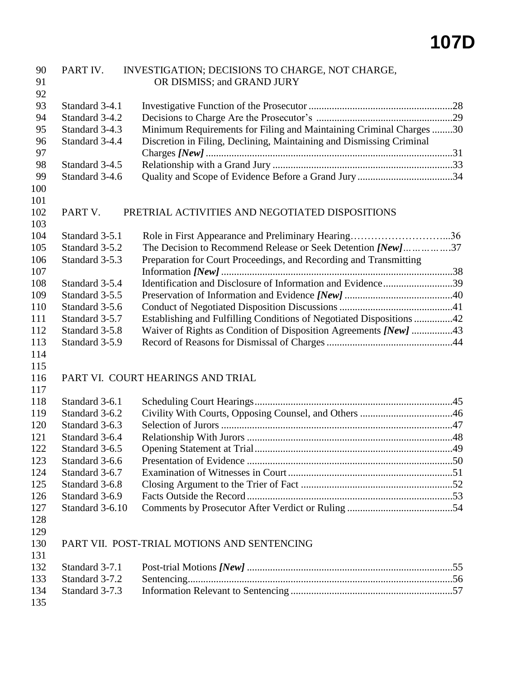| 90  | PART IV.        | INVESTIGATION; DECISIONS TO CHARGE, NOT CHARGE,                      |  |
|-----|-----------------|----------------------------------------------------------------------|--|
| 91  |                 | OR DISMISS; and GRAND JURY                                           |  |
| 92  |                 |                                                                      |  |
| 93  | Standard 3-4.1  |                                                                      |  |
| 94  | Standard 3-4.2  |                                                                      |  |
| 95  | Standard 3-4.3  | Minimum Requirements for Filing and Maintaining Criminal Charges 30  |  |
| 96  | Standard 3-4.4  | Discretion in Filing, Declining, Maintaining and Dismissing Criminal |  |
| 97  |                 |                                                                      |  |
| 98  | Standard 3-4.5  |                                                                      |  |
| 99  | Standard 3-4.6  |                                                                      |  |
| 100 |                 |                                                                      |  |
| 101 |                 |                                                                      |  |
| 102 | PART V.         | PRETRIAL ACTIVITIES AND NEGOTIATED DISPOSITIONS                      |  |
| 103 |                 |                                                                      |  |
| 104 | Standard 3-5.1  | Role in First Appearance and Preliminary Hearing36                   |  |
| 105 | Standard 3-5.2  | The Decision to Recommend Release or Seek Detention [New]37          |  |
| 106 | Standard 3-5.3  | Preparation for Court Proceedings, and Recording and Transmitting    |  |
| 107 |                 |                                                                      |  |
| 108 | Standard 3-5.4  | Identification and Disclosure of Information and Evidence39          |  |
| 109 | Standard 3-5.5  |                                                                      |  |
| 110 | Standard 3-5.6  |                                                                      |  |
| 111 | Standard 3-5.7  | Establishing and Fulfilling Conditions of Negotiated Dispositions 42 |  |
| 112 | Standard 3-5.8  | Waiver of Rights as Condition of Disposition Agreements [New] 43     |  |
| 113 | Standard 3-5.9  |                                                                      |  |
| 114 |                 |                                                                      |  |
| 115 |                 |                                                                      |  |
| 116 |                 | PART VI. COURT HEARINGS AND TRIAL                                    |  |
| 117 |                 |                                                                      |  |
| 118 | Standard 3-6.1  |                                                                      |  |
| 119 | Standard 3-6.2  |                                                                      |  |
| 120 | Standard 3-6.3  |                                                                      |  |
| 121 | Standard 3-6.4  |                                                                      |  |
| 122 | Standard 3-6.5  |                                                                      |  |
| 123 | Standard 3-6.6  |                                                                      |  |
| 124 | Standard 3-6.7  |                                                                      |  |
| 125 | Standard 3-6.8  |                                                                      |  |
| 126 | Standard 3-6.9  |                                                                      |  |
| 127 | Standard 3-6.10 |                                                                      |  |
| 128 |                 |                                                                      |  |
| 129 |                 |                                                                      |  |
| 130 |                 | PART VII. POST-TRIAL MOTIONS AND SENTENCING                          |  |
| 131 |                 |                                                                      |  |
| 132 | Standard 3-7.1  |                                                                      |  |
| 133 | Standard 3-7.2  |                                                                      |  |
| 134 | Standard 3-7.3  |                                                                      |  |
| 135 |                 |                                                                      |  |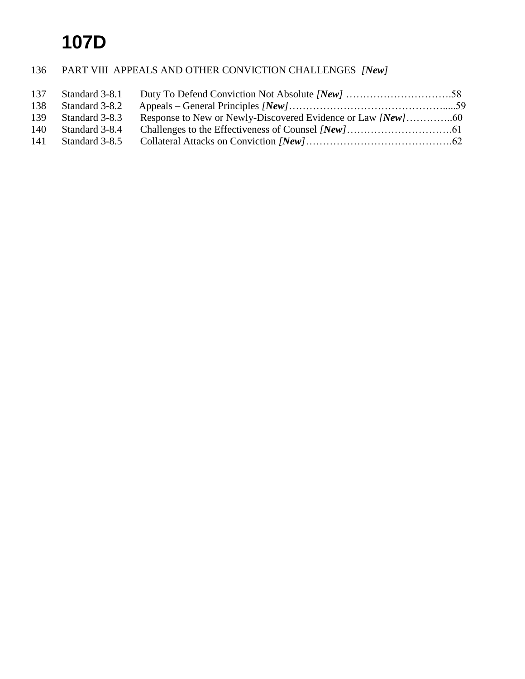### PART VIII APPEALS AND OTHER CONVICTION CHALLENGES *[New]*

| 137 | Standard 3-8.1 |  |
|-----|----------------|--|
| 138 | Standard 3-8.2 |  |
| 139 | Standard 3-8.3 |  |
| 140 | Standard 3-8.4 |  |
| 141 | Standard 3-8.5 |  |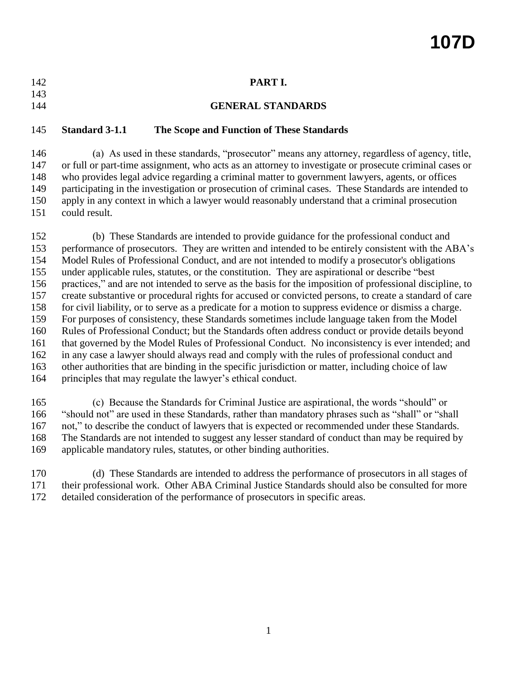| 142 | PART I. |
|-----|---------|
| 143 |         |

#### **GENERAL STANDARDS**

#### **Standard 3-1.1 The Scope and Function of These Standards**

 (a) As used in these standards, "prosecutor" means any attorney, regardless of agency, title, or full or part-time assignment, who acts as an attorney to investigate or prosecute criminal cases or who provides legal advice regarding a criminal matter to government lawyers, agents, or offices participating in the investigation or prosecution of criminal cases. These Standards are intended to apply in any context in which a lawyer would reasonably understand that a criminal prosecution could result.

152 (b) These Standards are intended to provide guidance for the professional conduct and performance of prosecutors. They are written and intended to be entirely consistent with the ABA's Model Rules of Professional Conduct, and are not intended to modify a prosecutor's obligations under applicable rules, statutes, or the constitution. They are aspirational or describe "best practices," and are not intended to serve as the basis for the imposition of professional discipline, to create substantive or procedural rights for accused or convicted persons, to create a standard of care for civil liability, or to serve as a predicate for a motion to suppress evidence or dismiss a charge. For purposes of consistency, these Standards sometimes include language taken from the Model Rules of Professional Conduct; but the Standards often address conduct or provide details beyond that governed by the Model Rules of Professional Conduct. No inconsistency is ever intended; and in any case a lawyer should always read and comply with the rules of professional conduct and other authorities that are binding in the specific jurisdiction or matter, including choice of law principles that may regulate the lawyer's ethical conduct.

 (c) Because the Standards for Criminal Justice are aspirational, the words "should" or "should not" are used in these Standards, rather than mandatory phrases such as "shall" or "shall not," to describe the conduct of lawyers that is expected or recommended under these Standards. The Standards are not intended to suggest any lesser standard of conduct than may be required by applicable mandatory rules, statutes, or other binding authorities.

 (d) These Standards are intended to address the performance of prosecutors in all stages of their professional work. Other ABA Criminal Justice Standards should also be consulted for more detailed consideration of the performance of prosecutors in specific areas.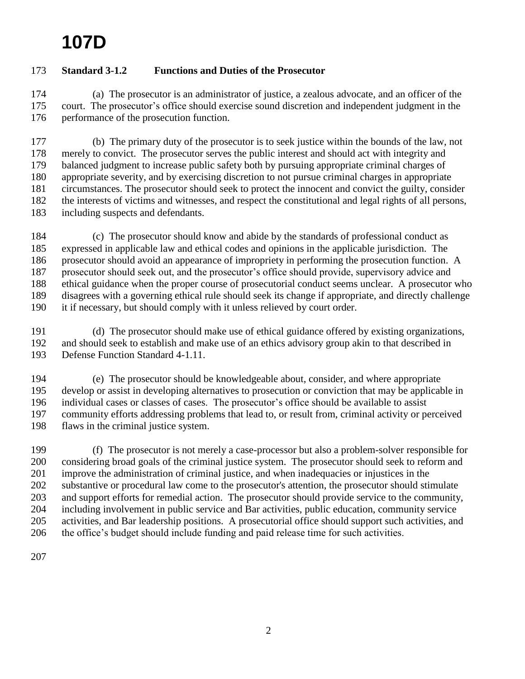### **Standard 3-1.2 Functions and Duties of the Prosecutor**

 (a) The prosecutor is an administrator of justice, a zealous advocate, and an officer of the court. The prosecutor's office should exercise sound discretion and independent judgment in the performance of the prosecution function.

 (b) The primary duty of the prosecutor is to seek justice within the bounds of the law, not merely to convict. The prosecutor serves the public interest and should act with integrity and balanced judgment to increase public safety both by pursuing appropriate criminal charges of appropriate severity, and by exercising discretion to not pursue criminal charges in appropriate circumstances. The prosecutor should seek to protect the innocent and convict the guilty, consider the interests of victims and witnesses, and respect the constitutional and legal rights of all persons, including suspects and defendants.

 (c) The prosecutor should know and abide by the standards of professional conduct as expressed in applicable law and ethical codes and opinions in the applicable jurisdiction. The prosecutor should avoid an appearance of impropriety in performing the prosecution function.A prosecutor should seek out, and the prosecutor's office should provide, supervisory advice and ethical guidance when the proper course of prosecutorial conduct seems unclear. A prosecutor who disagrees with a governing ethical rule should seek its change if appropriate, and directly challenge it if necessary, but should comply with it unless relieved by court order.

- (d) The prosecutor should make use of ethical guidance offered by existing organizations, and should seek to establish and make use of an ethics advisory group akin to that described in Defense Function Standard 4-1.11.
- (e) The prosecutor should be knowledgeable about, consider, and where appropriate develop or assist in developing alternatives to prosecution or conviction that may be applicable in individual cases or classes of cases. The prosecutor's office should be available to assist community efforts addressing problems that lead to, or result from, criminal activity or perceived flaws in the criminal justice system.

 (f) The prosecutor is not merely a case-processor but also a problem-solver responsible for considering broad goals of the criminal justice system. The prosecutor should seek to reform and improve the administration of criminal justice, and when inadequacies or injustices in the substantive or procedural law come to the prosecutor's attention, the prosecutor should stimulate and support efforts for remedial action. The prosecutor should provide service to the community, including involvement in public service and Bar activities, public education, community service activities, and Bar leadership positions. A prosecutorial office should support such activities, and the office's budget should include funding and paid release time for such activities.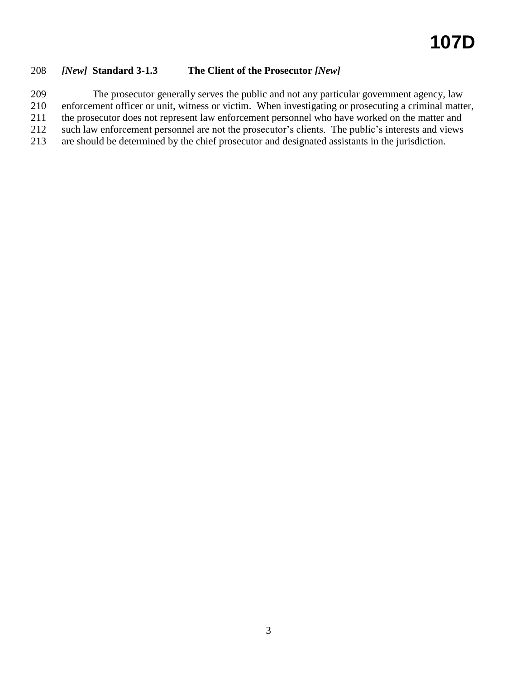#### *[New]* **Standard 3-1.3 The Client of the Prosecutor** *[New]*

The prosecutor generally serves the public and not any particular government agency, law

enforcement officer or unit, witness or victim. When investigating or prosecuting a criminal matter,

the prosecutor does not represent law enforcement personnel who have worked on the matter and

such law enforcement personnel are not the prosecutor's clients. The public's interests and views

are should be determined by the chief prosecutor and designated assistants in the jurisdiction.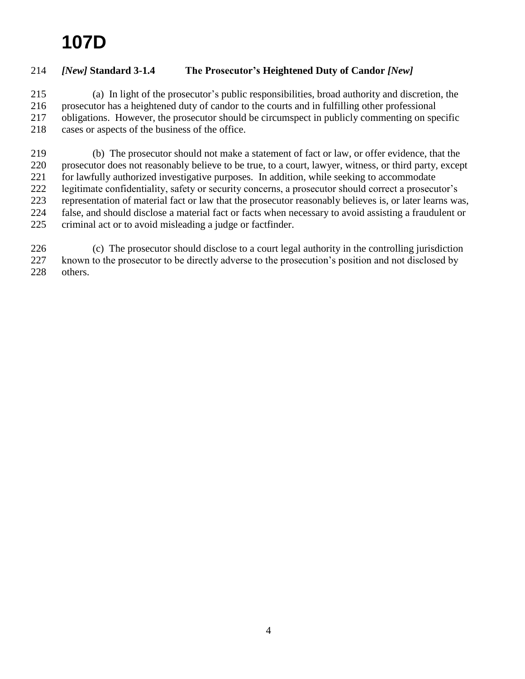### *[New]* **Standard 3-1.4 The Prosecutor's Heightened Duty of Candor** *[New]*

 (a) In light of the prosecutor's public responsibilities, broad authority and discretion, the prosecutor has a heightened duty of candor to the courts and in fulfilling other professional obligations. However, the prosecutor should be circumspect in publicly commenting on specific cases or aspects of the business of the office.

 (b) The prosecutor should not make a statement of fact or law, or offer evidence, that the prosecutor does not reasonably believe to be true, to a court, lawyer, witness, or third party, except for lawfully authorized investigative purposes. In addition, while seeking to accommodate legitimate confidentiality, safety or security concerns, a prosecutor should correct a prosecutor's representation of material fact or law that the prosecutor reasonably believes is, or later learns was, false, and should disclose a material fact or facts when necessary to avoid assisting a fraudulent or criminal act or to avoid misleading a judge or factfinder.

 (c) The prosecutor should disclose to a court legal authority in the controlling jurisdiction known to the prosecutor to be directly adverse to the prosecution's position and not disclosed by others.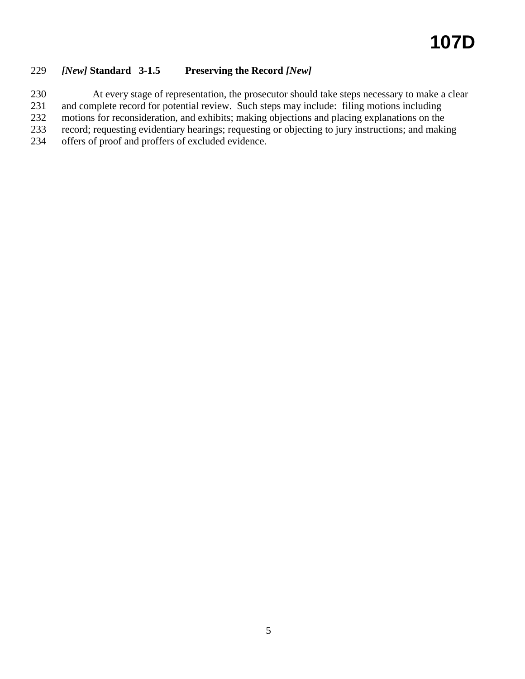#### *[New]* **Standard 3-1.5 Preserving the Record** *[New]*

At every stage of representation, the prosecutor should take steps necessary to make a clear

 and complete record for potential review. Such steps may include: filing motions including motions for reconsideration, and exhibits; making objections and placing explanations on the

record; requesting evidentiary hearings; requesting or objecting to jury instructions; and making

offers of proof and proffers of excluded evidence.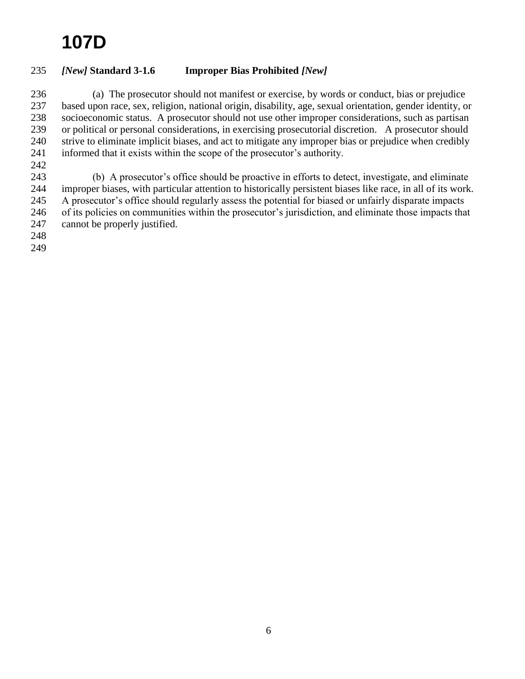### *[New]* **Standard 3-1.6 Improper Bias Prohibited** *[New]*

 (a) The prosecutor should not manifest or exercise, by words or conduct, bias or prejudice based upon race, sex, religion, national origin, disability, age, sexual orientation, gender identity, or socioeconomic status. A prosecutor should not use other improper considerations, such as partisan or political or personal considerations, in exercising prosecutorial discretion. A prosecutor should strive to eliminate implicit biases, and act to mitigate any improper bias or prejudice when credibly informed that it exists within the scope of the prosecutor's authority.

 (b) A prosecutor's office should be proactive in efforts to detect, investigate, and eliminate improper biases, with particular attention to historically persistent biases like race, in all of its work. A prosecutor's office should regularly assess the potential for biased or unfairly disparate impacts of its policies on communities within the prosecutor's jurisdiction, and eliminate those impacts that cannot be properly justified.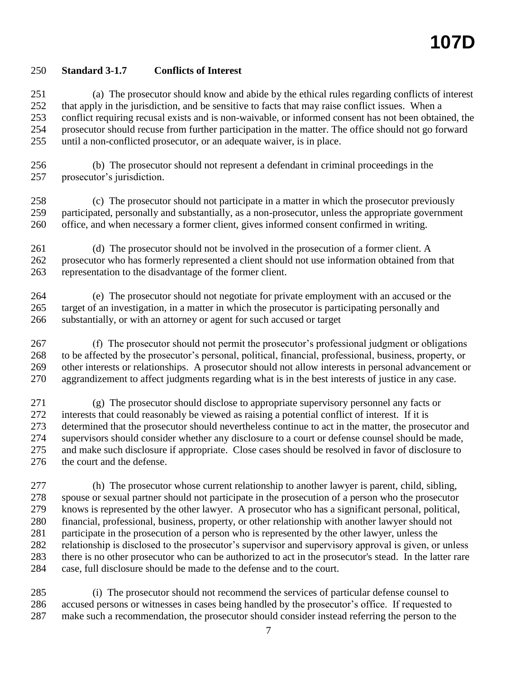### **Standard 3-1.7 Conflicts of Interest**

 (a) The prosecutor should know and abide by the ethical rules regarding conflicts of interest that apply in the jurisdiction, and be sensitive to facts that may raise conflict issues. When a conflict requiring recusal exists and is non-waivable, or informed consent has not been obtained, the prosecutor should recuse from further participation in the matter. The office should not go forward until a non-conflicted prosecutor, or an adequate waiver, is in place.

 (b) The prosecutor should not represent a defendant in criminal proceedings in the prosecutor's jurisdiction.

 (c) The prosecutor should not participate in a matter in which the prosecutor previously participated, personally and substantially, as a non-prosecutor, unless the appropriate government office, and when necessary a former client, gives informed consent confirmed in writing.

 (d) The prosecutor should not be involved in the prosecution of a former client. A prosecutor who has formerly represented a client should not use information obtained from that representation to the disadvantage of the former client.

 (e) The prosecutor should not negotiate for private employment with an accused or the target of an investigation, in a matter in which the prosecutor is participating personally and substantially, or with an attorney or agent for such accused or target

 (f) The prosecutor should not permit the prosecutor's professional judgment or obligations to be affected by the prosecutor's personal, political, financial, professional, business, property, or other interests or relationships. A prosecutor should not allow interests in personal advancement or aggrandizement to affect judgments regarding what is in the best interests of justice in any case.

 (g) The prosecutor should disclose to appropriate supervisory personnel any facts or interests that could reasonably be viewed as raising a potential conflict of interest. If it is determined that the prosecutor should nevertheless continue to act in the matter, the prosecutor and supervisors should consider whether any disclosure to a court or defense counsel should be made, and make such disclosure if appropriate. Close cases should be resolved in favor of disclosure to the court and the defense.

 (h) The prosecutor whose current relationship to another lawyer is parent, child, sibling, spouse or sexual partner should not participate in the prosecution of a person who the prosecutor knows is represented by the other lawyer. A prosecutor who has a significant personal, political, financial, professional, business, property, or other relationship with another lawyer should not participate in the prosecution of a person who is represented by the other lawyer, unless the relationship is disclosed to the prosecutor's supervisor and supervisory approval is given, or unless there is no other prosecutor who can be authorized to act in the prosecutor's stead. In the latter rare case, full disclosure should be made to the defense and to the court.

 (i) The prosecutor should not recommend the services of particular defense counsel to accused persons or witnesses in cases being handled by the prosecutor's office. If requested to make such a recommendation, the prosecutor should consider instead referring the person to the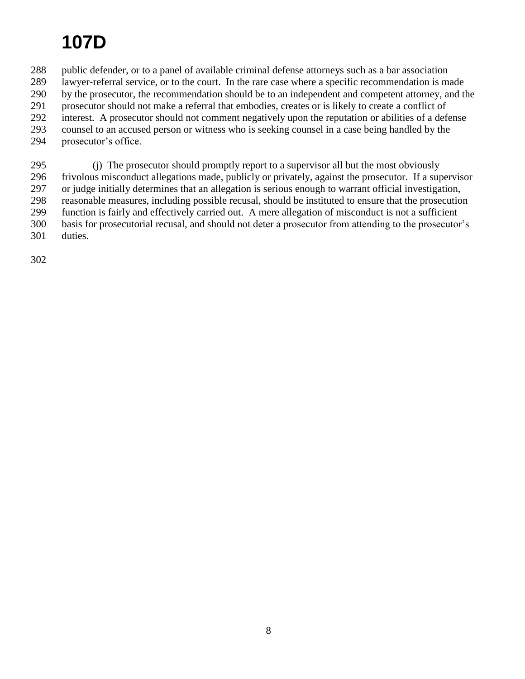public defender, or to a panel of available criminal defense attorneys such as a bar association

lawyer-referral service, or to the court. In the rare case where a specific recommendation is made

by the prosecutor, the recommendation should be to an independent and competent attorney, and the

 prosecutor should not make a referral that embodies, creates or is likely to create a conflict of interest. A prosecutor should not comment negatively upon the reputation or abilities of a defense

counsel to an accused person or witness who is seeking counsel in a case being handled by the

- 
- prosecutor's office.

 (j) The prosecutor should promptly report to a supervisor all but the most obviously frivolous misconduct allegations made, publicly or privately, against the prosecutor. If a supervisor or judge initially determines that an allegation is serious enough to warrant official investigation, reasonable measures, including possible recusal, should be instituted to ensure that the prosecution function is fairly and effectively carried out. A mere allegation of misconduct is not a sufficient basis for prosecutorial recusal, and should not deter a prosecutor from attending to the prosecutor's duties.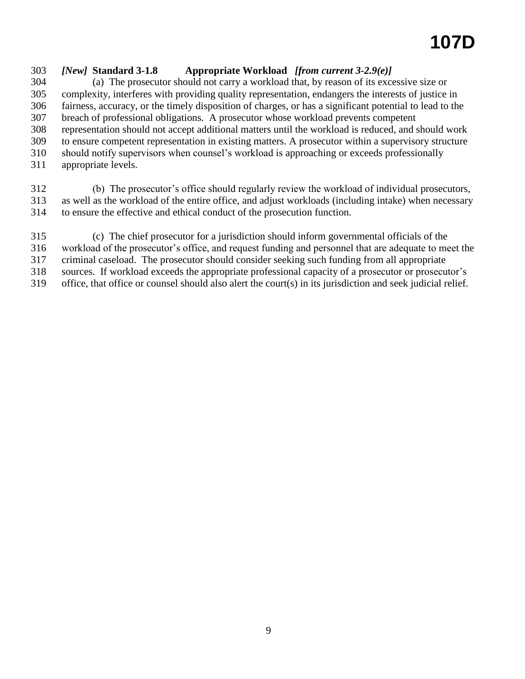#### *[New]* **Standard 3-1.8 Appropriate Workload** *[from current 3-2.9(e)]*

 (a) The prosecutor should not carry a workload that, by reason of its excessive size or complexity, interferes with providing quality representation, endangers the interests of justice in fairness, accuracy, or the timely disposition of charges, or has a significant potential to lead to the breach of professional obligations. A prosecutor whose workload prevents competent representation should not accept additional matters until the workload is reduced, and should work to ensure competent representation in existing matters. A prosecutor within a supervisory structure should notify supervisors when counsel's workload is approaching or exceeds professionally appropriate levels.

- (b) The prosecutor's office should regularly review the workload of individual prosecutors, as well as the workload of the entire office, and adjust workloads (including intake) when necessary to ensure the effective and ethical conduct of the prosecution function.
- (c) The chief prosecutor for a jurisdiction should inform governmental officials of the
- workload of the prosecutor's office, and request funding and personnel that are adequate to meet the

criminal caseload. The prosecutor should consider seeking such funding from all appropriate

sources. If workload exceeds the appropriate professional capacity of a prosecutor or prosecutor's

office, that office or counsel should also alert the court(s) in its jurisdiction and seek judicial relief.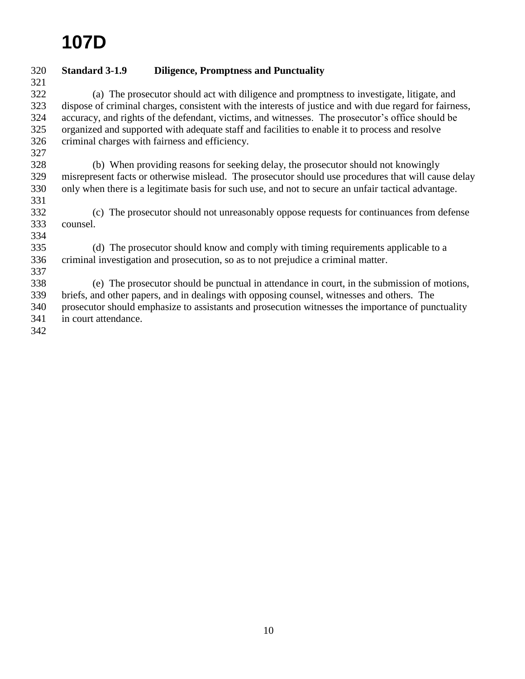| 320 | <b>Standard 3-1.9</b> | <b>Diligence, Promptness and Punctuality</b>                                                            |
|-----|-----------------------|---------------------------------------------------------------------------------------------------------|
| 321 |                       |                                                                                                         |
| 322 |                       | (a) The prosecutor should act with diligence and promptness to investigate, litigate, and               |
| 323 |                       | dispose of criminal charges, consistent with the interests of justice and with due regard for fairness, |
| 324 |                       | accuracy, and rights of the defendant, victims, and witnesses. The prosecutor's office should be        |
| 325 |                       | organized and supported with adequate staff and facilities to enable it to process and resolve          |
| 326 |                       | criminal charges with fairness and efficiency.                                                          |
| 327 |                       |                                                                                                         |
| 328 |                       | (b) When providing reasons for seeking delay, the prosecutor should not knowingly                       |
| 329 |                       | misrepresent facts or otherwise mislead. The prosecutor should use procedures that will cause delay     |
| 330 |                       | only when there is a legitimate basis for such use, and not to secure an unfair tactical advantage.     |
| 331 |                       |                                                                                                         |
| 332 |                       | (c) The prosecutor should not unreasonably oppose requests for continuances from defense                |
| 333 | counsel.              |                                                                                                         |
| 334 |                       |                                                                                                         |
| 335 |                       | (d) The prosecutor should know and comply with timing requirements applicable to a                      |
| 336 |                       | criminal investigation and prosecution, so as to not prejudice a criminal matter.                       |
| 337 |                       |                                                                                                         |
| 338 |                       | (e) The prosecutor should be punctual in attendance in court, in the submission of motions,             |
| 339 |                       | briefs, and other papers, and in dealings with opposing counsel, witnesses and others. The              |
| 340 |                       | prosecutor should emphasize to assistants and prosecution witnesses the importance of punctuality       |
| 341 | in court attendance.  |                                                                                                         |
| 342 |                       |                                                                                                         |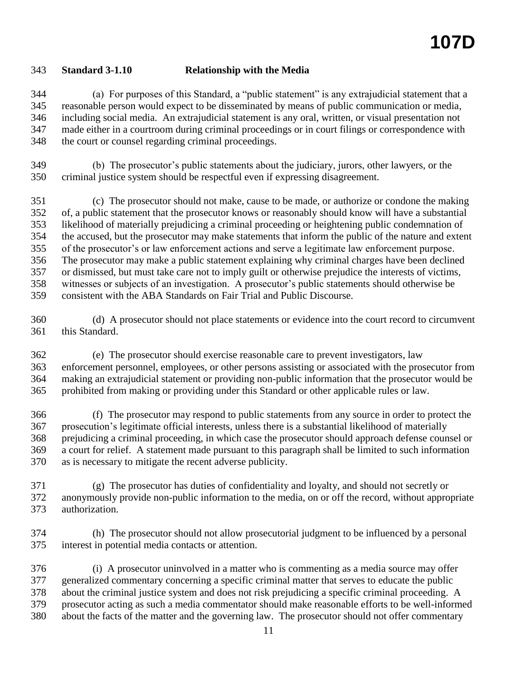#### **Standard 3-1.10 Relationship with the Media**

 (a) For purposes of this Standard, a "public statement" is any extrajudicial statement that a reasonable person would expect to be disseminated by means of public communication or media, including social media. An extrajudicial statement is any oral, written, or visual presentation not made either in a courtroom during criminal proceedings or in court filings or correspondence with the court or counsel regarding criminal proceedings.

 (b) The prosecutor's public statements about the judiciary, jurors, other lawyers, or the criminal justice system should be respectful even if expressing disagreement.

 (c) The prosecutor should not make, cause to be made, or authorize or condone the making of, a public statement that the prosecutor knows or reasonably should know will have a substantial likelihood of materially prejudicing a criminal proceeding or heightening public condemnation of the accused, but the prosecutor may make statements that inform the public of the nature and extent of the prosecutor's or law enforcement actions and serve a legitimate law enforcement purpose. The prosecutor may make a public statement explaining why criminal charges have been declined or dismissed, but must take care not to imply guilt or otherwise prejudice the interests of victims, witnesses or subjects of an investigation. A prosecutor's public statements should otherwise be consistent with the ABA Standards on Fair Trial and Public Discourse.

- (d) A prosecutor should not place statements or evidence into the court record to circumvent this Standard.
- (e) The prosecutor should exercise reasonable care to prevent investigators, law enforcement personnel, employees, or other persons assisting or associated with the prosecutor from making an extrajudicial statement or providing non-public information that the prosecutor would be prohibited from making or providing under this Standard or other applicable rules or law.
- (f) The prosecutor may respond to public statements from any source in order to protect the prosecution's legitimate official interests, unless there is a substantial likelihood of materially prejudicing a criminal proceeding, in which case the prosecutor should approach defense counsel or a court for relief. A statement made pursuant to this paragraph shall be limited to such information as is necessary to mitigate the recent adverse publicity.
- (g) The prosecutor has duties of confidentiality and loyalty, and should not secretly or anonymously provide non-public information to the media, on or off the record, without appropriate authorization.
- (h) The prosecutor should not allow prosecutorial judgment to be influenced by a personal interest in potential media contacts or attention.
- (i) A prosecutor uninvolved in a matter who is commenting as a media source may offer generalized commentary concerning a specific criminal matter that serves to educate the public about the criminal justice system and does not risk prejudicing a specific criminal proceeding. A prosecutor acting as such a media commentator should make reasonable efforts to be well-informed about the facts of the matter and the governing law. The prosecutor should not offer commentary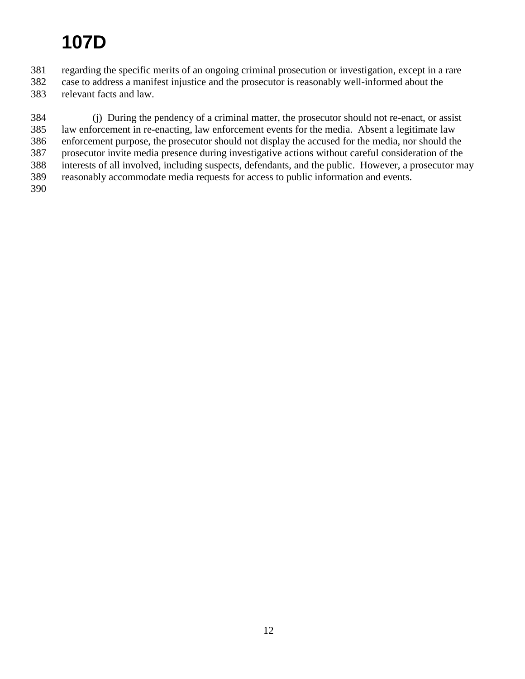- regarding the specific merits of an ongoing criminal prosecution or investigation, except in a rare
- case to address a manifest injustice and the prosecutor is reasonably well-informed about the
- relevant facts and law.

 (j) During the pendency of a criminal matter, the prosecutor should not re-enact, or assist law enforcement in re-enacting, law enforcement events for the media. Absent a legitimate law enforcement purpose, the prosecutor should not display the accused for the media, nor should the prosecutor invite media presence during investigative actions without careful consideration of the interests of all involved, including suspects, defendants, and the public. However, a prosecutor may reasonably accommodate media requests for access to public information and events.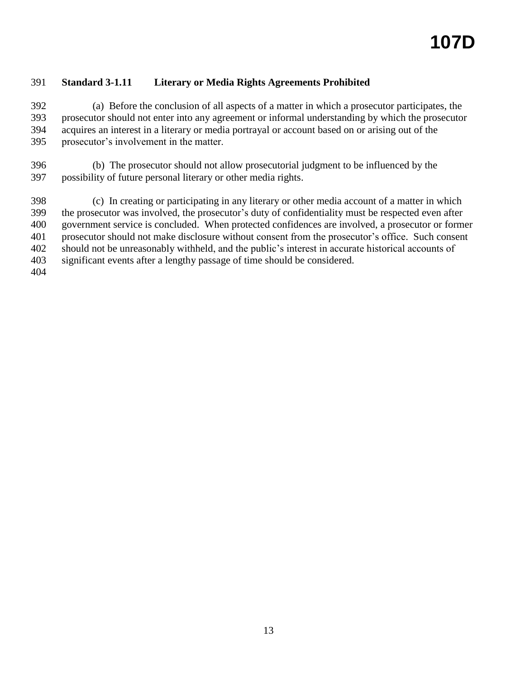#### **Standard 3-1.11 Literary or Media Rights Agreements Prohibited**

 (a) Before the conclusion of all aspects of a matter in which a prosecutor participates, the prosecutor should not enter into any agreement or informal understanding by which the prosecutor acquires an interest in a literary or media portrayal or account based on or arising out of the prosecutor's involvement in the matter.

- (b) The prosecutor should not allow prosecutorial judgment to be influenced by the possibility of future personal literary or other media rights.
- 398 (c) In creating or participating in any literary or other media account of a matter in which<br>399 the prosecutor was involved, the prosecutor's duty of confidentiality must be respected even after the prosecutor was involved, the prosecutor's duty of confidentiality must be respected even after government service is concluded. When protected confidences are involved, a prosecutor or former prosecutor should not make disclosure without consent from the prosecutor's office. Such consent should not be unreasonably withheld, and the public's interest in accurate historical accounts of significant events after a lengthy passage of time should be considered.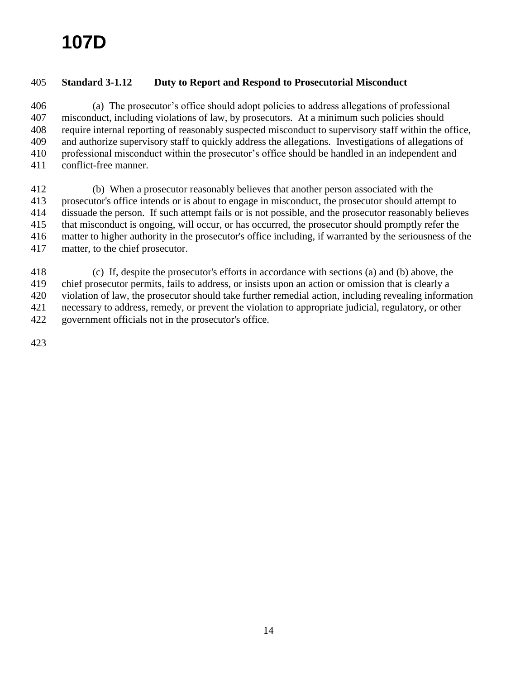#### **Standard 3-1.12 Duty to Report and Respond to Prosecutorial Misconduct**

 (a) The prosecutor's office should adopt policies to address allegations of professional misconduct, including violations of law, by prosecutors. At a minimum such policies should require internal reporting of reasonably suspected misconduct to supervisory staff within the office, and authorize supervisory staff to quickly address the allegations. Investigations of allegations of professional misconduct within the prosecutor's office should be handled in an independent and conflict-free manner.

 (b) When a prosecutor reasonably believes that another person associated with the prosecutor's office intends or is about to engage in misconduct, the prosecutor should attempt to dissuade the person. If such attempt fails or is not possible, and the prosecutor reasonably believes that misconduct is ongoing, will occur, or has occurred, the prosecutor should promptly refer the matter to higher authority in the prosecutor's office including, if warranted by the seriousness of the matter, to the chief prosecutor.

 (c) If, despite the prosecutor's efforts in accordance with sections (a) and (b) above, the chief prosecutor permits, fails to address, or insists upon an action or omission that is clearly a violation of law, the prosecutor should take further remedial action, including revealing information necessary to address, remedy, or prevent the violation to appropriate judicial, regulatory, or other government officials not in the prosecutor's office.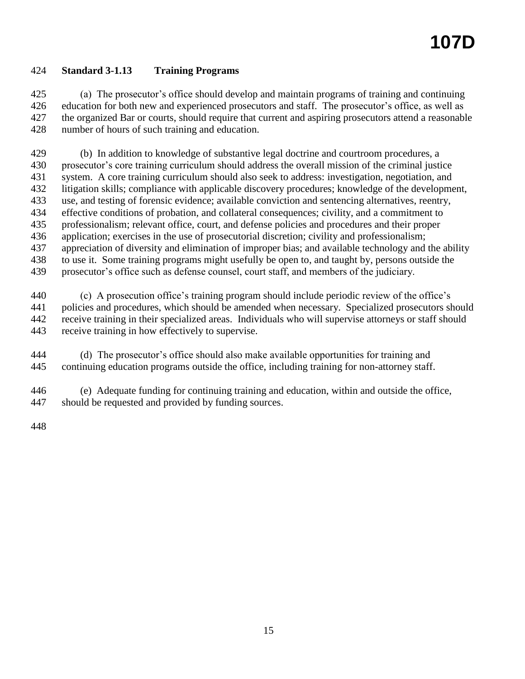#### **Standard 3-1.13 Training Programs**

 (a) The prosecutor's office should develop and maintain programs of training and continuing education for both new and experienced prosecutors and staff. The prosecutor's office, as well as the organized Bar or courts, should require that current and aspiring prosecutors attend a reasonable number of hours of such training and education.

 (b) In addition to knowledge of substantive legal doctrine and courtroom procedures, a prosecutor's core training curriculum should address the overall mission of the criminal justice system. A core training curriculum should also seek to address: investigation, negotiation, and litigation skills; compliance with applicable discovery procedures; knowledge of the development, use, and testing of forensic evidence; available conviction and sentencing alternatives, reentry, effective conditions of probation, and collateral consequences; civility, and a commitment to professionalism; relevant office, court, and defense policies and procedures and their proper application; exercises in the use of prosecutorial discretion; civility and professionalism; appreciation of diversity and elimination of improper bias; and available technology and the ability to use it. Some training programs might usefully be open to, and taught by, persons outside the prosecutor's office such as defense counsel, court staff, and members of the judiciary.

 (c) A prosecution office's training program should include periodic review of the office's policies and procedures, which should be amended when necessary. Specialized prosecutors should receive training in their specialized areas. Individuals who will supervise attorneys or staff should receive training in how effectively to supervise.

 (d) The prosecutor's office should also make available opportunities for training and continuing education programs outside the office, including training for non-attorney staff.

 (e) Adequate funding for continuing training and education, within and outside the office, should be requested and provided by funding sources.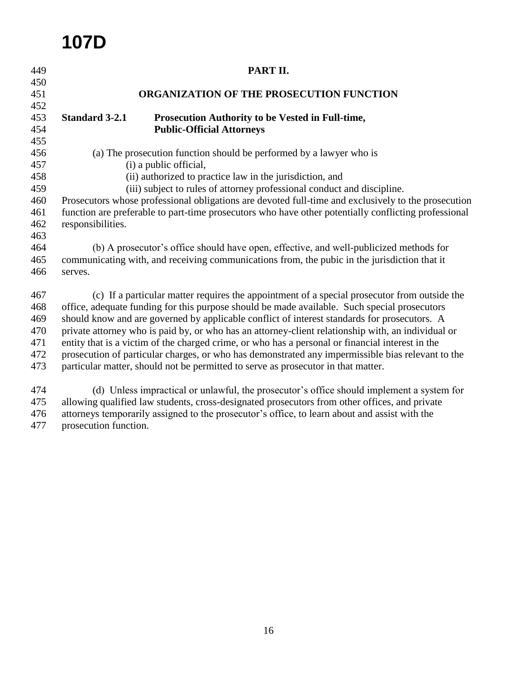| 449 | PART II.                                                                                             |
|-----|------------------------------------------------------------------------------------------------------|
| 450 |                                                                                                      |
| 451 | <b>ORGANIZATION OF THE PROSECUTION FUNCTION</b>                                                      |
| 452 |                                                                                                      |
| 453 | <b>Standard 3-2.1</b><br>Prosecution Authority to be Vested in Full-time,                            |
| 454 | <b>Public-Official Attorneys</b>                                                                     |
| 455 |                                                                                                      |
| 456 | (a) The prosecution function should be performed by a lawyer who is                                  |
| 457 | (i) a public official,                                                                               |
| 458 | (ii) authorized to practice law in the jurisdiction, and                                             |
| 459 | (iii) subject to rules of attorney professional conduct and discipline.                              |
| 460 | Prosecutors whose professional obligations are devoted full-time and exclusively to the prosecution  |
| 461 | function are preferable to part-time prosecutors who have other potentially conflicting professional |
| 462 | responsibilities.                                                                                    |
| 463 |                                                                                                      |
| 464 | (b) A prosecutor's office should have open, effective, and well-publicized methods for               |
| 465 | communicating with, and receiving communications from, the pubic in the jurisdiction that it         |
| 466 | serves.                                                                                              |
| 467 | (c) If a particular matter requires the appointment of a special prosecutor from outside the         |
| 468 | office, adequate funding for this purpose should be made available. Such special prosecutors         |
| 469 | should know and are governed by applicable conflict of interest standards for prosecutors. A         |
| 470 | private attorney who is paid by, or who has an attorney-client relationship with, an individual or   |
| 471 | entity that is a victim of the charged crime, or who has a personal or financial interest in the     |
| 472 | prosecution of particular charges, or who has demonstrated any impermissible bias relevant to the    |
| 473 | particular matter, should not be permitted to serve as prosecutor in that matter.                    |
| 474 | (d) Unless impractical or unlawful, the prosecutor's office should implement a system for            |
| 175 | ellowing qualified lew students, gross designated prosecutors from other offices, and private        |

 allowing qualified law students, cross-designated prosecutors from other offices, and private 476 attorneys temporarily assigned to the prosecutor's office, to learn about and assist with the prosecution function. prosecution function.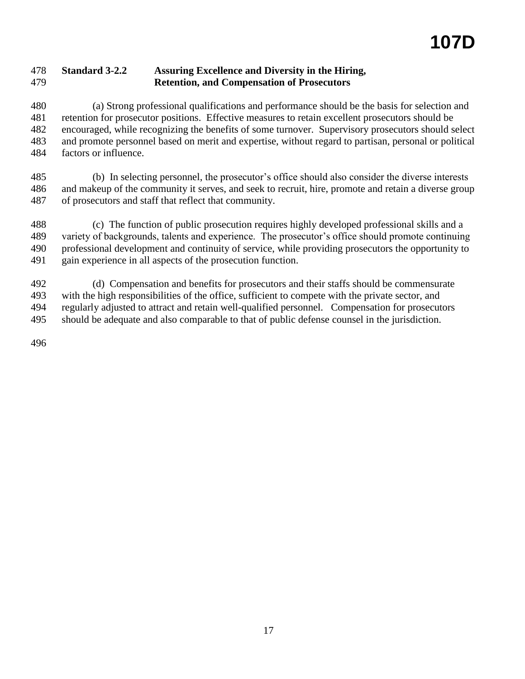#### **Standard 3-2.2 Assuring Excellence and Diversity in the Hiring, Retention, and Compensation of Prosecutors**

 (a) Strong professional qualifications and performance should be the basis for selection and retention for prosecutor positions. Effective measures to retain excellent prosecutors should be encouraged, while recognizing the benefits of some turnover. Supervisory prosecutors should select and promote personnel based on merit and expertise, without regard to partisan, personal or political factors or influence.

 (b) In selecting personnel, the prosecutor's office should also consider the diverse interests and makeup of the community it serves, and seek to recruit, hire, promote and retain a diverse group of prosecutors and staff that reflect that community.

 (c) The function of public prosecution requires highly developed professional skills and a variety of backgrounds, talents and experience. The prosecutor's office should promote continuing professional development and continuity of service, while providing prosecutors the opportunity to gain experience in all aspects of the prosecution function.

 (d) Compensation and benefits for prosecutors and their staffs should be commensurate with the high responsibilities of the office, sufficient to compete with the private sector, and regularly adjusted to attract and retain well-qualified personnel. Compensation for prosecutors should be adequate and also comparable to that of public defense counsel in the jurisdiction.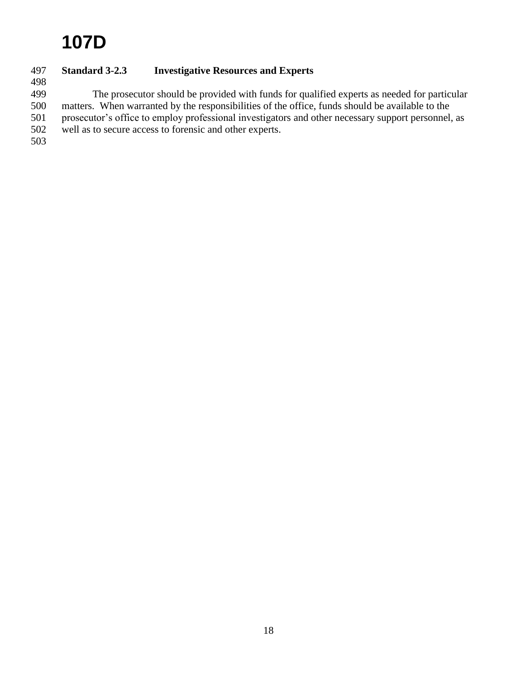#### **Standard 3-2.3 Investigative Resources and Experts**

 The prosecutor should be provided with funds for qualified experts as needed for particular matters. When warranted by the responsibilities of the office, funds should be available to the 501 prosecutor's office to employ professional investigators and other necessary support personnel, as well as to secure access to forensic and other experts. well as to secure access to forensic and other experts.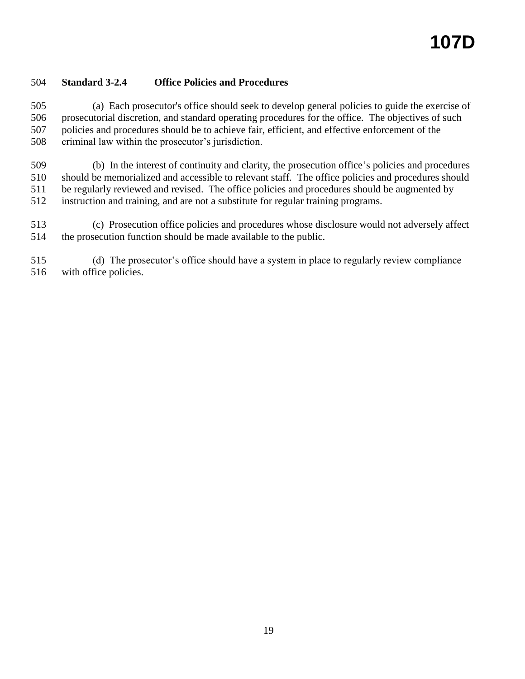#### **Standard 3-2.4 Office Policies and Procedures**

 (a) Each prosecutor's office should seek to develop general policies to guide the exercise of prosecutorial discretion, and standard operating procedures for the office. The objectives of such policies and procedures should be to achieve fair, efficient, and effective enforcement of the criminal law within the prosecutor's jurisdiction.

 (b) In the interest of continuity and clarity, the prosecution office's policies and procedures should be memorialized and accessible to relevant staff. The office policies and procedures should be regularly reviewed and revised. The office policies and procedures should be augmented by instruction and training, and are not a substitute for regular training programs.

 (c) Prosecution office policies and procedures whose disclosure would not adversely affect the prosecution function should be made available to the public.

 (d) The prosecutor's office should have a system in place to regularly review compliance with office policies.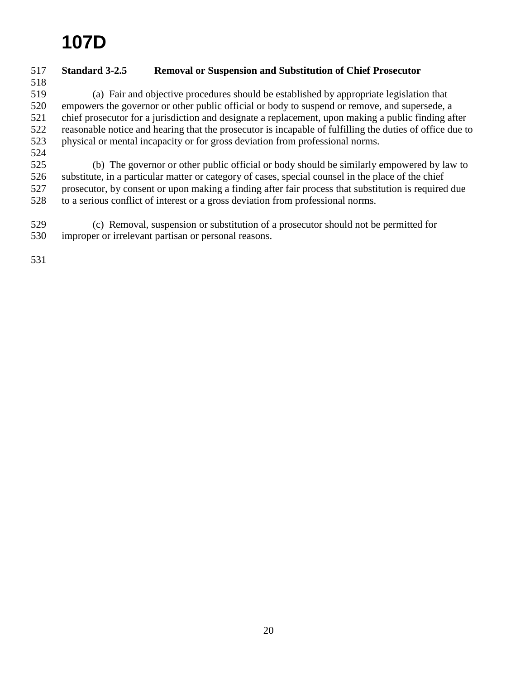#### **Standard 3-2.5 Removal or Suspension and Substitution of Chief Prosecutor**

 (a) Fair and objective procedures should be established by appropriate legislation that empowers the governor or other public official or body to suspend or remove, and supersede, a chief prosecutor for a jurisdiction and designate a replacement, upon making a public finding after reasonable notice and hearing that the prosecutor is incapable of fulfilling the duties of office due to physical or mental incapacity or for gross deviation from professional norms. 

- (b) The governor or other public official or body should be similarly empowered by law to substitute, in a particular matter or category of cases, special counsel in the place of the chief prosecutor, by consent or upon making a finding after fair process that substitution is required due to a serious conflict of interest or a gross deviation from professional norms.
- (c) Removal, suspension or substitution of a prosecutor should not be permitted for improper or irrelevant partisan or personal reasons.
-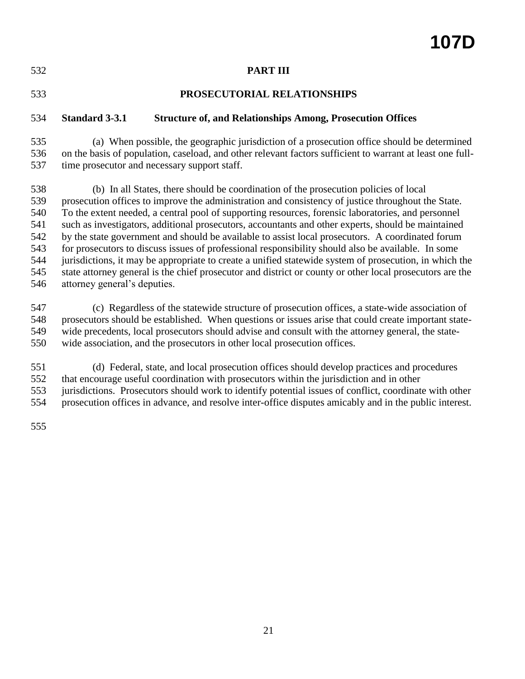| 532 | <b>PART III</b>                                                                                           |
|-----|-----------------------------------------------------------------------------------------------------------|
| 533 | PROSECUTORIAL RELATIONSHIPS                                                                               |
| 534 | <b>Standard 3-3.1</b><br><b>Structure of, and Relationships Among, Prosecution Offices</b>                |
| 535 | (a) When possible, the geographic jurisdiction of a prosecution office should be determined               |
| 536 | on the basis of population, caseload, and other relevant factors sufficient to warrant at least one full- |
| 537 | time prosecutor and necessary support staff.                                                              |
| 538 | (b) In all States, there should be coordination of the prosecution policies of local                      |
| 539 | prosecution offices to improve the administration and consistency of justice throughout the State.        |
| 540 | To the extent needed, a central pool of supporting resources, forensic laboratories, and personnel        |
| 541 | such as investigators, additional prosecutors, accountants and other experts, should be maintained        |
| 542 | by the state government and should be available to assist local prosecutors. A coordinated forum          |
| 543 | for prosecutors to discuss issues of professional responsibility should also be available. In some        |
| 544 | jurisdictions, it may be appropriate to create a unified statewide system of prosecution, in which the    |
| 545 | state attorney general is the chief prosecutor and district or county or other local prosecutors are the  |
| 546 | attorney general's deputies.                                                                              |
| 547 | (c) Regardless of the statewide structure of prosecution offices, a state-wide association of             |
| 548 | prosecutors should be established. When questions or issues arise that could create important state-      |
| 549 | wide precedents, local prosecutors should advise and consult with the attorney general, the state-        |

wide association, and the prosecutors in other local prosecution offices.

 (d) Federal, state, and local prosecution offices should develop practices and procedures that encourage useful coordination with prosecutors within the jurisdiction and in other 553 jurisdictions. Prosecutors should work to identify potential issues of conflict, coordinate with other<br>554 prosecution offices in advance, and resolve inter-office disputes amicably and in the public interest. prosecution offices in advance, and resolve inter-office disputes amicably and in the public interest.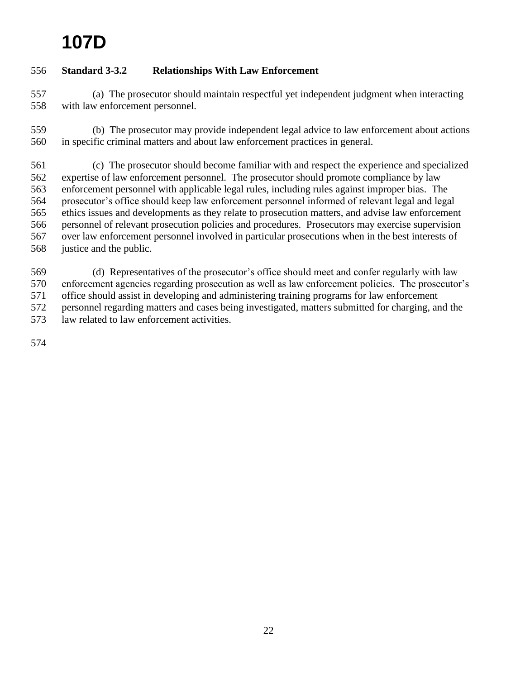### **Standard 3-3.2 Relationships With Law Enforcement**

 (a) The prosecutor should maintain respectful yet independent judgment when interacting with law enforcement personnel.

 (b) The prosecutor may provide independent legal advice to law enforcement about actions in specific criminal matters and about law enforcement practices in general.

 (c) The prosecutor should become familiar with and respect the experience and specialized expertise of law enforcement personnel. The prosecutor should promote compliance by law enforcement personnel with applicable legal rules, including rules against improper bias. The prosecutor's office should keep law enforcement personnel informed of relevant legal and legal ethics issues and developments as they relate to prosecution matters, and advise law enforcement personnel of relevant prosecution policies and procedures. Prosecutors may exercise supervision over law enforcement personnel involved in particular prosecutions when in the best interests of justice and the public.

 (d) Representatives of the prosecutor's office should meet and confer regularly with law enforcement agencies regarding prosecution as well as law enforcement policies. The prosecutor's office should assist in developing and administering training programs for law enforcement personnel regarding matters and cases being investigated, matters submitted for charging, and the law related to law enforcement activities.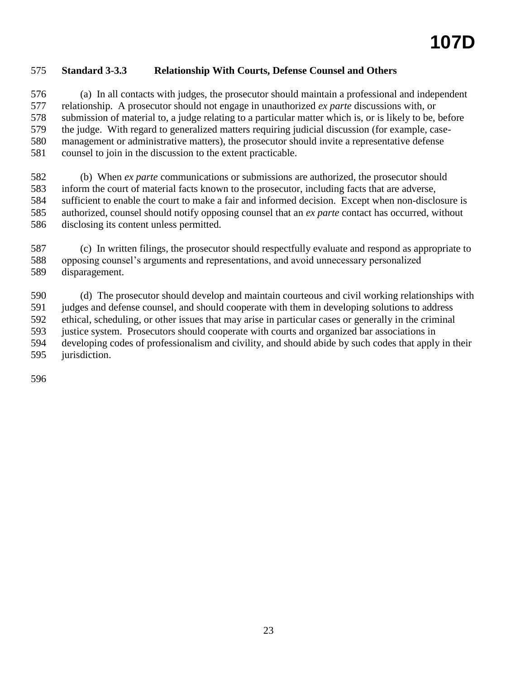### **Standard 3-3.3 Relationship With Courts, Defense Counsel and Others**

 (a) In all contacts with judges, the prosecutor should maintain a professional and independent relationship. A prosecutor should not engage in unauthorized *ex parte* discussions with, or submission of material to, a judge relating to a particular matter which is, or is likely to be, before the judge. With regard to generalized matters requiring judicial discussion (for example, case- management or administrative matters), the prosecutor should invite a representative defense counsel to join in the discussion to the extent practicable.

 (b) When *ex parte* communications or submissions are authorized, the prosecutor should inform the court of material facts known to the prosecutor, including facts that are adverse, sufficient to enable the court to make a fair and informed decision. Except when non-disclosure is authorized, counsel should notify opposing counsel that an *ex parte* contact has occurred, without disclosing its content unless permitted.

 (c) In written filings, the prosecutor should respectfully evaluate and respond as appropriate to opposing counsel's arguments and representations, and avoid unnecessary personalized disparagement.

 (d) The prosecutor should develop and maintain courteous and civil working relationships with judges and defense counsel, and should cooperate with them in developing solutions to address ethical, scheduling, or other issues that may arise in particular cases or generally in the criminal justice system. Prosecutors should cooperate with courts and organized bar associations in developing codes of professionalism and civility, and should abide by such codes that apply in their jurisdiction.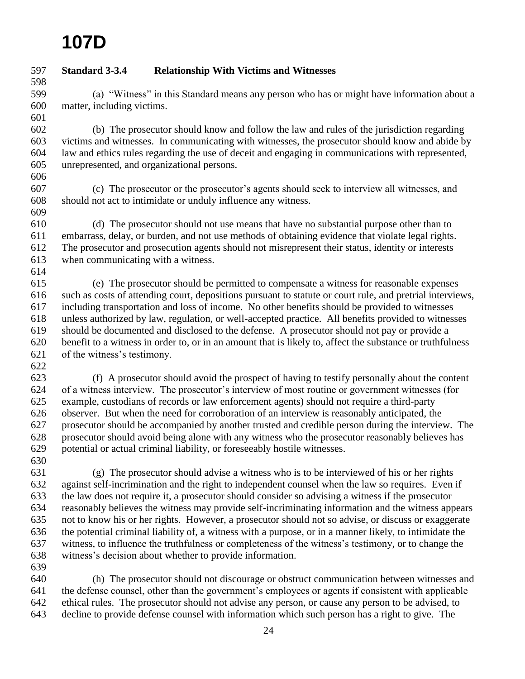**Standard 3-3.4 Relationship With Victims and Witnesses** 

 (a) "Witness" in this Standard means any person who has or might have information about a matter, including victims. 

 (b) The prosecutor should know and follow the law and rules of the jurisdiction regarding victims and witnesses. In communicating with witnesses, the prosecutor should know and abide by law and ethics rules regarding the use of deceit and engaging in communications with represented, unrepresented, and organizational persons. 

 (c) The prosecutor or the prosecutor's agents should seek to interview all witnesses, and should not act to intimidate or unduly influence any witness. 

 (d) The prosecutor should not use means that have no substantial purpose other than to embarrass, delay, or burden, and not use methods of obtaining evidence that violate legal rights. The prosecutor and prosecution agents should not misrepresent their status, identity or interests when communicating with a witness. 

 (e) The prosecutor should be permitted to compensate a witness for reasonable expenses such as costs of attending court, depositions pursuant to statute or court rule, and pretrial interviews, including transportation and loss of income. No other benefits should be provided to witnesses unless authorized by law, regulation, or well-accepted practice. All benefits provided to witnesses should be documented and disclosed to the defense. A prosecutor should not pay or provide a benefit to a witness in order to, or in an amount that is likely to, affect the substance or truthfulness of the witness's testimony.

 (f) A prosecutor should avoid the prospect of having to testify personally about the content of a witness interview. The prosecutor's interview of most routine or government witnesses (for example, custodians of records or law enforcement agents) should not require a third-party observer. But when the need for corroboration of an interview is reasonably anticipated, the prosecutor should be accompanied by another trusted and credible person during the interview. The prosecutor should avoid being alone with any witness who the prosecutor reasonably believes has potential or actual criminal liability, or foreseeably hostile witnesses.

 (g) The prosecutor should advise a witness who is to be interviewed of his or her rights against self-incrimination and the right to independent counsel when the law so requires. Even if the law does not require it, a prosecutor should consider so advising a witness if the prosecutor reasonably believes the witness may provide self-incriminating information and the witness appears not to know his or her rights. However, a prosecutor should not so advise, or discuss or exaggerate the potential criminal liability of, a witness with a purpose, or in a manner likely, to intimidate the witness, to influence the truthfulness or completeness of the witness's testimony, or to change the witness's decision about whether to provide information.

 (h) The prosecutor should not discourage or obstruct communication between witnesses and the defense counsel, other than the government's employees or agents if consistent with applicable ethical rules. The prosecutor should not advise any person, or cause any person to be advised, to decline to provide defense counsel with information which such person has a right to give. The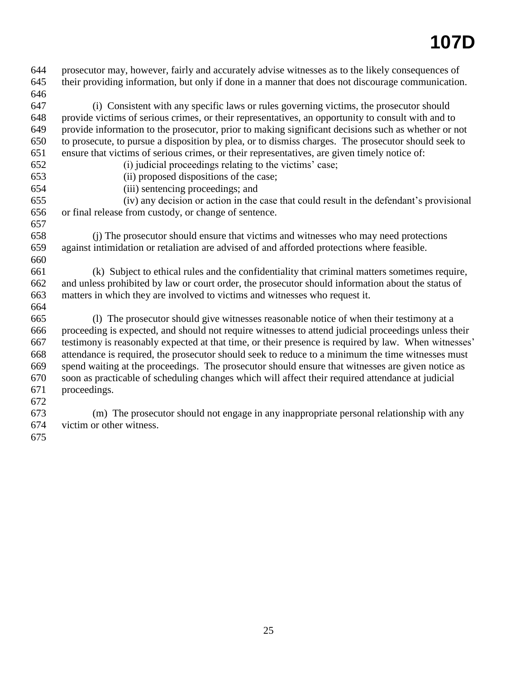prosecutor may, however, fairly and accurately advise witnesses as to the likely consequences of their providing information, but only if done in a manner that does not discourage communication. 

 (i) Consistent with any specific laws or rules governing victims, the prosecutor should provide victims of serious crimes, or their representatives, an opportunity to consult with and to provide information to the prosecutor, prior to making significant decisions such as whether or not to prosecute, to pursue a disposition by plea, or to dismiss charges. The prosecutor should seek to ensure that victims of serious crimes, or their representatives, are given timely notice of: (i) judicial proceedings relating to the victims' case;

- (ii) proposed dispositions of the case;
- (iii) sentencing proceedings; and
- (iv) any decision or action in the case that could result in the defendant's provisional or final release from custody, or change of sentence.
- (j) The prosecutor should ensure that victims and witnesses who may need protections against intimidation or retaliation are advised of and afforded protections where feasible.
- (k) Subject to ethical rules and the confidentiality that criminal matters sometimes require, and unless prohibited by law or court order, the prosecutor should information about the status of matters in which they are involved to victims and witnesses who request it.
- (l) The prosecutor should give witnesses reasonable notice of when their testimony at a proceeding is expected, and should not require witnesses to attend judicial proceedings unless their testimony is reasonably expected at that time, or their presence is required by law. When witnesses' attendance is required, the prosecutor should seek to reduce to a minimum the time witnesses must spend waiting at the proceedings. The prosecutor should ensure that witnesses are given notice as soon as practicable of scheduling changes which will affect their required attendance at judicial proceedings.
- (m) The prosecutor should not engage in any inappropriate personal relationship with any victim or other witness.
	-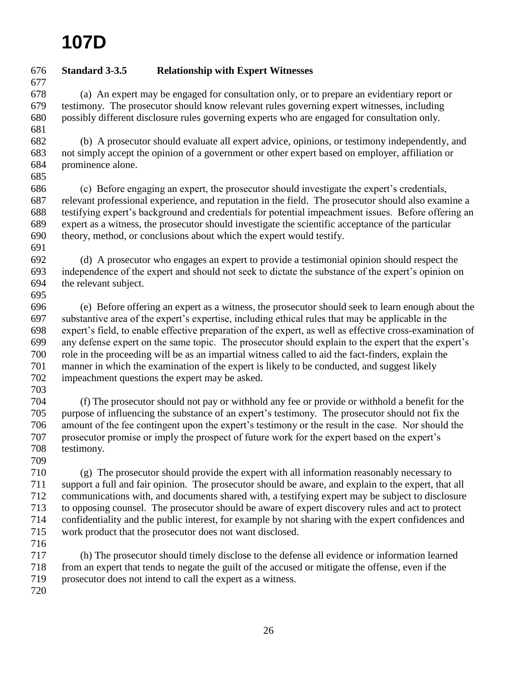**Standard 3-3.5 Relationship with Expert Witnesses** (a) An expert may be engaged for consultation only, or to prepare an evidentiary report or testimony. The prosecutor should know relevant rules governing expert witnesses, including possibly different disclosure rules governing experts who are engaged for consultation only. (b) A prosecutor should evaluate all expert advice, opinions, or testimony independently, and not simply accept the opinion of a government or other expert based on employer, affiliation or prominence alone. (c) Before engaging an expert, the prosecutor should investigate the expert's credentials, relevant professional experience, and reputation in the field. The prosecutor should also examine a testifying expert's background and credentials for potential impeachment issues. Before offering an expert as a witness, the prosecutor should investigate the scientific acceptance of the particular theory, method, or conclusions about which the expert would testify. (d) A prosecutor who engages an expert to provide a testimonial opinion should respect the independence of the expert and should not seek to dictate the substance of the expert's opinion on the relevant subject. (e) Before offering an expert as a witness, the prosecutor should seek to learn enough about the substantive area of the expert's expertise, including ethical rules that may be applicable in the expert's field, to enable effective preparation of the expert, as well as effective cross-examination of any defense expert on the same topic. The prosecutor should explain to the expert that the expert's role in the proceeding will be as an impartial witness called to aid the fact-finders, explain the manner in which the examination of the expert is likely to be conducted, and suggest likely impeachment questions the expert may be asked. (f) The prosecutor should not pay or withhold any fee or provide or withhold a benefit for the purpose of influencing the substance of an expert's testimony. The prosecutor should not fix the amount of the fee contingent upon the expert's testimony or the result in the case. Nor should the prosecutor promise or imply the prospect of future work for the expert based on the expert's testimony. (g) The prosecutor should provide the expert with all information reasonably necessary to support a full and fair opinion. The prosecutor should be aware, and explain to the expert, that all communications with, and documents shared with, a testifying expert may be subject to disclosure to opposing counsel. The prosecutor should be aware of expert discovery rules and act to protect confidentiality and the public interest, for example by not sharing with the expert confidences and work product that the prosecutor does not want disclosed. (h) The prosecutor should timely disclose to the defense all evidence or information learned from an expert that tends to negate the guilt of the accused or mitigate the offense, even if the prosecutor does not intend to call the expert as a witness.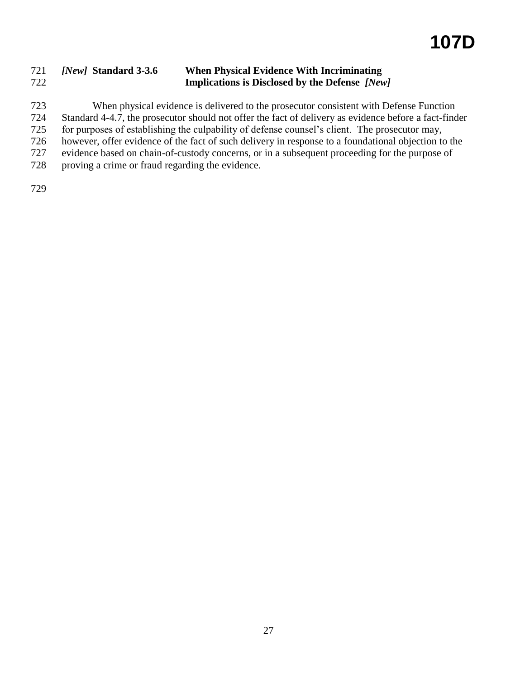#### *[New]* **Standard 3-3.6 When Physical Evidence With Incriminating Implications is Disclosed by the Defense** *[New]*

- When physical evidence is delivered to the prosecutor consistent with Defense Function
- Standard 4-4.7, the prosecutor should not offer the fact of delivery as evidence before a fact-finder
- for purposes of establishing the culpability of defense counsel's client. The prosecutor may,
- however, offer evidence of the fact of such delivery in response to a foundational objection to the
- evidence based on chain-of-custody concerns, or in a subsequent proceeding for the purpose of
- proving a crime or fraud regarding the evidence.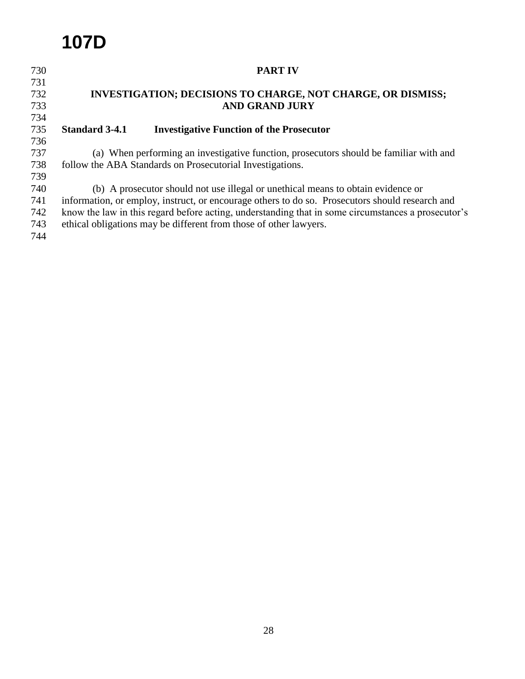| 730 | <b>PART IV</b>        |                                                                                                    |
|-----|-----------------------|----------------------------------------------------------------------------------------------------|
| 731 |                       |                                                                                                    |
| 732 |                       | <b>INVESTIGATION; DECISIONS TO CHARGE, NOT CHARGE, OR DISMISS;</b>                                 |
| 733 |                       | <b>AND GRAND JURY</b>                                                                              |
| 734 |                       |                                                                                                    |
| 735 | <b>Standard 3-4.1</b> | <b>Investigative Function of the Prosecutor</b>                                                    |
| 736 |                       |                                                                                                    |
| 737 |                       | (a) When performing an investigative function, prosecutors should be familiar with and             |
| 738 |                       | follow the ABA Standards on Prosecutorial Investigations.                                          |
| 739 |                       |                                                                                                    |
| 740 |                       | (b) A prosecutor should not use illegal or unethical means to obtain evidence or                   |
| 741 |                       | information, or employ, instruct, or encourage others to do so. Prosecutors should research and    |
| 742 |                       | know the law in this regard before acting, understanding that in some circumstances a prosecutor's |
| 743 |                       | ethical obligations may be different from those of other lawyers.                                  |
| 744 |                       |                                                                                                    |
|     |                       |                                                                                                    |
|     |                       |                                                                                                    |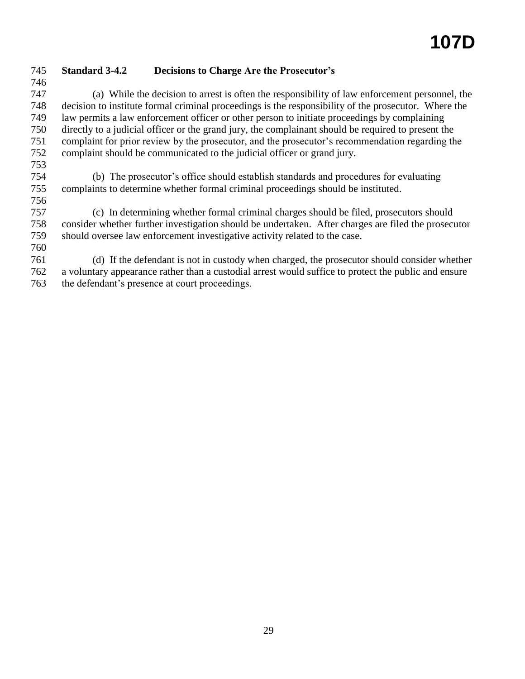| 745        | <b>Standard 3-4.2</b> | <b>Decisions to Charge Are the Prosecutor's</b>                                                      |
|------------|-----------------------|------------------------------------------------------------------------------------------------------|
| 746<br>747 |                       | (a) While the decision to arrest is often the responsibility of law enforcement personnel, the       |
| 748        |                       | decision to institute formal criminal proceedings is the responsibility of the prosecutor. Where the |
| 749        |                       | law permits a law enforcement officer or other person to initiate proceedings by complaining         |
| 750        |                       | directly to a judicial officer or the grand jury, the complainant should be required to present the  |
| 751        |                       | complaint for prior review by the prosecutor, and the prosecutor's recommendation regarding the      |
| 752        |                       | complaint should be communicated to the judicial officer or grand jury.                              |
| 753        |                       |                                                                                                      |
| 754        |                       | (b) The prosecutor's office should establish standards and procedures for evaluating                 |
| 755        |                       | complaints to determine whether formal criminal proceedings should be instituted.                    |
| 756        |                       |                                                                                                      |
| 757        |                       | (c) In determining whether formal criminal charges should be filed, prosecutors should               |
| 758        |                       | consider whether further investigation should be undertaken. After charges are filed the prosecutor  |
| 759        |                       | should oversee law enforcement investigative activity related to the case.                           |
| 760        |                       |                                                                                                      |
| 761        |                       | (d) If the defendant is not in custody when charged, the prosecutor should consider whether          |
| 762        |                       | a voluntary appearance rather than a custodial arrest would suffice to protect the public and ensure |
| 763        |                       | the defendant's presence at court proceedings.                                                       |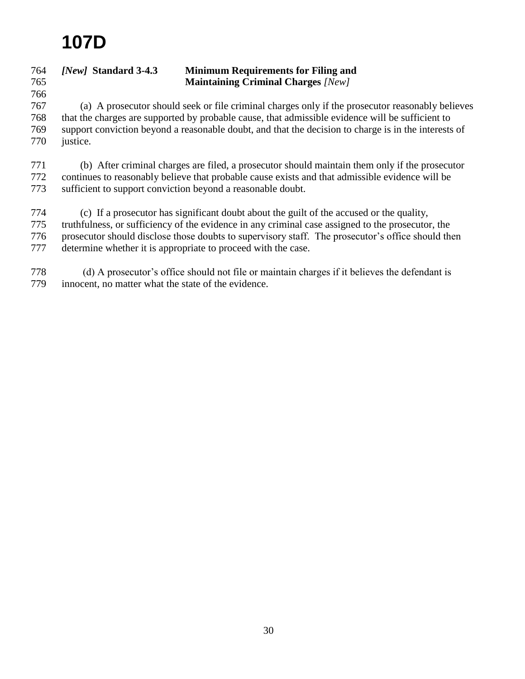#### *[New]* **Standard 3-4.3 Minimum Requirements for Filing and Maintaining Criminal Charges** *[New]*

 (a) A prosecutor should seek or file criminal charges only if the prosecutor reasonably believes that the charges are supported by probable cause, that admissible evidence will be sufficient to support conviction beyond a reasonable doubt, and that the decision to charge is in the interests of justice.

 (b) After criminal charges are filed, a prosecutor should maintain them only if the prosecutor continues to reasonably believe that probable cause exists and that admissible evidence will be sufficient to support conviction beyond a reasonable doubt.

- (c) If a prosecutor has significant doubt about the guilt of the accused or the quality, truthfulness, or sufficiency of the evidence in any criminal case assigned to the prosecutor, the prosecutor should disclose those doubts to supervisory staff. The prosecutor's office should then determine whether it is appropriate to proceed with the case.
- (d) A prosecutor's office should not file or maintain charges if it believes the defendant is innocent, no matter what the state of the evidence.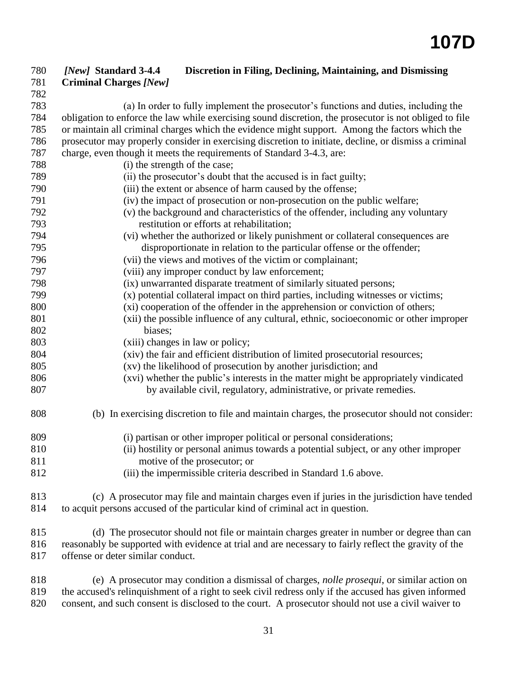#### *[New]* **Standard 3-4.4 Discretion in Filing, Declining, Maintaining, and Dismissing Criminal Charges** *[New]*

- (a) In order to fully implement the prosecutor's functions and duties, including the obligation to enforce the law while exercising sound discretion, the prosecutor is not obliged to file or maintain all criminal charges which the evidence might support. Among the factors which the prosecutor may properly consider in exercising discretion to initiate, decline, or dismiss a criminal charge, even though it meets the requirements of Standard 3-4.3, are: (i) the strength of the case; (ii) the prosecutor's doubt that the accused is in fact guilty; (iii) the extent or absence of harm caused by the offense; (iv) the impact of prosecution or non-prosecution on the public welfare; (v) the background and characteristics of the offender, including any voluntary 793 restitution or efforts at rehabilitation; (vi) whether the authorized or likely punishment or collateral consequences are 795 disproportionate in relation to the particular offense or the offender; (vii) the views and motives of the victim or complainant; (viii) any improper conduct by law enforcement; (ix) unwarranted disparate treatment of similarly situated persons; (x) potential collateral impact on third parties, including witnesses or victims; (xi) cooperation of the offender in the apprehension or conviction of others; (xii) the possible influence of any cultural, ethnic, socioeconomic or other improper 802 biases; (xiii) changes in law or policy; (xiv) the fair and efficient distribution of limited prosecutorial resources; (xv) the likelihood of prosecution by another jurisdiction; and (xvi) whether the public's interests in the matter might be appropriately vindicated 807 by available civil, regulatory, administrative, or private remedies. (b) In exercising discretion to file and maintain charges, the prosecutor should not consider: (i) partisan or other improper political or personal considerations; (ii) hostility or personal animus towards a potential subject, or any other improper 811 motive of the prosecutor; or (iii) the impermissible criteria described in Standard 1.6 above. (c) A prosecutor may file and maintain charges even if juries in the jurisdiction have tended to acquit persons accused of the particular kind of criminal act in question. (d) The prosecutor should not file or maintain charges greater in number or degree than can reasonably be supported with evidence at trial and are necessary to fairly reflect the gravity of the offense or deter similar conduct.
- (e) A prosecutor may condition a dismissal of charges, *nolle prosequi*, or similar action on the accused's relinquishment of a right to seek civil redress only if the accused has given informed consent, and such consent is disclosed to the court. A prosecutor should not use a civil waiver to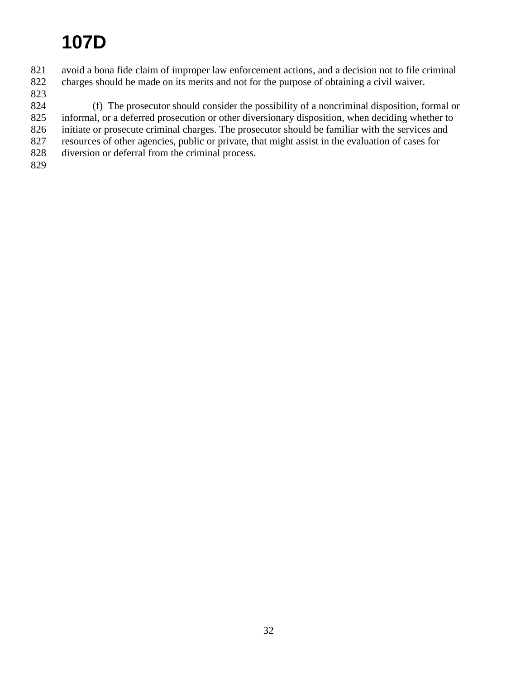821 avoid a bona fide claim of improper law enforcement actions, and a decision not to file criminal<br>822 charges should be made on its merits and not for the purpose of obtaining a civil waiver. charges should be made on its merits and not for the purpose of obtaining a civil waiver.

 (f) The prosecutor should consider the possibility of a noncriminal disposition, formal or informal, or a deferred prosecution or other diversionary disposition, when deciding whether to initiate or prosecute criminal charges. The prosecutor should be familiar with the services and resources of other agencies, public or private, that might assist in the evaluation of cases for diversion or deferral from the criminal process.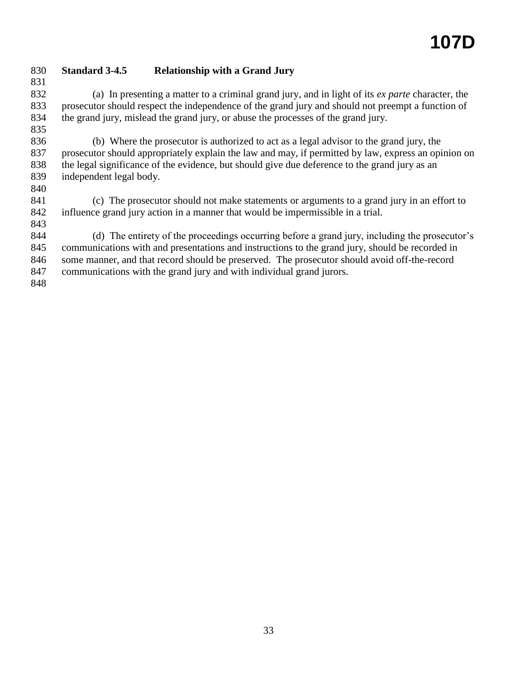| 830 | <b>Standard 3-4.5</b>   | <b>Relationship with a Grand Jury</b>                                                               |
|-----|-------------------------|-----------------------------------------------------------------------------------------------------|
| 831 |                         |                                                                                                     |
| 832 |                         | (a) In presenting a matter to a criminal grand jury, and in light of its ex parte character, the    |
| 833 |                         | prosecutor should respect the independence of the grand jury and should not preempt a function of   |
| 834 |                         | the grand jury, mislead the grand jury, or abuse the processes of the grand jury.                   |
| 835 |                         |                                                                                                     |
| 836 |                         | (b) Where the prosecutor is authorized to act as a legal advisor to the grand jury, the             |
| 837 |                         | prosecutor should appropriately explain the law and may, if permitted by law, express an opinion on |
| 838 |                         | the legal significance of the evidence, but should give due deference to the grand jury as an       |
| 839 | independent legal body. |                                                                                                     |
| 840 |                         |                                                                                                     |
| 841 |                         | (c) The prosecutor should not make statements or arguments to a grand jury in an effort to          |
| 842 |                         | influence grand jury action in a manner that would be impermissible in a trial.                     |
| 843 |                         |                                                                                                     |
| 844 |                         | (d) The entirety of the proceedings occurring before a grand jury, including the prosecutor's       |
| 845 |                         | communications with and presentations and instructions to the grand jury, should be recorded in     |
| 846 |                         | some manner, and that record should be preserved. The prosecutor should avoid off-the-record        |
| 847 |                         | communications with the grand jury and with individual grand jurors.                                |
| 848 |                         |                                                                                                     |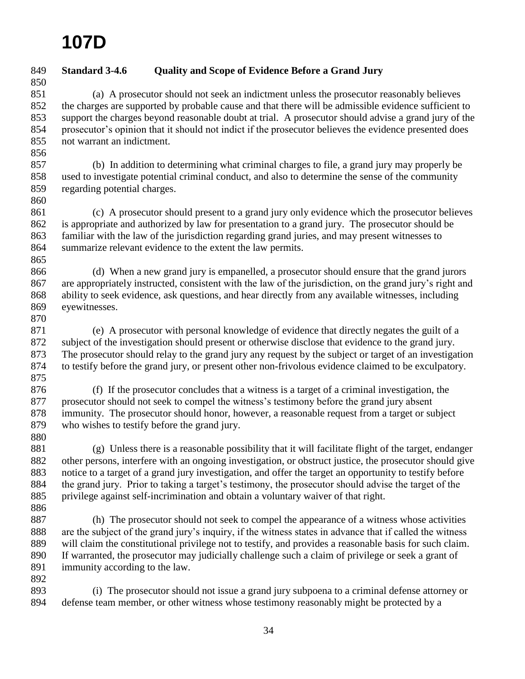#### **Standard 3-4.6 Quality and Scope of Evidence Before a Grand Jury** (a) A prosecutor should not seek an indictment unless the prosecutor reasonably believes the charges are supported by probable cause and that there will be admissible evidence sufficient to support the charges beyond reasonable doubt at trial. A prosecutor should advise a grand jury of the prosecutor's opinion that it should not indict if the prosecutor believes the evidence presented does not warrant an indictment. (b) In addition to determining what criminal charges to file, a grand jury may properly be used to investigate potential criminal conduct, and also to determine the sense of the community regarding potential charges. (c) A prosecutor should present to a grand jury only evidence which the prosecutor believes is appropriate and authorized by law for presentation to a grand jury. The prosecutor should be familiar with the law of the jurisdiction regarding grand juries, and may present witnesses to summarize relevant evidence to the extent the law permits. (d) When a new grand jury is empanelled, a prosecutor should ensure that the grand jurors are appropriately instructed, consistent with the law of the jurisdiction, on the grand jury's right and ability to seek evidence, ask questions, and hear directly from any available witnesses, including eyewitnesses. (e) A prosecutor with personal knowledge of evidence that directly negates the guilt of a subject of the investigation should present or otherwise disclose that evidence to the grand jury. The prosecutor should relay to the grand jury any request by the subject or target of an investigation to testify before the grand jury, or present other non-frivolous evidence claimed to be exculpatory. (f) If the prosecutor concludes that a witness is a target of a criminal investigation, the prosecutor should not seek to compel the witness's testimony before the grand jury absent immunity. The prosecutor should honor, however, a reasonable request from a target or subject who wishes to testify before the grand jury. (g) Unless there is a reasonable possibility that it will facilitate flight of the target, endanger other persons, interfere with an ongoing investigation, or obstruct justice, the prosecutor should give notice to a target of a grand jury investigation, and offer the target an opportunity to testify before the grand jury. Prior to taking a target's testimony, the prosecutor should advise the target of the privilege against self-incrimination and obtain a voluntary waiver of that right. (h) The prosecutor should not seek to compel the appearance of a witness whose activities are the subject of the grand jury's inquiry, if the witness states in advance that if called the witness will claim the constitutional privilege not to testify, and provides a reasonable basis for such claim. If warranted, the prosecutor may judicially challenge such a claim of privilege or seek a grant of immunity according to the law. (i) The prosecutor should not issue a grand jury subpoena to a criminal defense attorney or defense team member, or other witness whose testimony reasonably might be protected by a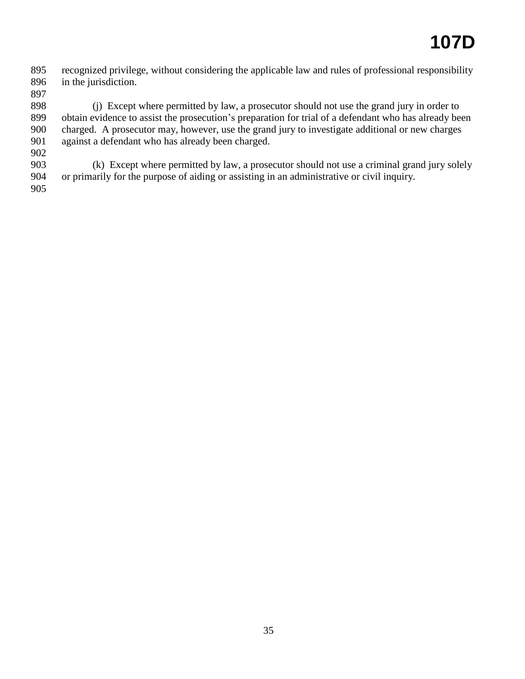895 recognized privilege, without considering the applicable law and rules of professional responsibility in the jurisdiction. in the jurisdiction. 

 (j) Except where permitted by law, a prosecutor should not use the grand jury in order to obtain evidence to assist the prosecution's preparation for trial of a defendant who has already been charged. A prosecutor may, however, use the grand jury to investigate additional or new charges against a defendant who has already been charged.

903 (k) Except where permitted by law, a prosecutor should not use a criminal grand jury solely or primarily for the purpose of aiding or assisting in an administrative or civil inquiry.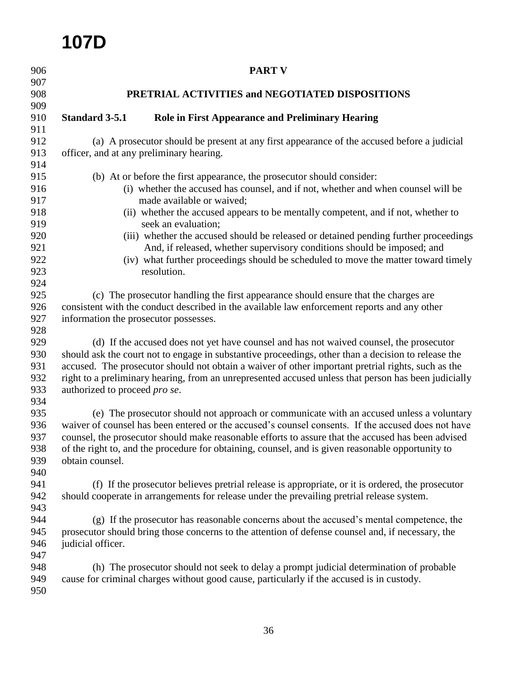| 906        |                                          | <b>PART V</b>                                                                                                                                                 |
|------------|------------------------------------------|---------------------------------------------------------------------------------------------------------------------------------------------------------------|
| 907        |                                          |                                                                                                                                                               |
| 908        |                                          | PRETRIAL ACTIVITIES and NEGOTIATED DISPOSITIONS                                                                                                               |
| 909        |                                          |                                                                                                                                                               |
| 910<br>911 | <b>Standard 3-5.1</b>                    | <b>Role in First Appearance and Preliminary Hearing</b>                                                                                                       |
| 912        |                                          | (a) A prosecutor should be present at any first appearance of the accused before a judicial                                                                   |
| 913        | officer, and at any preliminary hearing. |                                                                                                                                                               |
| 914        |                                          |                                                                                                                                                               |
| 915        |                                          | (b) At or before the first appearance, the prosecutor should consider:                                                                                        |
| 916<br>917 |                                          | (i) whether the accused has counsel, and if not, whether and when counsel will be<br>made available or waived;                                                |
| 918<br>919 |                                          | (ii) whether the accused appears to be mentally competent, and if not, whether to<br>seek an evaluation;                                                      |
|            |                                          |                                                                                                                                                               |
| 920<br>921 |                                          | (iii) whether the accused should be released or detained pending further proceedings                                                                          |
| 922        |                                          | And, if released, whether supervisory conditions should be imposed; and<br>(iv) what further proceedings should be scheduled to move the matter toward timely |
| 923        |                                          | resolution.                                                                                                                                                   |
| 924        |                                          |                                                                                                                                                               |
| 925        |                                          | (c) The prosecutor handling the first appearance should ensure that the charges are                                                                           |
| 926        |                                          | consistent with the conduct described in the available law enforcement reports and any other                                                                  |
| 927        | information the prosecutor possesses.    |                                                                                                                                                               |
| 928        |                                          |                                                                                                                                                               |
| 929        |                                          | (d) If the accused does not yet have counsel and has not waived counsel, the prosecutor                                                                       |
| 930        |                                          | should ask the court not to engage in substantive proceedings, other than a decision to release the                                                           |
| 931<br>932 |                                          | accused. The prosecutor should not obtain a waiver of other important pretrial rights, such as the                                                            |
| 933        | authorized to proceed pro se.            | right to a preliminary hearing, from an unrepresented accused unless that person has been judicially                                                          |
| 934        |                                          |                                                                                                                                                               |
| 935        |                                          | (e) The prosecutor should not approach or communicate with an accused unless a voluntary                                                                      |
| 936        |                                          | waiver of counsel has been entered or the accused's counsel consents. If the accused does not have                                                            |
| 937        |                                          | counsel, the prosecutor should make reasonable efforts to assure that the accused has been advised                                                            |
| 938        |                                          | of the right to, and the procedure for obtaining, counsel, and is given reasonable opportunity to                                                             |
| 939        | obtain counsel.                          |                                                                                                                                                               |
| 940        |                                          |                                                                                                                                                               |
| 941        |                                          | (f) If the prosecutor believes pretrial release is appropriate, or it is ordered, the prosecutor                                                              |
| 942        |                                          | should cooperate in arrangements for release under the prevailing pretrial release system.                                                                    |
| 943        |                                          |                                                                                                                                                               |
| 944        |                                          | (g) If the prosecutor has reasonable concerns about the accused's mental competence, the                                                                      |
| 945        |                                          | prosecutor should bring those concerns to the attention of defense counsel and, if necessary, the                                                             |
| 946        | judicial officer.                        |                                                                                                                                                               |
| 947        |                                          |                                                                                                                                                               |
| 948        |                                          | (h) The prosecutor should not seek to delay a prompt judicial determination of probable                                                                       |
| 949        |                                          | cause for criminal charges without good cause, particularly if the accused is in custody.                                                                     |
| 950        |                                          |                                                                                                                                                               |
|            |                                          |                                                                                                                                                               |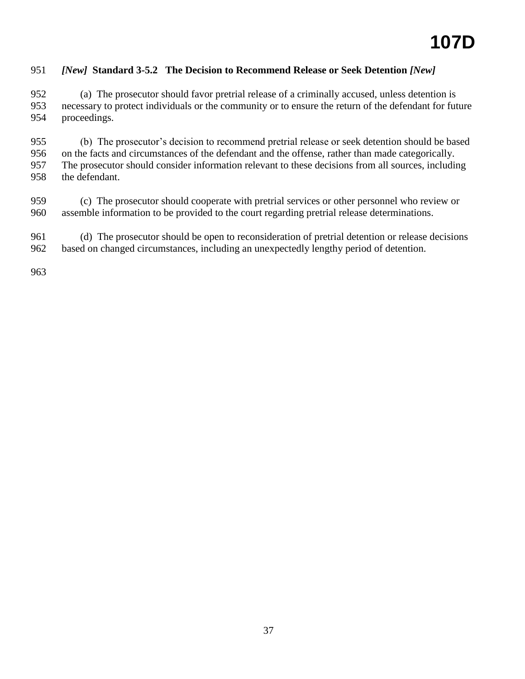### *[New]* **Standard 3-5.2 The Decision to Recommend Release or Seek Detention** *[New]*

 (a) The prosecutor should favor pretrial release of a criminally accused, unless detention is necessary to protect individuals or the community or to ensure the return of the defendant for future proceedings.

 (b) The prosecutor's decision to recommend pretrial release or seek detention should be based on the facts and circumstances of the defendant and the offense, rather than made categorically. The prosecutor should consider information relevant to these decisions from all sources, including the defendant.

 (c) The prosecutor should cooperate with pretrial services or other personnel who review or assemble information to be provided to the court regarding pretrial release determinations.

 (d) The prosecutor should be open to reconsideration of pretrial detention or release decisions based on changed circumstances, including an unexpectedly lengthy period of detention.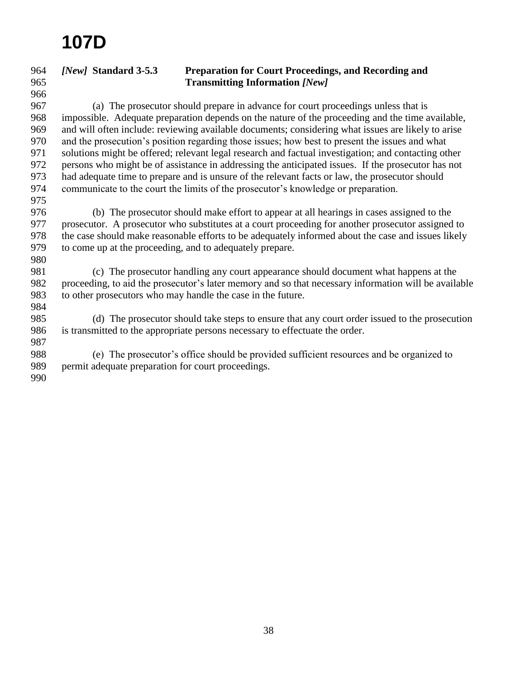| 964<br>965 | [New] Standard 3-5.3<br><b>Preparation for Court Proceedings, and Recording and</b><br><b>Transmitting Information [New]</b> |
|------------|------------------------------------------------------------------------------------------------------------------------------|
| 966        |                                                                                                                              |
| 967        | (a) The prosecutor should prepare in advance for court proceedings unless that is                                            |
| 968        | impossible. Adequate preparation depends on the nature of the proceeding and the time available,                             |
| 969        | and will often include: reviewing available documents; considering what issues are likely to arise                           |
| 970        | and the prosecution's position regarding those issues; how best to present the issues and what                               |
| 971        | solutions might be offered; relevant legal research and factual investigation; and contacting other                          |
| 972        | persons who might be of assistance in addressing the anticipated issues. If the prosecutor has not                           |
| 973        | had adequate time to prepare and is unsure of the relevant facts or law, the prosecutor should                               |
| 974        | communicate to the court the limits of the prosecutor's knowledge or preparation.                                            |
| 975        |                                                                                                                              |
| 976        | (b) The prosecutor should make effort to appear at all hearings in cases assigned to the                                     |
| 977        | prosecutor. A prosecutor who substitutes at a court proceeding for another prosecutor assigned to                            |
| 978        | the case should make reasonable efforts to be adequately informed about the case and issues likely                           |
| 979        | to come up at the proceeding, and to adequately prepare.                                                                     |
| 980        |                                                                                                                              |
| 981        | (c) The prosecutor handling any court appearance should document what happens at the                                         |
| 982        | proceeding, to aid the prosecutor's later memory and so that necessary information will be available                         |
| 983        | to other prosecutors who may handle the case in the future.                                                                  |
| 984        |                                                                                                                              |
| 985        | (d) The prosecutor should take steps to ensure that any court order issued to the prosecution                                |
| 986        | is transmitted to the appropriate persons necessary to effectuate the order.                                                 |
| 987        |                                                                                                                              |
| 988        | (e) The prosecutor's office should be provided sufficient resources and be organized to                                      |
| 989        | permit adequate preparation for court proceedings.                                                                           |
| 990        |                                                                                                                              |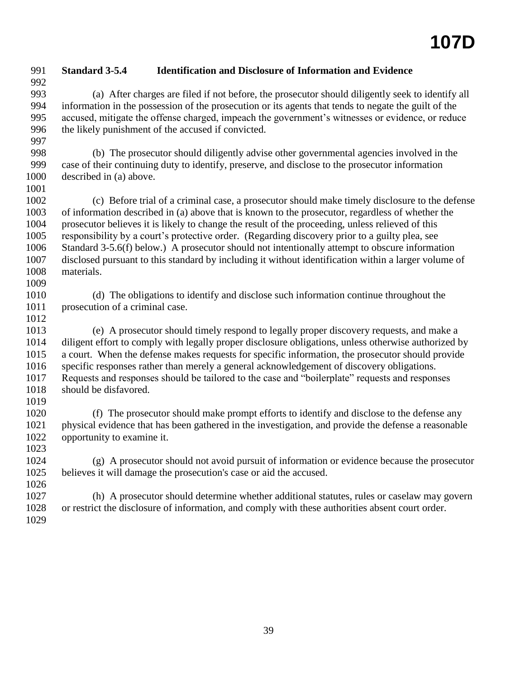**Standard 3-5.4 Identification and Disclosure of Information and Evidence**  (a) After charges are filed if not before, the prosecutor should diligently seek to identify all information in the possession of the prosecution or its agents that tends to negate the guilt of the accused, mitigate the offense charged, impeach the government's witnesses or evidence, or reduce the likely punishment of the accused if convicted. (b) The prosecutor should diligently advise other governmental agencies involved in the case of their continuing duty to identify, preserve, and disclose to the prosecutor information described in (a) above. (c) Before trial of a criminal case, a prosecutor should make timely disclosure to the defense of information described in (a) above that is known to the prosecutor, regardless of whether the prosecutor believes it is likely to change the result of the proceeding, unless relieved of this responsibility by a court's protective order. (Regarding discovery prior to a guilty plea, see Standard 3-5.6(f) below.) A prosecutor should not intentionally attempt to obscure information disclosed pursuant to this standard by including it without identification within a larger volume of materials. (d) The obligations to identify and disclose such information continue throughout the 1011 prosecution of a criminal case. (e) A prosecutor should timely respond to legally proper discovery requests, and make a diligent effort to comply with legally proper disclosure obligations, unless otherwise authorized by a court. When the defense makes requests for specific information, the prosecutor should provide specific responses rather than merely a general acknowledgement of discovery obligations. Requests and responses should be tailored to the case and "boilerplate" requests and responses should be disfavored. (f) The prosecutor should make prompt efforts to identify and disclose to the defense any physical evidence that has been gathered in the investigation, and provide the defense a reasonable opportunity to examine it. (g) A prosecutor should not avoid pursuit of information or evidence because the prosecutor believes it will damage the prosecution's case or aid the accused. (h) A prosecutor should determine whether additional statutes, rules or caselaw may govern or restrict the disclosure of information, and comply with these authorities absent court order.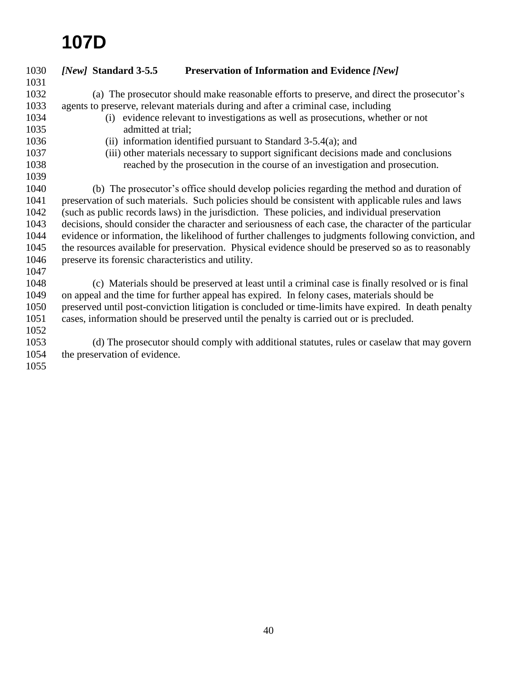| 1030 | [New] Standard 3-5.5                               | Preservation of Information and Evidence [New]                                                         |
|------|----------------------------------------------------|--------------------------------------------------------------------------------------------------------|
| 1031 |                                                    |                                                                                                        |
| 1032 |                                                    | (a) The prosecutor should make reasonable efforts to preserve, and direct the prosecutor's             |
| 1033 |                                                    | agents to preserve, relevant materials during and after a criminal case, including                     |
| 1034 | (i)                                                | evidence relevant to investigations as well as prosecutions, whether or not                            |
| 1035 | admitted at trial;                                 |                                                                                                        |
| 1036 |                                                    | (ii) information identified pursuant to Standard $3-5.4(a)$ ; and                                      |
| 1037 |                                                    | (iii) other materials necessary to support significant decisions made and conclusions                  |
| 1038 |                                                    | reached by the prosecution in the course of an investigation and prosecution.                          |
| 1039 |                                                    |                                                                                                        |
| 1040 |                                                    | (b) The prosecutor's office should develop policies regarding the method and duration of               |
| 1041 |                                                    | preservation of such materials. Such policies should be consistent with applicable rules and laws      |
| 1042 |                                                    | (such as public records laws) in the jurisdiction. These policies, and individual preservation         |
| 1043 |                                                    | decisions, should consider the character and seriousness of each case, the character of the particular |
| 1044 |                                                    | evidence or information, the likelihood of further challenges to judgments following conviction, and   |
| 1045 |                                                    | the resources available for preservation. Physical evidence should be preserved so as to reasonably    |
| 1046 | preserve its forensic characteristics and utility. |                                                                                                        |
| 1047 |                                                    |                                                                                                        |
| 1048 |                                                    | (c) Materials should be preserved at least until a criminal case is finally resolved or is final       |
| 1049 |                                                    | on appeal and the time for further appeal has expired. In felony cases, materials should be            |
| 1050 |                                                    | preserved until post-conviction litigation is concluded or time-limits have expired. In death penalty  |
| 1051 |                                                    | cases, information should be preserved until the penalty is carried out or is precluded.               |
| 1052 |                                                    |                                                                                                        |
| 1053 |                                                    | (d) The prosecutor should comply with additional statutes, rules or caselaw that may govern            |
| 1054 | the preservation of evidence.                      |                                                                                                        |
|      |                                                    |                                                                                                        |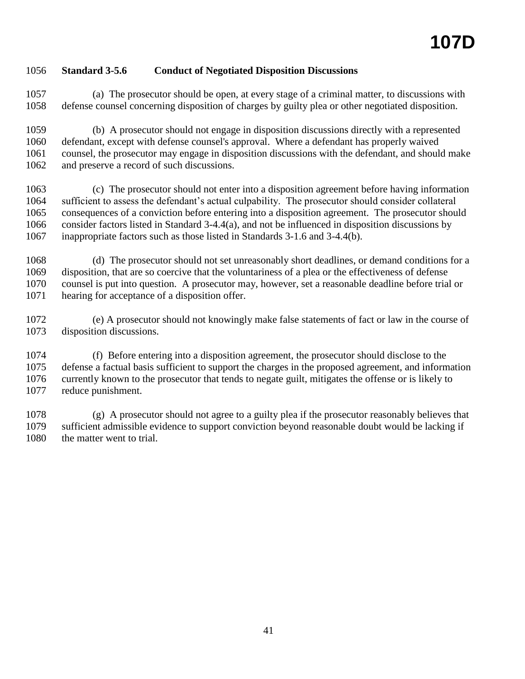#### **Standard 3-5.6 Conduct of Negotiated Disposition Discussions**

 (a) The prosecutor should be open, at every stage of a criminal matter, to discussions with defense counsel concerning disposition of charges by guilty plea or other negotiated disposition.

 (b) A prosecutor should not engage in disposition discussions directly with a represented defendant, except with defense counsel's approval. Where a defendant has properly waived counsel, the prosecutor may engage in disposition discussions with the defendant, and should make and preserve a record of such discussions.

 (c) The prosecutor should not enter into a disposition agreement before having information sufficient to assess the defendant's actual culpability. The prosecutor should consider collateral consequences of a conviction before entering into a disposition agreement. The prosecutor should consider factors listed in Standard 3-4.4(a), and not be influenced in disposition discussions by inappropriate factors such as those listed in Standards 3-1.6 and 3-4.4(b).

 (d) The prosecutor should not set unreasonably short deadlines, or demand conditions for a disposition, that are so coercive that the voluntariness of a plea or the effectiveness of defense counsel is put into question. A prosecutor may, however, set a reasonable deadline before trial or hearing for acceptance of a disposition offer.

 (e) A prosecutor should not knowingly make false statements of fact or law in the course of disposition discussions.

 (f) Before entering into a disposition agreement, the prosecutor should disclose to the defense a factual basis sufficient to support the charges in the proposed agreement, and information currently known to the prosecutor that tends to negate guilt, mitigates the offense or is likely to reduce punishment.

 (g) A prosecutor should not agree to a guilty plea if the prosecutor reasonably believes that sufficient admissible evidence to support conviction beyond reasonable doubt would be lacking if 1080 the matter went to trial.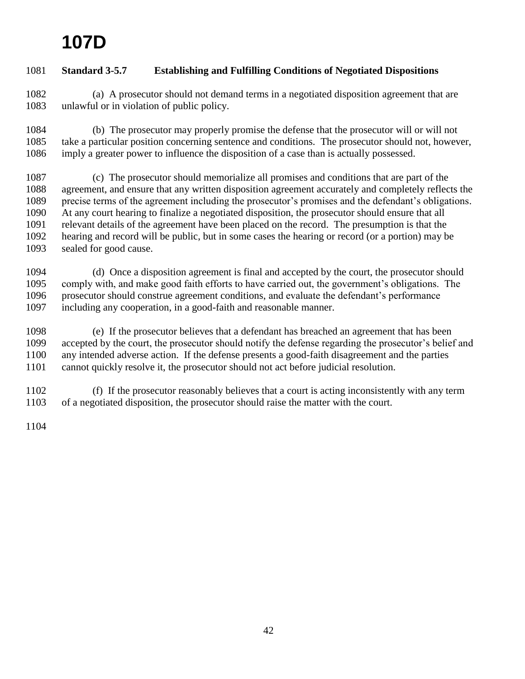### **Standard 3-5.7 Establishing and Fulfilling Conditions of Negotiated Dispositions**

 (a) A prosecutor should not demand terms in a negotiated disposition agreement that are unlawful or in violation of public policy.

 (b) The prosecutor may properly promise the defense that the prosecutor will or will not take a particular position concerning sentence and conditions. The prosecutor should not, however, imply a greater power to influence the disposition of a case than is actually possessed.

 (c) The prosecutor should memorialize all promises and conditions that are part of the agreement, and ensure that any written disposition agreement accurately and completely reflects the precise terms of the agreement including the prosecutor's promises and the defendant's obligations. At any court hearing to finalize a negotiated disposition, the prosecutor should ensure that all relevant details of the agreement have been placed on the record. The presumption is that the hearing and record will be public, but in some cases the hearing or record (or a portion) may be sealed for good cause.

 (d) Once a disposition agreement is final and accepted by the court, the prosecutor should comply with, and make good faith efforts to have carried out, the government's obligations. The prosecutor should construe agreement conditions, and evaluate the defendant's performance including any cooperation, in a good-faith and reasonable manner.

 (e) If the prosecutor believes that a defendant has breached an agreement that has been accepted by the court, the prosecutor should notify the defense regarding the prosecutor's belief and any intended adverse action. If the defense presents a good-faith disagreement and the parties cannot quickly resolve it, the prosecutor should not act before judicial resolution.

 (f) If the prosecutor reasonably believes that a court is acting inconsistently with any term of a negotiated disposition, the prosecutor should raise the matter with the court.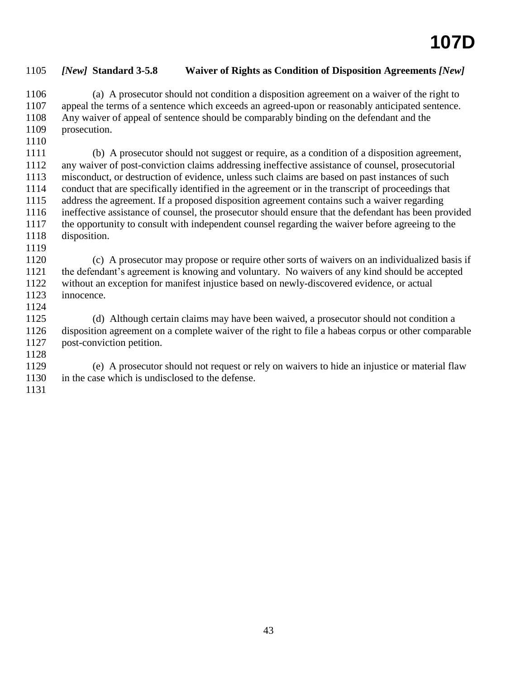### *[New]* **Standard 3-5.8 Waiver of Rights as Condition of Disposition Agreements** *[New]*

 (a) A prosecutor should not condition a disposition agreement on a waiver of the right to appeal the terms of a sentence which exceeds an agreed-upon or reasonably anticipated sentence. Any waiver of appeal of sentence should be comparably binding on the defendant and the prosecution.

 (b) A prosecutor should not suggest or require, as a condition of a disposition agreement, any waiver of post-conviction claims addressing ineffective assistance of counsel, prosecutorial misconduct, or destruction of evidence, unless such claims are based on past instances of such conduct that are specifically identified in the agreement or in the transcript of proceedings that address the agreement. If a proposed disposition agreement contains such a waiver regarding ineffective assistance of counsel, the prosecutor should ensure that the defendant has been provided the opportunity to consult with independent counsel regarding the waiver before agreeing to the disposition.

 (c) A prosecutor may propose or require other sorts of waivers on an individualized basis if the defendant's agreement is knowing and voluntary. No waivers of any kind should be accepted without an exception for manifest injustice based on newly-discovered evidence, or actual innocence. 

 (d) Although certain claims may have been waived, a prosecutor should not condition a disposition agreement on a complete waiver of the right to file a habeas corpus or other comparable post-conviction petition.

 (e) A prosecutor should not request or rely on waivers to hide an injustice or material flaw in the case which is undisclosed to the defense.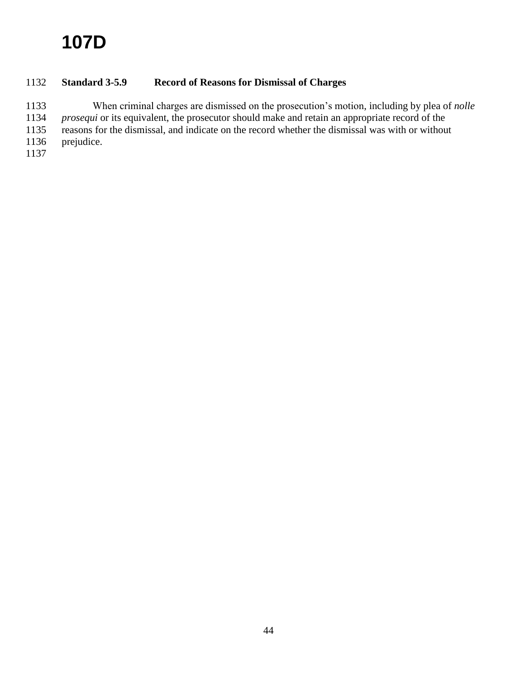#### **Standard 3-5.9 Record of Reasons for Dismissal of Charges**

1133 When criminal charges are dismissed on the prosecution's motion, including by plea of *nolle*<br>1134 prosequi or its equivalent, the prosecutor should make and retain an appropriate record of the

*prosequi* or its equivalent, the prosecutor should make and retain an appropriate record of the

reasons for the dismissal, and indicate on the record whether the dismissal was with or without

- prejudice.
-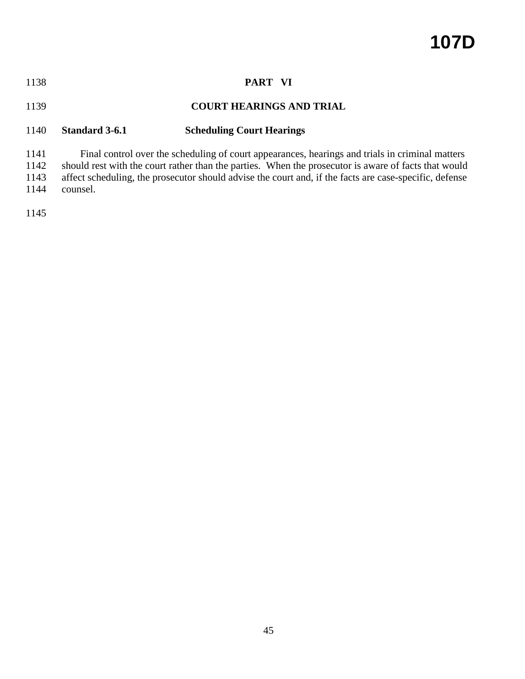| 1138                         |                       | PART VI                                                                                                                                                                                                                                                                                                           |
|------------------------------|-----------------------|-------------------------------------------------------------------------------------------------------------------------------------------------------------------------------------------------------------------------------------------------------------------------------------------------------------------|
| 1139                         |                       | <b>COURT HEARINGS AND TRIAL</b>                                                                                                                                                                                                                                                                                   |
| 1140                         | <b>Standard 3-6.1</b> | <b>Scheduling Court Hearings</b>                                                                                                                                                                                                                                                                                  |
| 1141<br>1142<br>1143<br>1144 | counsel.              | Final control over the scheduling of court appearances, hearings and trials in criminal matters<br>should rest with the court rather than the parties. When the prosecutor is aware of facts that would<br>affect scheduling, the prosecutor should advise the court and, if the facts are case-specific, defense |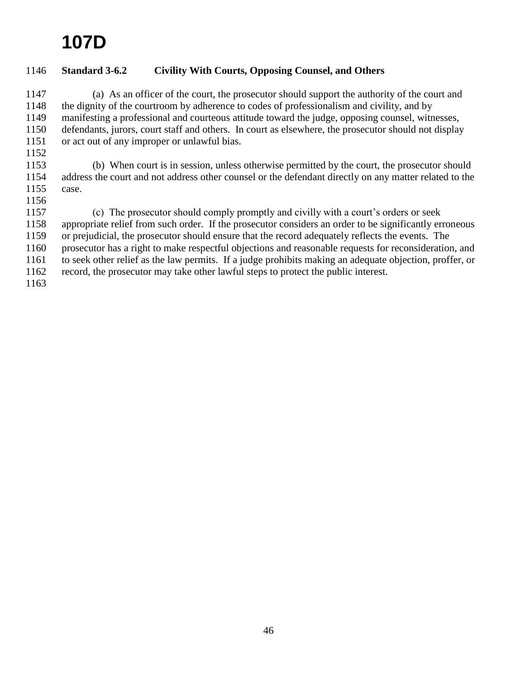### **Standard 3-6.2 Civility With Courts, Opposing Counsel, and Others**

 (a) As an officer of the court, the prosecutor should support the authority of the court and the dignity of the courtroom by adherence to codes of professionalism and civility, and by manifesting a professional and courteous attitude toward the judge, opposing counsel, witnesses, defendants, jurors, court staff and others. In court as elsewhere, the prosecutor should not display or act out of any improper or unlawful bias. 

 (b) When court is in session, unless otherwise permitted by the court, the prosecutor should address the court and not address other counsel or the defendant directly on any matter related to the case.

 (c) The prosecutor should comply promptly and civilly with a court's orders or seek appropriate relief from such order. If the prosecutor considers an order to be significantly erroneous or prejudicial, the prosecutor should ensure that the record adequately reflects the events. The prosecutor has a right to make respectful objections and reasonable requests for reconsideration, and to seek other relief as the law permits. If a judge prohibits making an adequate objection, proffer, or record, the prosecutor may take other lawful steps to protect the public interest.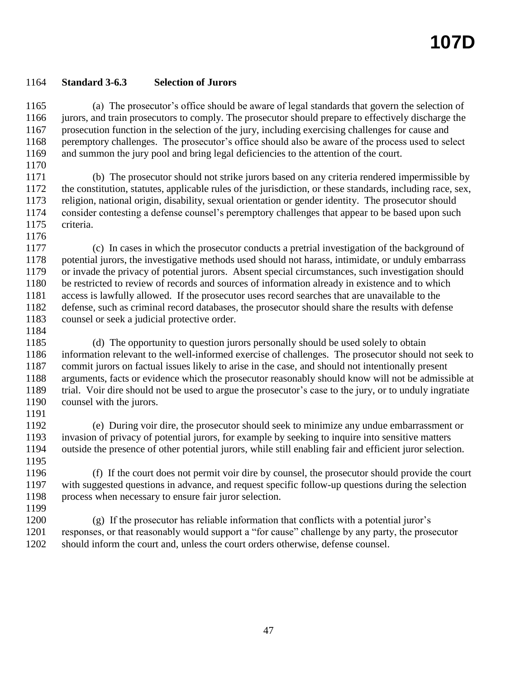### **Standard 3-6.3 Selection of Jurors**

 (a) The prosecutor's office should be aware of legal standards that govern the selection of jurors, and train prosecutors to comply. The prosecutor should prepare to effectively discharge the prosecution function in the selection of the jury, including exercising challenges for cause and peremptory challenges. The prosecutor's office should also be aware of the process used to select and summon the jury pool and bring legal deficiencies to the attention of the court.

 (b) The prosecutor should not strike jurors based on any criteria rendered impermissible by the constitution, statutes, applicable rules of the jurisdiction, or these standards, including race, sex, religion, national origin, disability, sexual orientation or gender identity. The prosecutor should consider contesting a defense counsel's peremptory challenges that appear to be based upon such criteria.

 (c) In cases in which the prosecutor conducts a pretrial investigation of the background of potential jurors, the investigative methods used should not harass, intimidate, or unduly embarrass or invade the privacy of potential jurors. Absent special circumstances, such investigation should be restricted to review of records and sources of information already in existence and to which access is lawfully allowed. If the prosecutor uses record searches that are unavailable to the defense, such as criminal record databases, the prosecutor should share the results with defense counsel or seek a judicial protective order.

 (d) The opportunity to question jurors personally should be used solely to obtain information relevant to the well-informed exercise of challenges. The prosecutor should not seek to commit jurors on factual issues likely to arise in the case, and should not intentionally present arguments, facts or evidence which the prosecutor reasonably should know will not be admissible at trial. Voir dire should not be used to argue the prosecutor's case to the jury, or to unduly ingratiate 1190 counsel with the jurors.

 (e) During voir dire, the prosecutor should seek to minimize any undue embarrassment or invasion of privacy of potential jurors, for example by seeking to inquire into sensitive matters outside the presence of other potential jurors, while still enabling fair and efficient juror selection. 

 (f) If the court does not permit voir dire by counsel, the prosecutor should provide the court with suggested questions in advance, and request specific follow-up questions during the selection process when necessary to ensure fair juror selection.

 (g) If the prosecutor has reliable information that conflicts with a potential juror's responses, or that reasonably would support a "for cause" challenge by any party, the prosecutor should inform the court and, unless the court orders otherwise, defense counsel.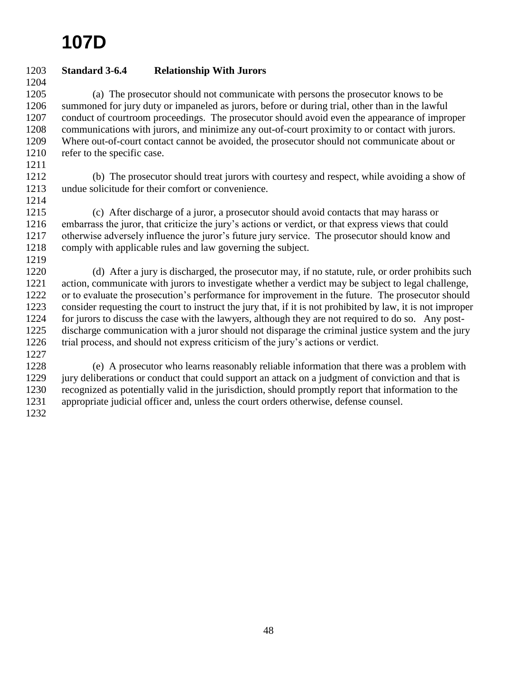#### **Standard 3-6.4 Relationship With Jurors**  (a) The prosecutor should not communicate with persons the prosecutor knows to be summoned for jury duty or impaneled as jurors, before or during trial, other than in the lawful conduct of courtroom proceedings. The prosecutor should avoid even the appearance of improper communications with jurors, and minimize any out-of-court proximity to or contact with jurors.

 Where out-of-court contact cannot be avoided, the prosecutor should not communicate about or refer to the specific case. 

 (b) The prosecutor should treat jurors with courtesy and respect, while avoiding a show of undue solicitude for their comfort or convenience. 

 (c) After discharge of a juror, a prosecutor should avoid contacts that may harass or embarrass the juror, that criticize the jury's actions or verdict, or that express views that could otherwise adversely influence the juror's future jury service. The prosecutor should know and comply with applicable rules and law governing the subject.

 (d) After a jury is discharged, the prosecutor may, if no statute, rule, or order prohibits such action, communicate with jurors to investigate whether a verdict may be subject to legal challenge, or to evaluate the prosecution's performance for improvement in the future. The prosecutor should consider requesting the court to instruct the jury that, if it is not prohibited by law, it is not improper for jurors to discuss the case with the lawyers, although they are not required to do so. Any post- discharge communication with a juror should not disparage the criminal justice system and the jury trial process, and should not express criticism of the jury's actions or verdict. 

 (e) A prosecutor who learns reasonably reliable information that there was a problem with 1229 jury deliberations or conduct that could support an attack on a judgment of conviction and that is recognized as potentially valid in the jurisdiction, should promptly report that information to the appropriate judicial officer and, unless the court orders otherwise, defense counsel.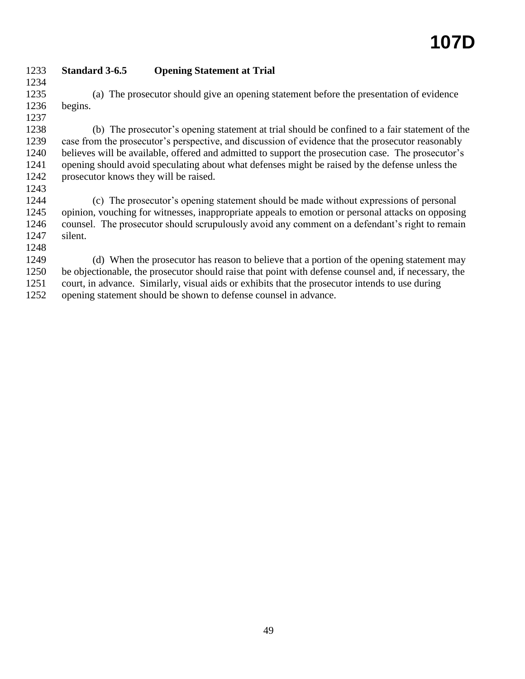**Standard 3-6.5 Opening Statement at Trial**  

 (a) The prosecutor should give an opening statement before the presentation of evidence begins.

 (b) The prosecutor's opening statement at trial should be confined to a fair statement of the case from the prosecutor's perspective, and discussion of evidence that the prosecutor reasonably believes will be available, offered and admitted to support the prosecution case. The prosecutor's opening should avoid speculating about what defenses might be raised by the defense unless the prosecutor knows they will be raised.

 (c) The prosecutor's opening statement should be made without expressions of personal opinion, vouching for witnesses, inappropriate appeals to emotion or personal attacks on opposing counsel. The prosecutor should scrupulously avoid any comment on a defendant's right to remain silent. 

 (d) When the prosecutor has reason to believe that a portion of the opening statement may be objectionable, the prosecutor should raise that point with defense counsel and, if necessary, the court, in advance. Similarly, visual aids or exhibits that the prosecutor intends to use during opening statement should be shown to defense counsel in advance.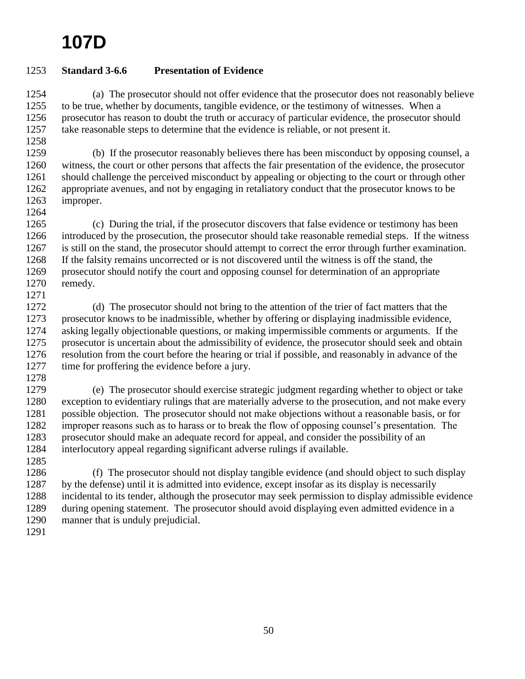### **Standard 3-6.6 Presentation of Evidence**

 (a) The prosecutor should not offer evidence that the prosecutor does not reasonably believe to be true, whether by documents, tangible evidence, or the testimony of witnesses. When a prosecutor has reason to doubt the truth or accuracy of particular evidence, the prosecutor should take reasonable steps to determine that the evidence is reliable, or not present it. 

 (b) If the prosecutor reasonably believes there has been misconduct by opposing counsel, a witness, the court or other persons that affects the fair presentation of the evidence, the prosecutor should challenge the perceived misconduct by appealing or objecting to the court or through other appropriate avenues, and not by engaging in retaliatory conduct that the prosecutor knows to be improper. 

 (c) During the trial, if the prosecutor discovers that false evidence or testimony has been introduced by the prosecution, the prosecutor should take reasonable remedial steps. If the witness is still on the stand, the prosecutor should attempt to correct the error through further examination. If the falsity remains uncorrected or is not discovered until the witness is off the stand, the prosecutor should notify the court and opposing counsel for determination of an appropriate remedy. 

 (d) The prosecutor should not bring to the attention of the trier of fact matters that the prosecutor knows to be inadmissible, whether by offering or displaying inadmissible evidence, asking legally objectionable questions, or making impermissible comments or arguments. If the prosecutor is uncertain about the admissibility of evidence, the prosecutor should seek and obtain resolution from the court before the hearing or trial if possible, and reasonably in advance of the time for proffering the evidence before a jury.

 (e) The prosecutor should exercise strategic judgment regarding whether to object or take exception to evidentiary rulings that are materially adverse to the prosecution, and not make every possible objection. The prosecutor should not make objections without a reasonable basis, or for improper reasons such as to harass or to break the flow of opposing counsel's presentation. The prosecutor should make an adequate record for appeal, and consider the possibility of an interlocutory appeal regarding significant adverse rulings if available.

 (f) The prosecutor should not display tangible evidence (and should object to such display by the defense) until it is admitted into evidence, except insofar as its display is necessarily incidental to its tender, although the prosecutor may seek permission to display admissible evidence during opening statement. The prosecutor should avoid displaying even admitted evidence in a manner that is unduly prejudicial.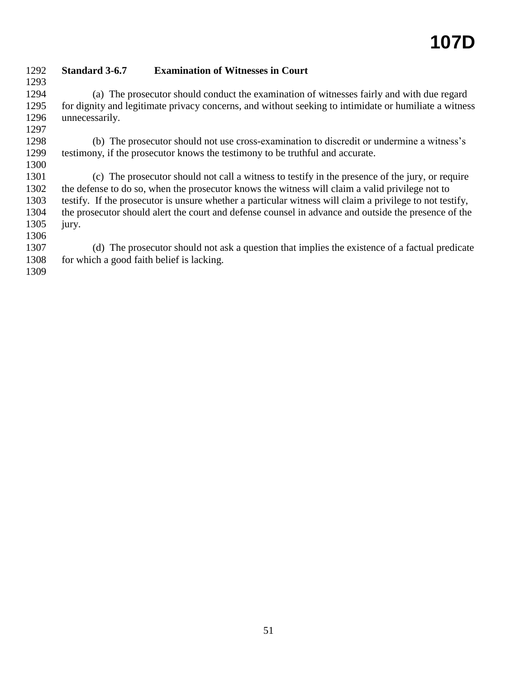**Standard 3-6.7 Examination of Witnesses in Court** 

 (a) The prosecutor should conduct the examination of witnesses fairly and with due regard for dignity and legitimate privacy concerns, and without seeking to intimidate or humiliate a witness unnecessarily. 

- (b) The prosecutor should not use cross-examination to discredit or undermine a witness's testimony, if the prosecutor knows the testimony to be truthful and accurate.
- (c) The prosecutor should not call a witness to testify in the presence of the jury, or require the defense to do so, when the prosecutor knows the witness will claim a valid privilege not to testify. If the prosecutor is unsure whether a particular witness will claim a privilege to not testify, the prosecutor should alert the court and defense counsel in advance and outside the presence of the jury.
- 
- (d) The prosecutor should not ask a question that implies the existence of a factual predicate for which a good faith belief is lacking.
-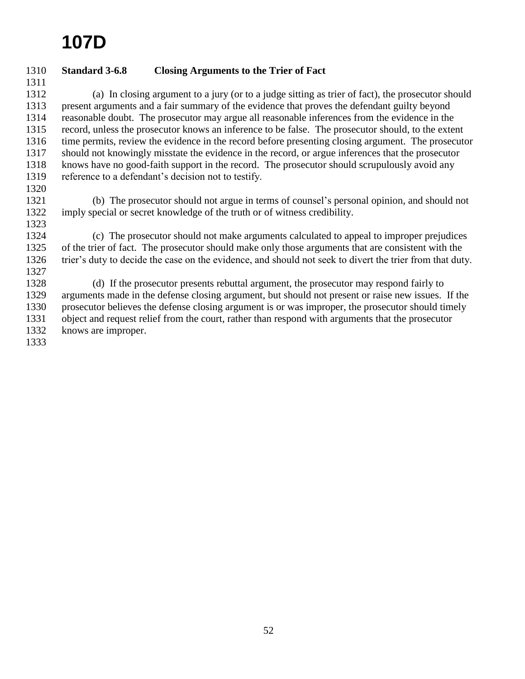### **Standard 3-6.8 Closing Arguments to the Trier of Fact**

 (a) In closing argument to a jury (or to a judge sitting as trier of fact), the prosecutor should present arguments and a fair summary of the evidence that proves the defendant guilty beyond reasonable doubt. The prosecutor may argue all reasonable inferences from the evidence in the record, unless the prosecutor knows an inference to be false. The prosecutor should, to the extent time permits, review the evidence in the record before presenting closing argument. The prosecutor should not knowingly misstate the evidence in the record, or argue inferences that the prosecutor knows have no good-faith support in the record. The prosecutor should scrupulously avoid any reference to a defendant's decision not to testify. 

 (b) The prosecutor should not argue in terms of counsel's personal opinion, and should not imply special or secret knowledge of the truth or of witness credibility.

 (c) The prosecutor should not make arguments calculated to appeal to improper prejudices of the trier of fact. The prosecutor should make only those arguments that are consistent with the trier's duty to decide the case on the evidence, and should not seek to divert the trier from that duty. 

 (d) If the prosecutor presents rebuttal argument, the prosecutor may respond fairly to arguments made in the defense closing argument, but should not present or raise new issues. If the prosecutor believes the defense closing argument is or was improper, the prosecutor should timely object and request relief from the court, rather than respond with arguments that the prosecutor knows are improper.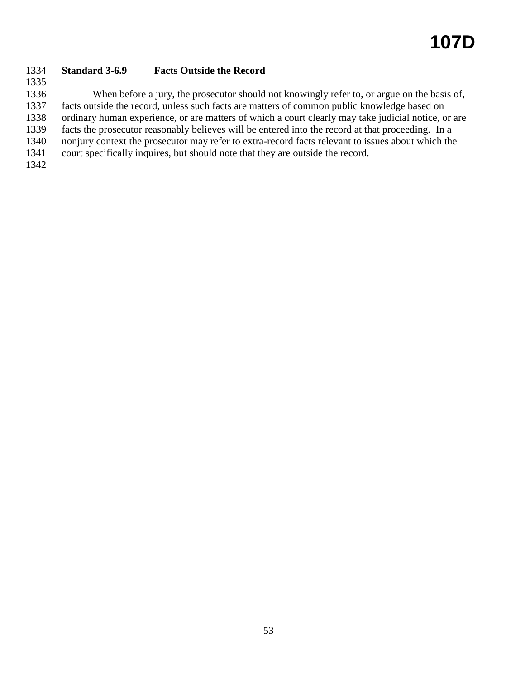#### **Standard 3-6.9 Facts Outside the Record**

 When before a jury, the prosecutor should not knowingly refer to, or argue on the basis of, facts outside the record, unless such facts are matters of common public knowledge based on ordinary human experience, or are matters of which a court clearly may take judicial notice, or are facts the prosecutor reasonably believes will be entered into the record at that proceeding. In a nonjury context the prosecutor may refer to extra-record facts relevant to issues about which the court specifically inquires, but should note that they are outside the record.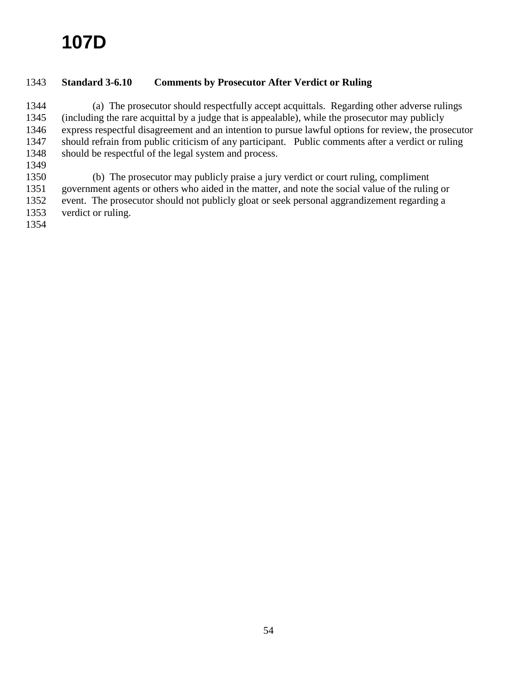#### **Standard 3-6.10 Comments by Prosecutor After Verdict or Ruling**

 (a) The prosecutor should respectfully accept acquittals. Regarding other adverse rulings (including the rare acquittal by a judge that is appealable), while the prosecutor may publicly express respectful disagreement and an intention to pursue lawful options for review, the prosecutor should refrain from public criticism of any participant. Public comments after a verdict or ruling should be respectful of the legal system and process.

 (b) The prosecutor may publicly praise a jury verdict or court ruling, compliment government agents or others who aided in the matter, and note the social value of the ruling or event. The prosecutor should not publicly gloat or seek personal aggrandizement regarding a verdict or ruling.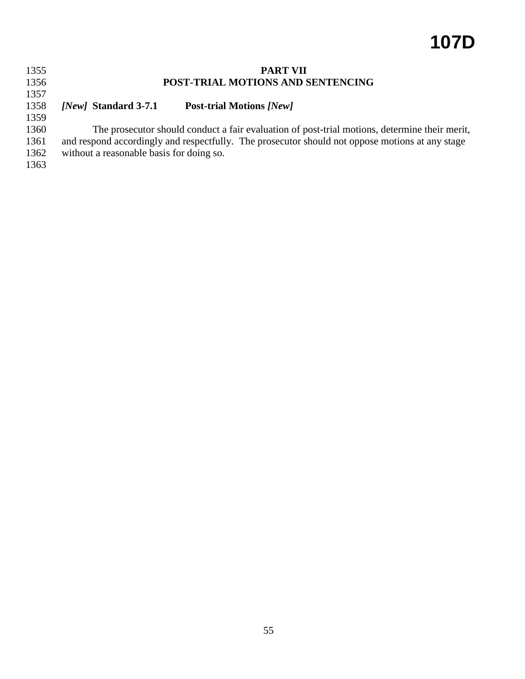#### 1355 **PART VII**<br>1356 **POST-TRIAL MOTIONS AND S POST-TRIAL MOTIONS AND SENTENCING**

1357<br>1358

### *[New]* **Standard 3-7.1 Post-trial Motions** *[New]*

 The prosecutor should conduct a fair evaluation of post-trial motions, determine their merit, 1361 and respond accordingly and respectfully. The prosecutor should not oppose motions at any stage without a reasonable basis for doing so.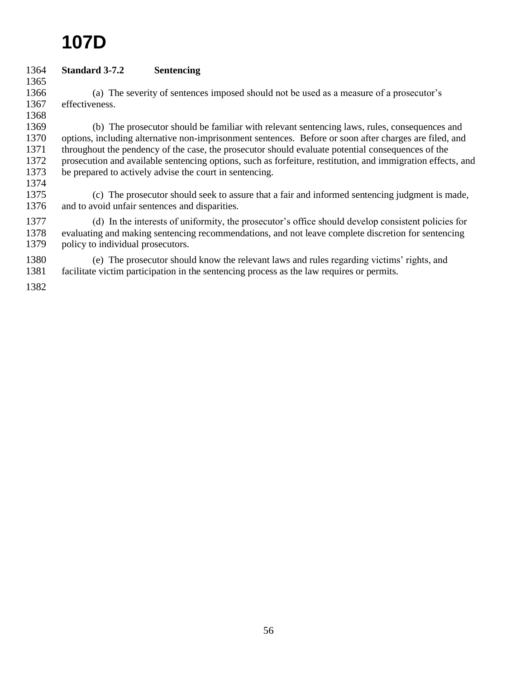#### **Standard 3-7.2 Sentencing**

 (a) The severity of sentences imposed should not be used as a measure of a prosecutor's effectiveness.

 (b) The prosecutor should be familiar with relevant sentencing laws, rules, consequences and options, including alternative non-imprisonment sentences. Before or soon after charges are filed, and throughout the pendency of the case, the prosecutor should evaluate potential consequences of the prosecution and available sentencing options, such as forfeiture, restitution, and immigration effects, and be prepared to actively advise the court in sentencing. 

 (c) The prosecutor should seek to assure that a fair and informed sentencing judgment is made, and to avoid unfair sentences and disparities.

 (d) In the interests of uniformity, the prosecutor's office should develop consistent policies for evaluating and making sentencing recommendations, and not leave complete discretion for sentencing 1379 policy to individual prosecutors.

 (e) The prosecutor should know the relevant laws and rules regarding victims' rights, and facilitate victim participation in the sentencing process as the law requires or permits.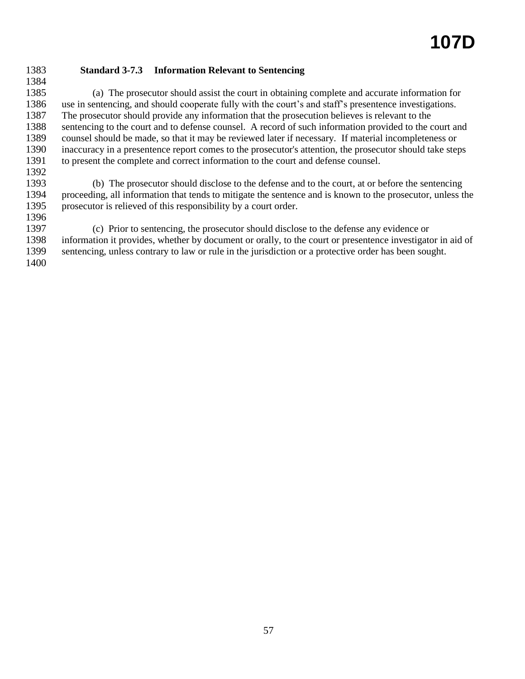#### **Standard 3-7.3 Information Relevant to Sentencing**

 (a) The prosecutor should assist the court in obtaining complete and accurate information for use in sentencing, and should cooperate fully with the court's and staff's presentence investigations. The prosecutor should provide any information that the prosecution believes is relevant to the sentencing to the court and to defense counsel. A record of such information provided to the court and counsel should be made, so that it may be reviewed later if necessary. If material incompleteness or inaccuracy in a presentence report comes to the prosecutor's attention, the prosecutor should take steps to present the complete and correct information to the court and defense counsel.

 (b) The prosecutor should disclose to the defense and to the court, at or before the sentencing proceeding, all information that tends to mitigate the sentence and is known to the prosecutor, unless the prosecutor is relieved of this responsibility by a court order. 

 (c) Prior to sentencing, the prosecutor should disclose to the defense any evidence or information it provides, whether by document or orally, to the court or presentence investigator in aid of sentencing, unless contrary to law or rule in the jurisdiction or a protective order has been sought.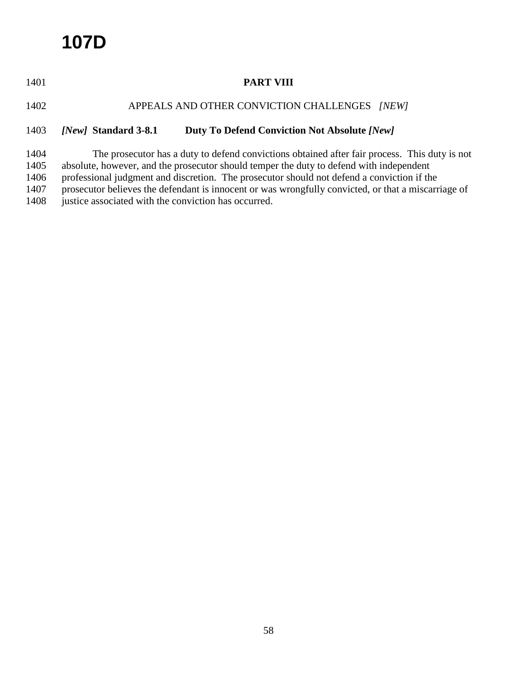| 1401                                 | <b>PART VIII</b>                                                                                                                                                                                                                                                                                                                                                                                                                                      |
|--------------------------------------|-------------------------------------------------------------------------------------------------------------------------------------------------------------------------------------------------------------------------------------------------------------------------------------------------------------------------------------------------------------------------------------------------------------------------------------------------------|
| 1402                                 | APPEALS AND OTHER CONVICTION CHALLENGES [NEW]                                                                                                                                                                                                                                                                                                                                                                                                         |
| 1403                                 | [New] Standard 3-8.1<br><b>Duty To Defend Conviction Not Absolute [New]</b>                                                                                                                                                                                                                                                                                                                                                                           |
| 1404<br>1405<br>1406<br>1407<br>1408 | The prosecutor has a duty to defend convictions obtained after fair process. This duty is not<br>absolute, however, and the prosecutor should temper the duty to defend with independent<br>professional judgment and discretion. The prosecutor should not defend a conviction if the<br>prosecutor believes the defendant is innocent or was wrongfully convicted, or that a miscarriage of<br>justice associated with the conviction has occurred. |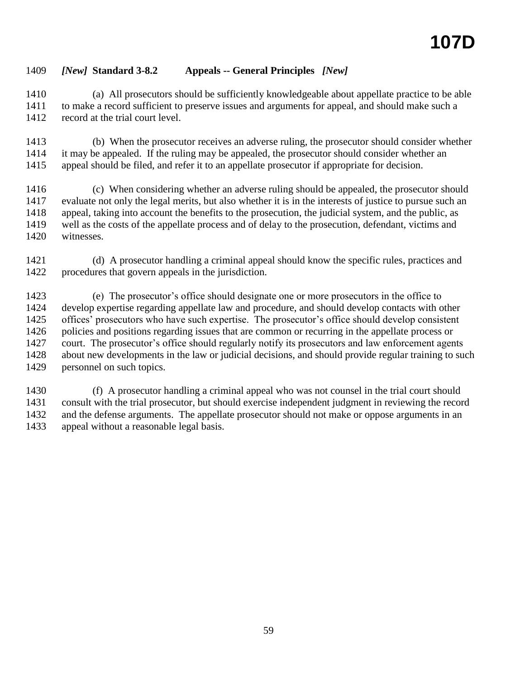### *[New]* **Standard 3-8.2 Appeals -- General Principles** *[New]*

 (a) All prosecutors should be sufficiently knowledgeable about appellate practice to be able to make a record sufficient to preserve issues and arguments for appeal, and should make such a 1412 record at the trial court level.

 (b) When the prosecutor receives an adverse ruling, the prosecutor should consider whether it may be appealed. If the ruling may be appealed, the prosecutor should consider whether an appeal should be filed, and refer it to an appellate prosecutor if appropriate for decision.

 (c) When considering whether an adverse ruling should be appealed, the prosecutor should evaluate not only the legal merits, but also whether it is in the interests of justice to pursue such an appeal, taking into account the benefits to the prosecution, the judicial system, and the public, as well as the costs of the appellate process and of delay to the prosecution, defendant, victims and witnesses.

 (d) A prosecutor handling a criminal appeal should know the specific rules, practices and procedures that govern appeals in the jurisdiction.

 (e) The prosecutor's office should designate one or more prosecutors in the office to develop expertise regarding appellate law and procedure, and should develop contacts with other offices' prosecutors who have such expertise. The prosecutor's office should develop consistent policies and positions regarding issues that are common or recurring in the appellate process or court. The prosecutor's office should regularly notify its prosecutors and law enforcement agents about new developments in the law or judicial decisions, and should provide regular training to such personnel on such topics.

 (f) A prosecutor handling a criminal appeal who was not counsel in the trial court should consult with the trial prosecutor, but should exercise independent judgment in reviewing the record and the defense arguments. The appellate prosecutor should not make or oppose arguments in an appeal without a reasonable legal basis.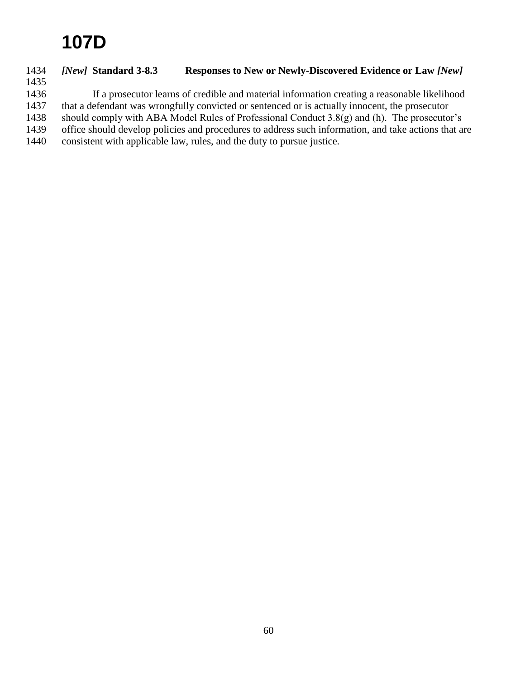| 1434 | <i>[New]</i> Standard 3-8.3 | <b>Responses to New or Newly-Discovered Evidence or Law [New]</b> |
|------|-----------------------------|-------------------------------------------------------------------|
| 1435 |                             |                                                                   |

1436 If a prosecutor learns of credible and material information creating a reasonable likelihood

1437 that a defendant was wrongfully convicted or sentenced or is actually innocent, the prosecutor

1438 should comply with ABA Model Rules of Professional Conduct 3.8(g) and (h). The prosecutor's 1439 office should develop policies and procedures to address such information, and take actions that an

office should develop policies and procedures to address such information, and take actions that are

1440 consistent with applicable law, rules, and the duty to pursue justice.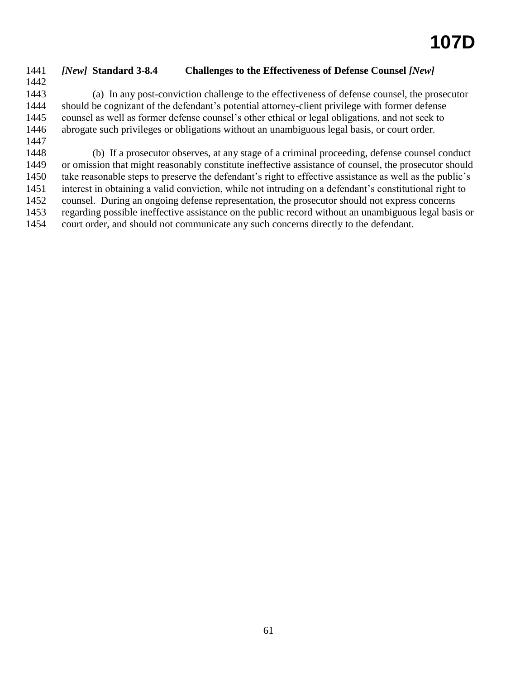### *[New]* **Standard 3-8.4 Challenges to the Effectiveness of Defense Counsel** *[New]*

 (a) In any post-conviction challenge to the effectiveness of defense counsel, the prosecutor should be cognizant of the defendant's potential attorney-client privilege with former defense counsel as well as former defense counsel's other ethical or legal obligations, and not seek to abrogate such privileges or obligations without an unambiguous legal basis, or court order.

 (b) If a prosecutor observes, at any stage of a criminal proceeding, defense counsel conduct or omission that might reasonably constitute ineffective assistance of counsel, the prosecutor should take reasonable steps to preserve the defendant's right to effective assistance as well as the public's interest in obtaining a valid conviction, while not intruding on a defendant's constitutional right to counsel. During an ongoing defense representation, the prosecutor should not express concerns regarding possible ineffective assistance on the public record without an unambiguous legal basis or court order, and should not communicate any such concerns directly to the defendant.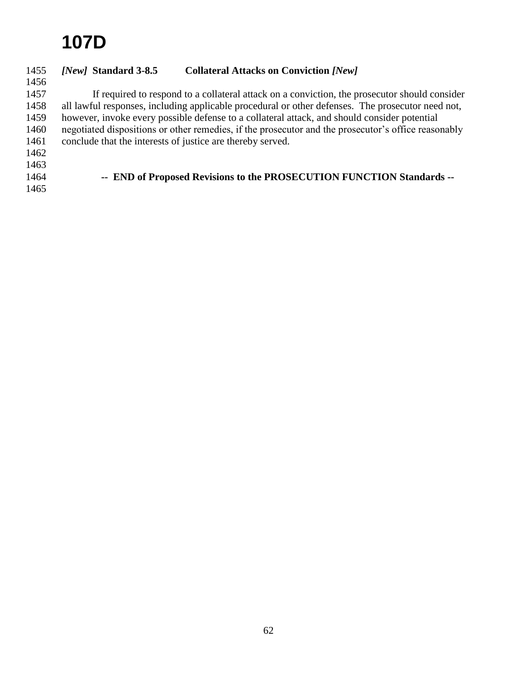| 1455 | [New] Standard 3-8.5 | <b>Collateral Attacks on Conviction [New]</b>                                                       |
|------|----------------------|-----------------------------------------------------------------------------------------------------|
| 1456 |                      |                                                                                                     |
| 1457 |                      | If required to respond to a collateral attack on a conviction, the prosecutor should consider       |
| 1458 |                      | all lawful responses, including applicable procedural or other defenses. The prosecutor need not,   |
| 1459 |                      | however, invoke every possible defense to a collateral attack, and should consider potential        |
| 1460 |                      | negotiated dispositions or other remedies, if the prosecutor and the prosecutor's office reasonably |
| 1461 |                      | conclude that the interests of justice are thereby served.                                          |
| 1462 |                      |                                                                                                     |
| 1463 |                      |                                                                                                     |
| 1464 |                      | -- END of Proposed Revisions to the PROSECUTION FUNCTION Standards --                               |
| 1465 |                      |                                                                                                     |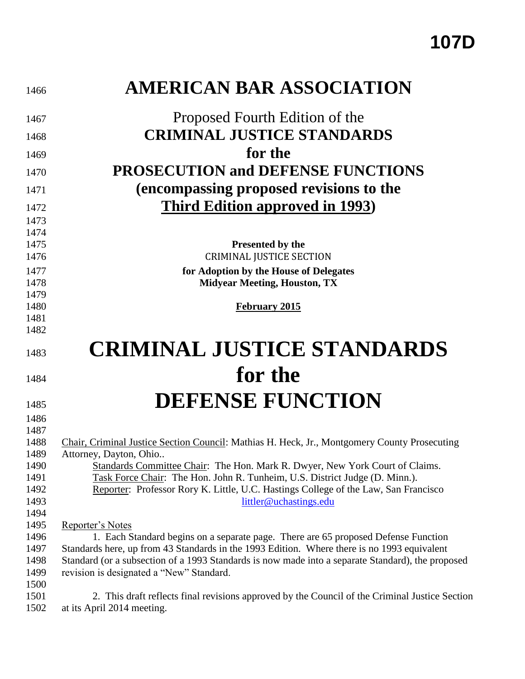| 1466         | <b>AMERICAN BAR ASSOCIATION</b>                                                                                                                                                   |
|--------------|-----------------------------------------------------------------------------------------------------------------------------------------------------------------------------------|
| 1467         | Proposed Fourth Edition of the                                                                                                                                                    |
| 1468         | <b>CRIMINAL JUSTICE STANDARDS</b>                                                                                                                                                 |
| 1469         | for the                                                                                                                                                                           |
|              | <b>PROSECUTION and DEFENSE FUNCTIONS</b>                                                                                                                                          |
| 1470         |                                                                                                                                                                                   |
| 1471         | (encompassing proposed revisions to the                                                                                                                                           |
| 1472         | <b>Third Edition approved in 1993)</b>                                                                                                                                            |
| 1473         |                                                                                                                                                                                   |
| 1474<br>1475 | Presented by the                                                                                                                                                                  |
| 1476         | <b>CRIMINAL JUSTICE SECTION</b>                                                                                                                                                   |
| 1477         | for Adoption by the House of Delegates                                                                                                                                            |
| 1478         | <b>Midyear Meeting, Houston, TX</b>                                                                                                                                               |
| 1479         |                                                                                                                                                                                   |
| 1480<br>1481 | <b>February 2015</b>                                                                                                                                                              |
| 1482         |                                                                                                                                                                                   |
| 1483         | <b>CRIMINAL JUSTICE STANDARDS</b>                                                                                                                                                 |
| 1484         | for the                                                                                                                                                                           |
| 1485         | <b>DEFENSE FUNCTION</b>                                                                                                                                                           |
| 1486<br>1487 |                                                                                                                                                                                   |
| 1488         | Chair, Criminal Justice Section Council: Mathias H. Heck, Jr., Montgomery County Prosecuting                                                                                      |
| 1489         | Attorney, Dayton, Ohio                                                                                                                                                            |
| 1490         | Standards Committee Chair: The Hon. Mark R. Dwyer, New York Court of Claims.                                                                                                      |
| 1491<br>1492 | Task Force Chair: The Hon. John R. Tunheim, U.S. District Judge (D. Minn.).<br>Reporter: Professor Rory K. Little, U.C. Hastings College of the Law, San Francisco                |
| 1493         | littler@uchastings.edu                                                                                                                                                            |
| 1494         |                                                                                                                                                                                   |
| 1495         | Reporter's Notes                                                                                                                                                                  |
| 1496<br>1497 | 1. Each Standard begins on a separate page. There are 65 proposed Defense Function<br>Standards here, up from 43 Standards in the 1993 Edition. Where there is no 1993 equivalent |
| 1498         | Standard (or a subsection of a 1993 Standards is now made into a separate Standard), the proposed                                                                                 |
| 1499         | revision is designated a "New" Standard.                                                                                                                                          |
| 1500         |                                                                                                                                                                                   |
| 1501<br>1502 | 2. This draft reflects final revisions approved by the Council of the Criminal Justice Section<br>at its April 2014 meeting.                                                      |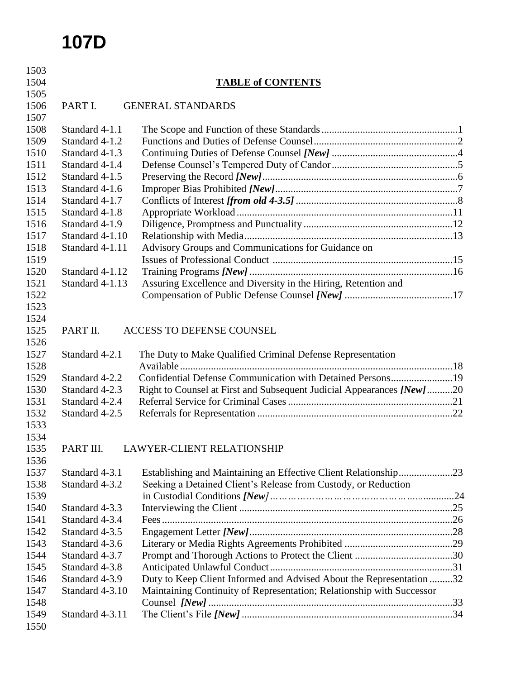| 1503 |                 |                                                                       |
|------|-----------------|-----------------------------------------------------------------------|
| 1504 |                 | <b>TABLE of CONTENTS</b>                                              |
| 1505 |                 |                                                                       |
| 1506 | PART I.         | <b>GENERAL STANDARDS</b>                                              |
| 1507 |                 |                                                                       |
| 1508 | Standard 4-1.1  |                                                                       |
| 1509 | Standard 4-1.2  |                                                                       |
| 1510 | Standard 4-1.3  |                                                                       |
| 1511 | Standard 4-1.4  |                                                                       |
| 1512 | Standard 4-1.5  |                                                                       |
| 1513 | Standard 4-1.6  |                                                                       |
| 1514 | Standard 4-1.7  |                                                                       |
| 1515 | Standard 4-1.8  |                                                                       |
| 1516 | Standard 4-1.9  |                                                                       |
| 1517 | Standard 4-1.10 |                                                                       |
| 1518 | Standard 4-1.11 | Advisory Groups and Communications for Guidance on                    |
| 1519 |                 |                                                                       |
| 1520 | Standard 4-1.12 |                                                                       |
| 1521 | Standard 4-1.13 | Assuring Excellence and Diversity in the Hiring, Retention and        |
| 1522 |                 |                                                                       |
| 1523 |                 |                                                                       |
| 1524 |                 |                                                                       |
| 1525 | PART II.        | <b>ACCESS TO DEFENSE COUNSEL</b>                                      |
| 1526 |                 |                                                                       |
| 1527 | Standard 4-2.1  | The Duty to Make Qualified Criminal Defense Representation            |
| 1528 |                 |                                                                       |
| 1529 | Standard 4-2.2  | Confidential Defense Communication with Detained Persons19            |
| 1530 | Standard 4-2.3  | Right to Counsel at First and Subsequent Judicial Appearances [New]20 |
| 1531 | Standard 4-2.4  |                                                                       |
| 1532 | Standard 4-2.5  |                                                                       |
| 1533 |                 |                                                                       |
| 1534 |                 |                                                                       |
| 1535 |                 | PART III. LAWYER-CLIENT RELATIONSHIP                                  |
| 1536 |                 |                                                                       |
| 1537 | Standard 4-3.1  | Establishing and Maintaining an Effective Client Relationship23       |
| 1538 | Standard 4-3.2  | Seeking a Detained Client's Release from Custody, or Reduction        |
| 1539 |                 |                                                                       |
| 1540 | Standard 4-3.3  |                                                                       |
| 1541 | Standard 4-3.4  |                                                                       |
| 1542 | Standard 4-3.5  |                                                                       |
| 1543 | Standard 4-3.6  |                                                                       |
| 1544 | Standard 4-3.7  |                                                                       |
| 1545 | Standard 4-3.8  |                                                                       |
| 1546 | Standard 4-3.9  | Duty to Keep Client Informed and Advised About the Representation 32  |
| 1547 | Standard 4-3.10 | Maintaining Continuity of Representation; Relationship with Successor |
| 1548 |                 |                                                                       |
| 1549 | Standard 4-3.11 |                                                                       |
| 1550 |                 |                                                                       |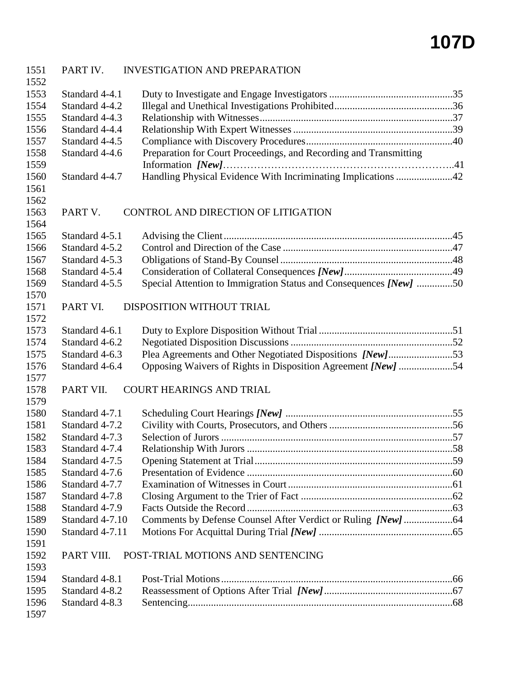| 1551         | PART IV.        | <b>INVESTIGATION AND PREPARATION</b>                              |  |
|--------------|-----------------|-------------------------------------------------------------------|--|
| 1552         |                 |                                                                   |  |
| 1553         | Standard 4-4.1  |                                                                   |  |
| 1554         | Standard 4-4.2  |                                                                   |  |
| 1555         | Standard 4-4.3  |                                                                   |  |
| 1556         | Standard 4-4.4  |                                                                   |  |
| 1557         | Standard 4-4.5  |                                                                   |  |
| 1558         | Standard 4-4.6  | Preparation for Court Proceedings, and Recording and Transmitting |  |
| 1559         |                 |                                                                   |  |
| 1560         | Standard 4-4.7  | Handling Physical Evidence With Incriminating Implications 42     |  |
| 1561         |                 |                                                                   |  |
| 1562         |                 |                                                                   |  |
| 1563<br>1564 | PART V.         | CONTROL AND DIRECTION OF LITIGATION                               |  |
| 1565         | Standard 4-5.1  |                                                                   |  |
| 1566         | Standard 4-5.2  |                                                                   |  |
| 1567         | Standard 4-5.3  |                                                                   |  |
| 1568         | Standard 4-5.4  |                                                                   |  |
| 1569         | Standard 4-5.5  | Special Attention to Immigration Status and Consequences [New] 50 |  |
| 1570         |                 |                                                                   |  |
| 1571         | PART VI.        | <b>DISPOSITION WITHOUT TRIAL</b>                                  |  |
| 1572         |                 |                                                                   |  |
| 1573         | Standard 4-6.1  |                                                                   |  |
| 1574         | Standard 4-6.2  |                                                                   |  |
| 1575         | Standard 4-6.3  | Plea Agreements and Other Negotiated Dispositions [New]53         |  |
| 1576         | Standard 4-6.4  | Opposing Waivers of Rights in Disposition Agreement [New] 54      |  |
| 1577         |                 |                                                                   |  |
| 1578         | PART VII.       | <b>COURT HEARINGS AND TRIAL</b>                                   |  |
| 1579         |                 |                                                                   |  |
| 1580         | Standard 4-7.1  |                                                                   |  |
| 1581         | Standard 4-7.2  |                                                                   |  |
| 1582         | Standard 4-7.3  |                                                                   |  |
| 1583         | Standard 4-7.4  |                                                                   |  |
| 1584         | Standard 4-7.5  |                                                                   |  |
| 1585         | Standard 4-7.6  |                                                                   |  |
| 1586         | Standard 4-7.7  |                                                                   |  |
| 1587         | Standard 4-7.8  |                                                                   |  |
| 1588         | Standard 4-7.9  |                                                                   |  |
| 1589         | Standard 4-7.10 |                                                                   |  |
| 1590         | Standard 4-7.11 |                                                                   |  |
| 1591         |                 |                                                                   |  |
| 1592         | PART VIII.      | POST-TRIAL MOTIONS AND SENTENCING                                 |  |
| 1593         |                 |                                                                   |  |
| 1594         | Standard 4-8.1  |                                                                   |  |
| 1595         | Standard 4-8.2  |                                                                   |  |
| 1596         | Standard 4-8.3  |                                                                   |  |
| 1597         |                 |                                                                   |  |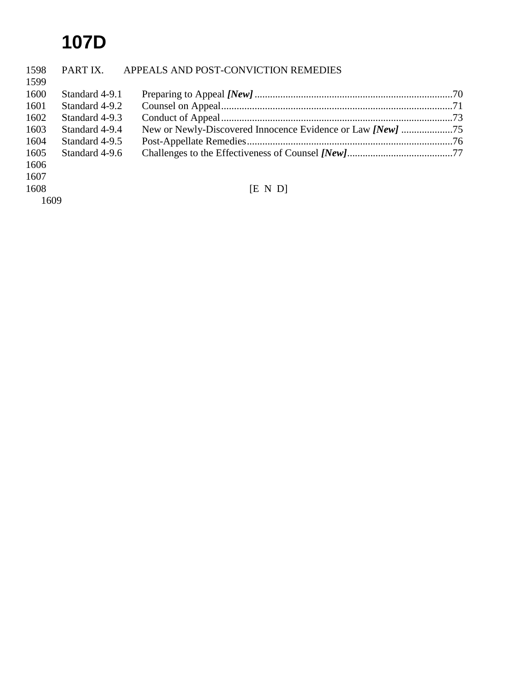| 1598 |                | PART IX. APPEALS AND POST-CONVICTION REMEDIES |  |
|------|----------------|-----------------------------------------------|--|
| 1599 |                |                                               |  |
| 1600 | Standard 4-9.1 |                                               |  |
| 1601 | Standard 4-9.2 |                                               |  |
| 1602 | Standard 4-9.3 |                                               |  |
| 1603 | Standard 4-9.4 |                                               |  |
| 1604 | Standard 4-9.5 |                                               |  |
| 1605 | Standard 4-9.6 |                                               |  |
| 1606 |                |                                               |  |
| 1607 |                |                                               |  |
| 1608 |                | [E N D]                                       |  |
| 1609 |                |                                               |  |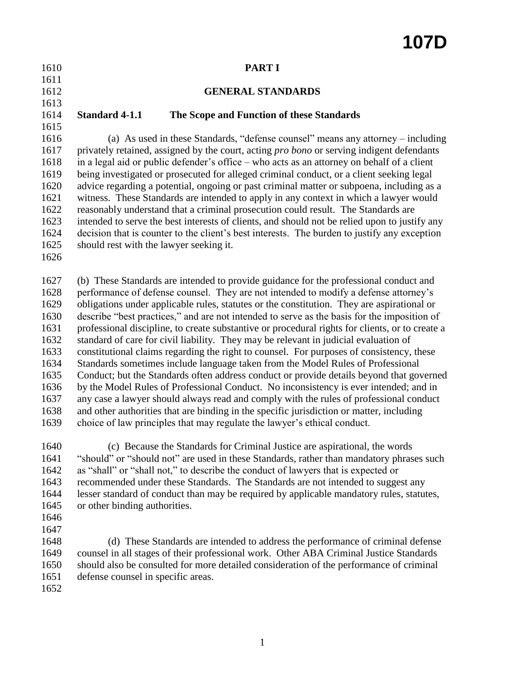| 1610 | <b>PART I</b>                                                                                    |
|------|--------------------------------------------------------------------------------------------------|
| 1611 |                                                                                                  |
| 1612 | <b>GENERAL STANDARDS</b>                                                                         |
| 1613 |                                                                                                  |
| 1614 | <b>Standard 4-1.1</b><br>The Scope and Function of these Standards                               |
| 1615 |                                                                                                  |
| 1616 | (a) As used in these Standards, "defense counsel" means any attorney – including                 |
| 1617 | privately retained, assigned by the court, acting <i>pro bono</i> or serving indigent defendants |
| 1618 | in a legal aid or public defender's office – who acts as an attorney on behalf of a client       |
| 1619 | being investigated or prosecuted for alleged criminal conduct, or a client seeking legal         |
| 1620 | advice regarding a potential, ongoing or past criminal matter or subpoena, including as a        |
| 1621 | witness. These Standards are intended to apply in any context in which a lawyer would            |
| 1622 | reasonably understand that a criminal prosecution could result. The Standards are                |
| 1623 | intended to serve the best interests of clients, and should not be relied upon to justify any    |
| 1624 | decision that is counter to the client's best interests. The burden to justify any exception     |
| 1625 | should rest with the lawyer seeking it.                                                          |
| 1626 |                                                                                                  |
|      |                                                                                                  |
|      |                                                                                                  |

 (b) These Standards are intended to provide guidance for the professional conduct and performance of defense counsel. They are not intended to modify a defense attorney's obligations under applicable rules, statutes or the constitution. They are aspirational or describe "best practices," and are not intended to serve as the basis for the imposition of professional discipline, to create substantive or procedural rights for clients, or to create a standard of care for civil liability. They may be relevant in judicial evaluation of constitutional claims regarding the right to counsel. For purposes of consistency, these Standards sometimes include language taken from the Model Rules of Professional Conduct; but the Standards often address conduct or provide details beyond that governed by the Model Rules of Professional Conduct. No inconsistency is ever intended; and in any case a lawyer should always read and comply with the rules of professional conduct and other authorities that are binding in the specific jurisdiction or matter, including choice of law principles that may regulate the lawyer's ethical conduct.

 (c) Because the Standards for Criminal Justice are aspirational, the words "should" or "should not" are used in these Standards, rather than mandatory phrases such as "shall" or "shall not," to describe the conduct of lawyers that is expected or recommended under these Standards. The Standards are not intended to suggest any lesser standard of conduct than may be required by applicable mandatory rules, statutes, or other binding authorities.

 (d) These Standards are intended to address the performance of criminal defense counsel in all stages of their professional work. Other ABA Criminal Justice Standards should also be consulted for more detailed consideration of the performance of criminal defense counsel in specific areas.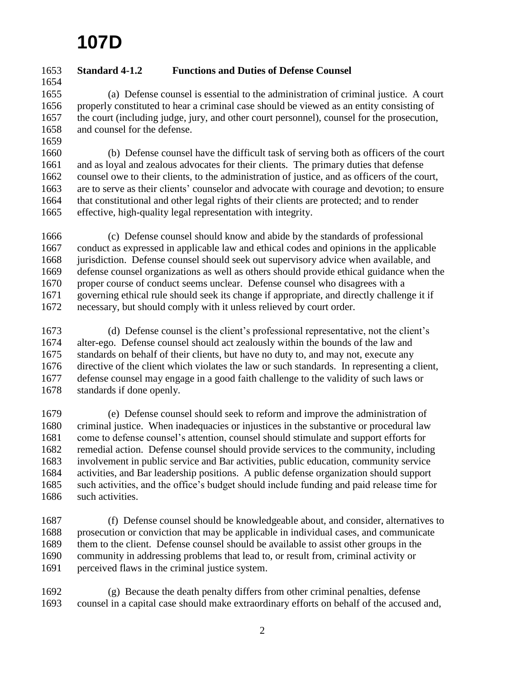#### **Standard 4-1.2 Functions and Duties of Defense Counsel**

 (a) Defense counsel is essential to the administration of criminal justice. A court properly constituted to hear a criminal case should be viewed as an entity consisting of the court (including judge, jury, and other court personnel), counsel for the prosecution, and counsel for the defense.

 (b) Defense counsel have the difficult task of serving both as officers of the court and as loyal and zealous advocates for their clients. The primary duties that defense counsel owe to their clients, to the administration of justice, and as officers of the court, are to serve as their clients' counselor and advocate with courage and devotion; to ensure that constitutional and other legal rights of their clients are protected; and to render effective, high-quality legal representation with integrity.

 (c) Defense counsel should know and abide by the standards of professional conduct as expressed in applicable law and ethical codes and opinions in the applicable jurisdiction. Defense counsel should seek out supervisory advice when available, and defense counsel organizations as well as others should provide ethical guidance when the proper course of conduct seems unclear. Defense counsel who disagrees with a governing ethical rule should seek its change if appropriate, and directly challenge it if necessary, but should comply with it unless relieved by court order.

 (d) Defense counsel is the client's professional representative, not the client's alter-ego. Defense counsel should act zealously within the bounds of the law and standards on behalf of their clients, but have no duty to, and may not, execute any directive of the client which violates the law or such standards. In representing a client, defense counsel may engage in a good faith challenge to the validity of such laws or standards if done openly.

 (e) Defense counsel should seek to reform and improve the administration of criminal justice. When inadequacies or injustices in the substantive or procedural law come to defense counsel's attention, counsel should stimulate and support efforts for remedial action. Defense counsel should provide services to the community, including involvement in public service and Bar activities, public education, community service activities, and Bar leadership positions. A public defense organization should support such activities, and the office's budget should include funding and paid release time for such activities.

 (f) Defense counsel should be knowledgeable about, and consider, alternatives to prosecution or conviction that may be applicable in individual cases, and communicate them to the client. Defense counsel should be available to assist other groups in the community in addressing problems that lead to, or result from, criminal activity or perceived flaws in the criminal justice system.

 (g) Because the death penalty differs from other criminal penalties, defense counsel in a capital case should make extraordinary efforts on behalf of the accused and,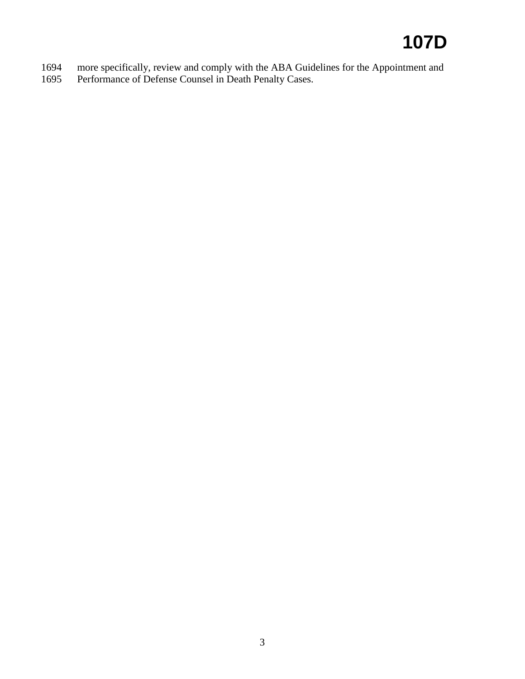- 1694 more specifically, review and comply with the ABA Guidelines for the Appointment and 1695 Performance of Defense Counsel in Death Penalty Cases.
- Performance of Defense Counsel in Death Penalty Cases.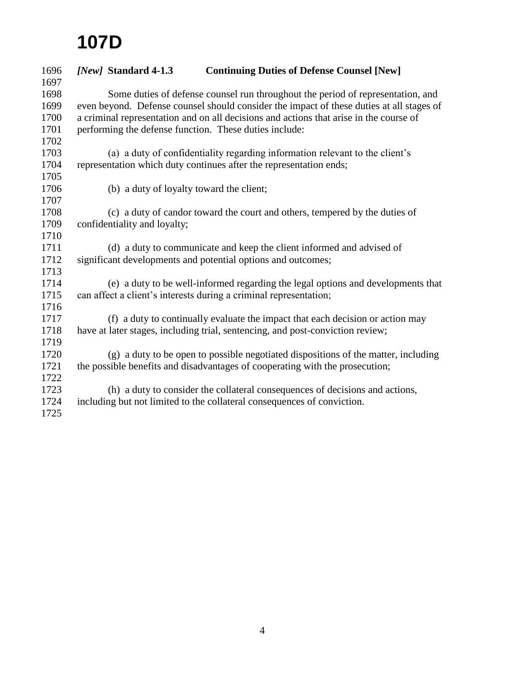| 1696 | [New] Standard 4-1.3                                   | <b>Continuing Duties of Defense Counsel [New]</b>                                        |
|------|--------------------------------------------------------|------------------------------------------------------------------------------------------|
| 1697 |                                                        |                                                                                          |
| 1698 |                                                        | Some duties of defense counsel run throughout the period of representation, and          |
| 1699 |                                                        | even beyond. Defense counsel should consider the impact of these duties at all stages of |
| 1700 |                                                        | a criminal representation and on all decisions and actions that arise in the course of   |
| 1701 | performing the defense function. These duties include: |                                                                                          |
| 1702 |                                                        |                                                                                          |
| 1703 |                                                        | (a) a duty of confidentiality regarding information relevant to the client's             |
| 1704 |                                                        | representation which duty continues after the representation ends;                       |
| 1705 |                                                        |                                                                                          |
| 1706 | (b) a duty of loyalty toward the client;               |                                                                                          |
| 1707 |                                                        |                                                                                          |
| 1708 |                                                        | (c) a duty of candor toward the court and others, tempered by the duties of              |
| 1709 | confidentiality and loyalty;                           |                                                                                          |
| 1710 |                                                        |                                                                                          |
| 1711 |                                                        | (d) a duty to communicate and keep the client informed and advised of                    |
| 1712 |                                                        | significant developments and potential options and outcomes;                             |
| 1713 |                                                        |                                                                                          |
| 1714 |                                                        | (e) a duty to be well-informed regarding the legal options and developments that         |
| 1715 |                                                        | can affect a client's interests during a criminal representation;                        |
| 1716 |                                                        |                                                                                          |
| 1717 |                                                        | (f) a duty to continually evaluate the impact that each decision or action may           |
| 1718 |                                                        | have at later stages, including trial, sentencing, and post-conviction review;           |
| 1719 |                                                        |                                                                                          |
| 1720 |                                                        | (g) a duty to be open to possible negotiated dispositions of the matter, including       |
| 1721 |                                                        | the possible benefits and disadvantages of cooperating with the prosecution;             |
| 1722 |                                                        |                                                                                          |
| 1723 |                                                        | (h) a duty to consider the collateral consequences of decisions and actions,             |
| 1724 |                                                        | including but not limited to the collateral consequences of conviction.                  |
| 1725 |                                                        |                                                                                          |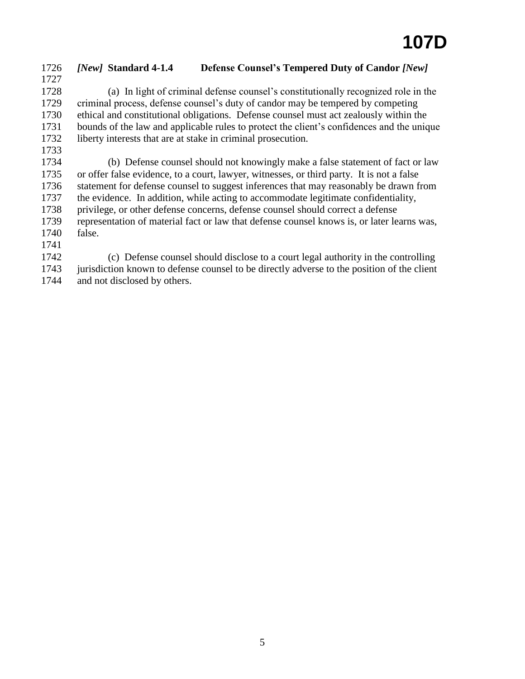| 1726 | [New] Standard 4-1.4 | <b>Defense Counsel's Tempered Duty of Candor [New]</b>                                     |
|------|----------------------|--------------------------------------------------------------------------------------------|
| 1727 |                      |                                                                                            |
| 1728 |                      | (a) In light of criminal defense counsel's constitutionally recognized role in the         |
| 1729 |                      | criminal process, defense counsel's duty of candor may be tempered by competing            |
| 1730 |                      | ethical and constitutional obligations. Defense counsel must act zealously within the      |
| 1731 |                      | bounds of the law and applicable rules to protect the client's confidences and the unique  |
| 1732 |                      | liberty interests that are at stake in criminal prosecution.                               |
| 1733 |                      |                                                                                            |
| 1734 |                      | (b) Defense counsel should not knowingly make a false statement of fact or law             |
| 1735 |                      | or offer false evidence, to a court, lawyer, witnesses, or third party. It is not a false  |
| 1736 |                      | statement for defense counsel to suggest inferences that may reasonably be drawn from      |
| 1737 |                      | the evidence. In addition, while acting to accommodate legitimate confidentiality,         |
| 1738 |                      | privilege, or other defense concerns, defense counsel should correct a defense             |
| 1739 |                      | representation of material fact or law that defense counsel knows is, or later learns was, |
| 1740 | false.               |                                                                                            |
| 1741 |                      |                                                                                            |
| 1742 |                      | (c) Defense counsel should disclose to a court legal authority in the controlling          |
|      |                      |                                                                                            |

1743 jurisdiction known to defense counsel to be directly adverse to the position of the client 1744 and not disclosed by others. and not disclosed by others.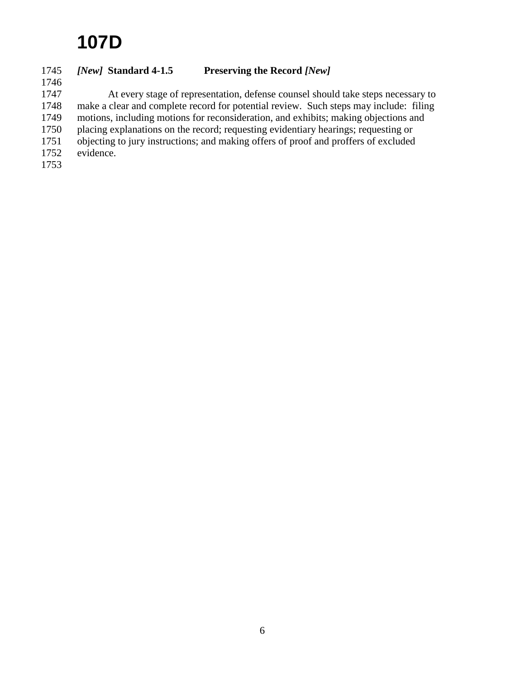#### *[New]* **Standard 4-1.5 Preserving the Record** *[New]*

 At every stage of representation, defense counsel should take steps necessary to make a clear and complete record for potential review. Such steps may include: filing motions, including motions for reconsideration, and exhibits; making objections and placing explanations on the record; requesting evidentiary hearings; requesting or objecting to jury instructions; and making offers of proof and proffers of excluded evidence.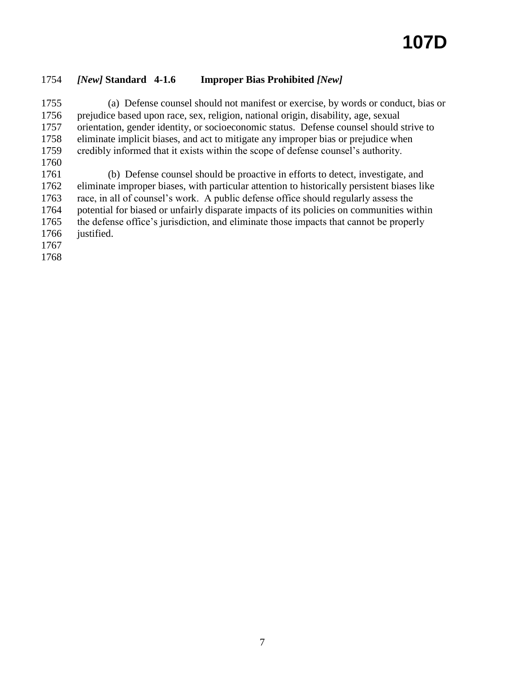#### *[New]* **Standard 4-1.6 Improper Bias Prohibited** *[New]*

 (a) Defense counsel should not manifest or exercise, by words or conduct, bias or prejudice based upon race, sex, religion, national origin, disability, age, sexual orientation, gender identity, or socioeconomic status. Defense counsel should strive to eliminate implicit biases, and act to mitigate any improper bias or prejudice when credibly informed that it exists within the scope of defense counsel's authority. (b) Defense counsel should be proactive in efforts to detect, investigate, and

 eliminate improper biases, with particular attention to historically persistent biases like race, in all of counsel's work. A public defense office should regularly assess the potential for biased or unfairly disparate impacts of its policies on communities within the defense office's jurisdiction, and eliminate those impacts that cannot be properly justified.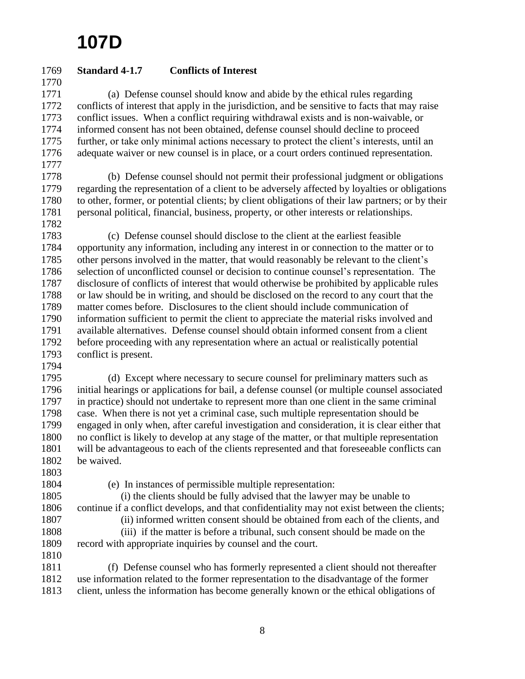### **Standard 4-1.7 Conflicts of Interest**

 (a) Defense counsel should know and abide by the ethical rules regarding conflicts of interest that apply in the jurisdiction, and be sensitive to facts that may raise conflict issues. When a conflict requiring withdrawal exists and is non-waivable, or informed consent has not been obtained, defense counsel should decline to proceed further, or take only minimal actions necessary to protect the client's interests, until an adequate waiver or new counsel is in place, or a court orders continued representation.

 (b) Defense counsel should not permit their professional judgment or obligations regarding the representation of a client to be adversely affected by loyalties or obligations to other, former, or potential clients; by client obligations of their law partners; or by their personal political, financial, business, property, or other interests or relationships.

 (c) Defense counsel should disclose to the client at the earliest feasible opportunity any information, including any interest in or connection to the matter or to other persons involved in the matter, that would reasonably be relevant to the client's selection of unconflicted counsel or decision to continue counsel's representation. The disclosure of conflicts of interest that would otherwise be prohibited by applicable rules or law should be in writing, and should be disclosed on the record to any court that the matter comes before. Disclosures to the client should include communication of information sufficient to permit the client to appreciate the material risks involved and available alternatives. Defense counsel should obtain informed consent from a client before proceeding with any representation where an actual or realistically potential conflict is present.

 (d) Except where necessary to secure counsel for preliminary matters such as initial hearings or applications for bail, a defense counsel (or multiple counsel associated in practice) should not undertake to represent more than one client in the same criminal case. When there is not yet a criminal case, such multiple representation should be engaged in only when, after careful investigation and consideration, it is clear either that no conflict is likely to develop at any stage of the matter, or that multiple representation will be advantageous to each of the clients represented and that foreseeable conflicts can be waived.

- 
- 

(e) In instances of permissible multiple representation:

1805 (i) the clients should be fully advised that the lawyer may be unable to continue if a conflict develops, and that confidentiality may not exist between the clients; 1807 (ii) informed written consent should be obtained from each of the clients, and

- 1808 (iii) if the matter is before a tribunal, such consent should be made on the
- record with appropriate inquiries by counsel and the court.

 (f) Defense counsel who has formerly represented a client should not thereafter use information related to the former representation to the disadvantage of the former client, unless the information has become generally known or the ethical obligations of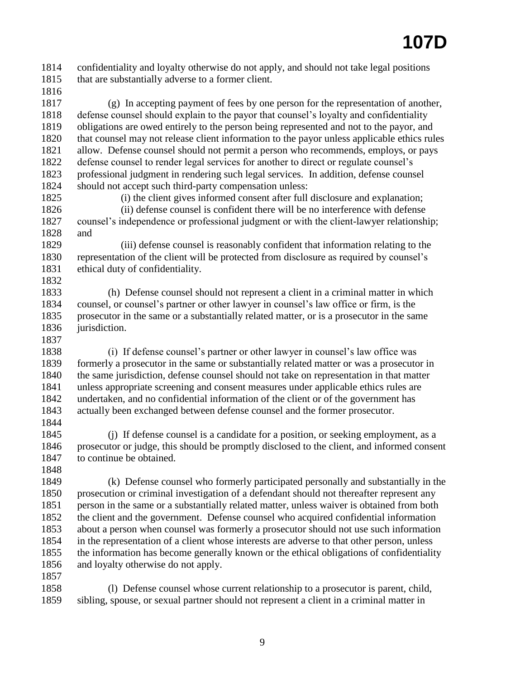confidentiality and loyalty otherwise do not apply, and should not take legal positions 1815 that are substantially adverse to a former client.

 (g) In accepting payment of fees by one person for the representation of another, defense counsel should explain to the payor that counsel's loyalty and confidentiality obligations are owed entirely to the person being represented and not to the payor, and that counsel may not release client information to the payor unless applicable ethics rules allow. Defense counsel should not permit a person who recommends, employs, or pays defense counsel to render legal services for another to direct or regulate counsel's professional judgment in rendering such legal services. In addition, defense counsel should not accept such third-party compensation unless:

1825 (i) the client gives informed consent after full disclosure and explanation;

1826 (ii) defense counsel is confident there will be no interference with defense counsel's independence or professional judgment or with the client-lawyer relationship; and

1829 (iii) defense counsel is reasonably confident that information relating to the representation of the client will be protected from disclosure as required by counsel's ethical duty of confidentiality. 

 (h) Defense counsel should not represent a client in a criminal matter in which counsel, or counsel's partner or other lawyer in counsel's law office or firm, is the prosecutor in the same or a substantially related matter, or is a prosecutor in the same jurisdiction. 

 (i) If defense counsel's partner or other lawyer in counsel's law office was formerly a prosecutor in the same or substantially related matter or was a prosecutor in the same jurisdiction, defense counsel should not take on representation in that matter unless appropriate screening and consent measures under applicable ethics rules are undertaken, and no confidential information of the client or of the government has actually been exchanged between defense counsel and the former prosecutor. 

 (j) If defense counsel is a candidate for a position, or seeking employment, as a prosecutor or judge, this should be promptly disclosed to the client, and informed consent to continue be obtained.

 (k) Defense counsel who formerly participated personally and substantially in the prosecution or criminal investigation of a defendant should not thereafter represent any person in the same or a substantially related matter, unless waiver is obtained from both the client and the government. Defense counsel who acquired confidential information about a person when counsel was formerly a prosecutor should not use such information in the representation of a client whose interests are adverse to that other person, unless the information has become generally known or the ethical obligations of confidentiality and loyalty otherwise do not apply.

 (l) Defense counsel whose current relationship to a prosecutor is parent, child, sibling, spouse, or sexual partner should not represent a client in a criminal matter in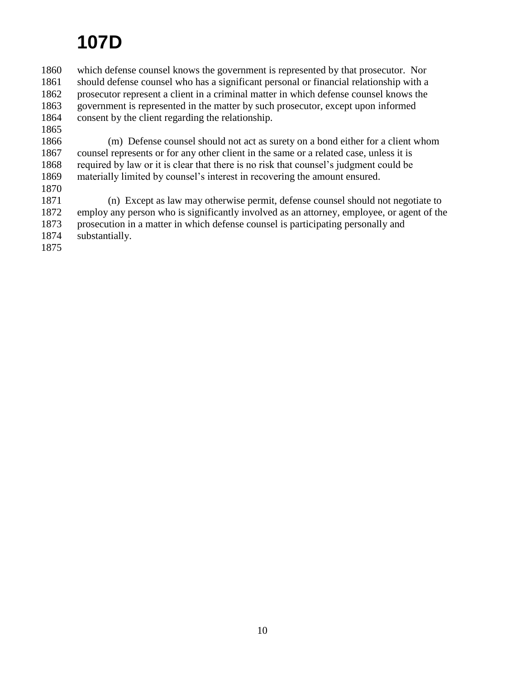which defense counsel knows the government is represented by that prosecutor. Nor should defense counsel who has a significant personal or financial relationship with a prosecutor represent a client in a criminal matter in which defense counsel knows the government is represented in the matter by such prosecutor, except upon informed consent by the client regarding the relationship.

 (m) Defense counsel should not act as surety on a bond either for a client whom counsel represents or for any other client in the same or a related case, unless it is required by law or it is clear that there is no risk that counsel's judgment could be materially limited by counsel's interest in recovering the amount ensured.

 (n) Except as law may otherwise permit, defense counsel should not negotiate to employ any person who is significantly involved as an attorney, employee, or agent of the prosecution in a matter in which defense counsel is participating personally and substantially.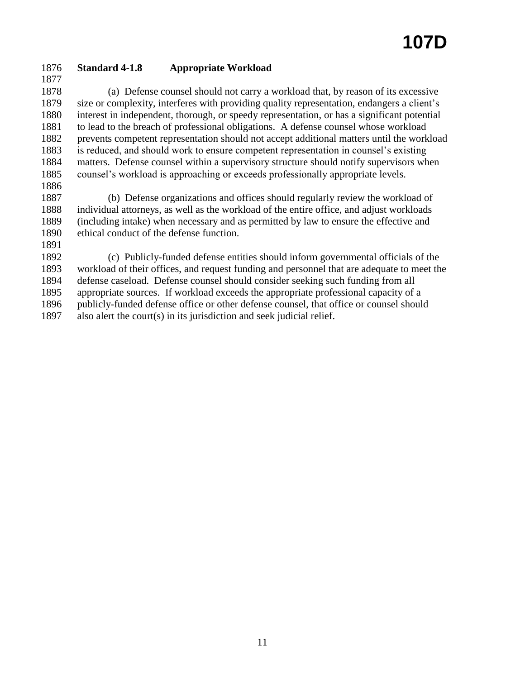#### **Standard 4-1.8 Appropriate Workload**

 (a) Defense counsel should not carry a workload that, by reason of its excessive size or complexity, interferes with providing quality representation, endangers a client's interest in independent, thorough, or speedy representation, or has a significant potential to lead to the breach of professional obligations. A defense counsel whose workload prevents competent representation should not accept additional matters until the workload is reduced, and should work to ensure competent representation in counsel's existing matters. Defense counsel within a supervisory structure should notify supervisors when counsel's workload is approaching or exceeds professionally appropriate levels. 

 (b) Defense organizations and offices should regularly review the workload of individual attorneys, as well as the workload of the entire office, and adjust workloads (including intake) when necessary and as permitted by law to ensure the effective and ethical conduct of the defense function.

 (c) Publicly-funded defense entities should inform governmental officials of the workload of their offices, and request funding and personnel that are adequate to meet the defense caseload. Defense counsel should consider seeking such funding from all appropriate sources. If workload exceeds the appropriate professional capacity of a publicly-funded defense office or other defense counsel, that office or counsel should also alert the court(s) in its jurisdiction and seek judicial relief.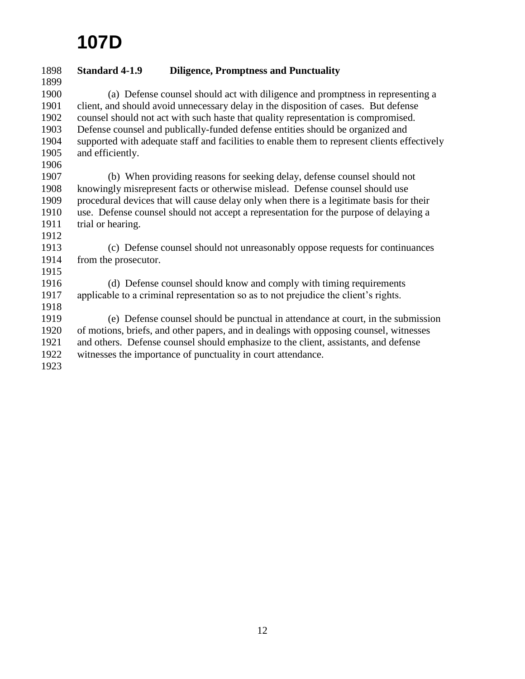| 1898 | <b>Standard 4-1.9</b> | <b>Diligence, Promptness and Punctuality</b>                                                 |
|------|-----------------------|----------------------------------------------------------------------------------------------|
| 1899 |                       |                                                                                              |
| 1900 |                       | (a) Defense counsel should act with diligence and promptness in representing a               |
| 1901 |                       | client, and should avoid unnecessary delay in the disposition of cases. But defense          |
| 1902 |                       | counsel should not act with such haste that quality representation is compromised.           |
| 1903 |                       | Defense counsel and publically-funded defense entities should be organized and               |
| 1904 |                       | supported with adequate staff and facilities to enable them to represent clients effectively |
| 1905 | and efficiently.      |                                                                                              |
| 1906 |                       |                                                                                              |
| 1907 |                       | (b) When providing reasons for seeking delay, defense counsel should not                     |
| 1908 |                       | knowingly misrepresent facts or otherwise mislead. Defense counsel should use                |
| 1909 |                       | procedural devices that will cause delay only when there is a legitimate basis for their     |
| 1910 |                       | use. Defense counsel should not accept a representation for the purpose of delaying a        |
| 1911 | trial or hearing.     |                                                                                              |
| 1912 |                       |                                                                                              |
| 1913 |                       | (c) Defense counsel should not unreasonably oppose requests for continuances                 |
| 1914 | from the prosecutor.  |                                                                                              |
| 1915 |                       |                                                                                              |
| 1916 |                       | (d) Defense counsel should know and comply with timing requirements                          |
| 1917 |                       | applicable to a criminal representation so as to not prejudice the client's rights.          |
| 1918 |                       |                                                                                              |
| 1919 |                       | (e) Defense counsel should be punctual in attendance at court, in the submission             |
| 1920 |                       | of motions, briefs, and other papers, and in dealings with opposing counsel, witnesses       |
| 1921 |                       | and others. Defense counsel should emphasize to the client, assistants, and defense          |
| 1922 |                       | witnesses the importance of punctuality in court attendance.                                 |
| 1923 |                       |                                                                                              |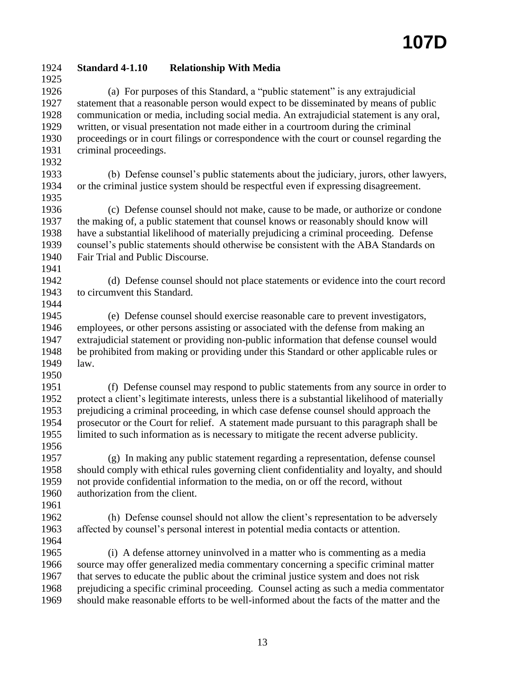| 1924 | <b>Standard 4-1.10</b>                                                                    | <b>Relationship With Media</b>                                                                  |  |  |
|------|-------------------------------------------------------------------------------------------|-------------------------------------------------------------------------------------------------|--|--|
| 1925 |                                                                                           |                                                                                                 |  |  |
| 1926 |                                                                                           | (a) For purposes of this Standard, a "public statement" is any extrajudicial                    |  |  |
| 1927 | statement that a reasonable person would expect to be disseminated by means of public     |                                                                                                 |  |  |
| 1928 | communication or media, including social media. An extrajudicial statement is any oral,   |                                                                                                 |  |  |
| 1929 | written, or visual presentation not made either in a courtroom during the criminal        |                                                                                                 |  |  |
| 1930 | proceedings or in court filings or correspondence with the court or counsel regarding the |                                                                                                 |  |  |
| 1931 | criminal proceedings.                                                                     |                                                                                                 |  |  |
| 1932 |                                                                                           |                                                                                                 |  |  |
| 1933 |                                                                                           | (b) Defense counsel's public statements about the judiciary, jurors, other lawyers,             |  |  |
| 1934 |                                                                                           | or the criminal justice system should be respectful even if expressing disagreement.            |  |  |
| 1935 |                                                                                           |                                                                                                 |  |  |
| 1936 |                                                                                           | (c) Defense counsel should not make, cause to be made, or authorize or condone                  |  |  |
| 1937 |                                                                                           | the making of, a public statement that counsel knows or reasonably should know will             |  |  |
| 1938 |                                                                                           | have a substantial likelihood of materially prejudicing a criminal proceeding. Defense          |  |  |
| 1939 |                                                                                           | counsel's public statements should otherwise be consistent with the ABA Standards on            |  |  |
| 1940 | Fair Trial and Public Discourse.                                                          |                                                                                                 |  |  |
| 1941 |                                                                                           |                                                                                                 |  |  |
| 1942 |                                                                                           | (d) Defense counsel should not place statements or evidence into the court record               |  |  |
| 1943 | to circumvent this Standard.                                                              |                                                                                                 |  |  |
| 1944 |                                                                                           |                                                                                                 |  |  |
| 1945 |                                                                                           | (e) Defense counsel should exercise reasonable care to prevent investigators,                   |  |  |
| 1946 |                                                                                           | employees, or other persons assisting or associated with the defense from making an             |  |  |
| 1947 |                                                                                           | extrajudicial statement or providing non-public information that defense counsel would          |  |  |
| 1948 |                                                                                           | be prohibited from making or providing under this Standard or other applicable rules or         |  |  |
| 1949 | law.                                                                                      |                                                                                                 |  |  |
| 1950 |                                                                                           |                                                                                                 |  |  |
| 1951 |                                                                                           | (f) Defense counsel may respond to public statements from any source in order to                |  |  |
| 1952 |                                                                                           | protect a client's legitimate interests, unless there is a substantial likelihood of materially |  |  |
| 1953 |                                                                                           | prejudicing a criminal proceeding, in which case defense counsel should approach the            |  |  |
| 1954 |                                                                                           | prosecutor or the Court for relief. A statement made pursuant to this paragraph shall be        |  |  |
| 1955 |                                                                                           | limited to such information as is necessary to mitigate the recent adverse publicity.           |  |  |
| 1956 |                                                                                           |                                                                                                 |  |  |
| 1957 |                                                                                           | (g) In making any public statement regarding a representation, defense counsel                  |  |  |
| 1958 |                                                                                           | should comply with ethical rules governing client confidentiality and loyalty, and should       |  |  |
| 1959 |                                                                                           | not provide confidential information to the media, on or off the record, without                |  |  |
| 1960 | authorization from the client.                                                            |                                                                                                 |  |  |
| 1961 |                                                                                           |                                                                                                 |  |  |
| 1962 |                                                                                           | (h) Defense counsel should not allow the client's representation to be adversely                |  |  |
| 1963 |                                                                                           | affected by counsel's personal interest in potential media contacts or attention.               |  |  |
| 1964 |                                                                                           |                                                                                                 |  |  |
| 1965 |                                                                                           | (i) A defense attorney uninvolved in a matter who is commenting as a media                      |  |  |
| 1966 |                                                                                           | source may offer generalized media commentary concerning a specific criminal matter             |  |  |
| 1967 |                                                                                           | that serves to educate the public about the criminal justice system and does not risk           |  |  |
| 1968 |                                                                                           | prejudicing a specific criminal proceeding. Counsel acting as such a media commentator          |  |  |
| 1969 |                                                                                           | should make reasonable efforts to be well-informed about the facts of the matter and the        |  |  |
|      |                                                                                           |                                                                                                 |  |  |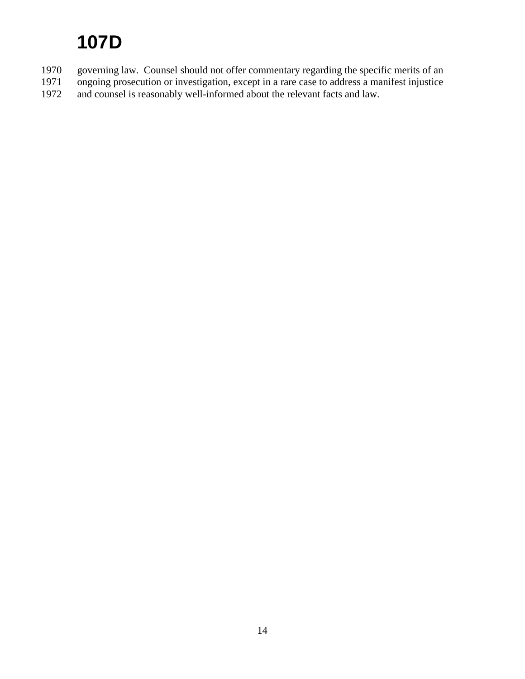- 1970 governing law. Counsel should not offer commentary regarding the specific merits of an ongoing prosecution or investigation, except in a rare case to address a manifest injustice
- 1971 ongoing prosecution or investigation, except in a rare case to address a manifest injustice<br>1972 and counsel is reasonably well-informed about the relevant facts and law.
- and counsel is reasonably well-informed about the relevant facts and law.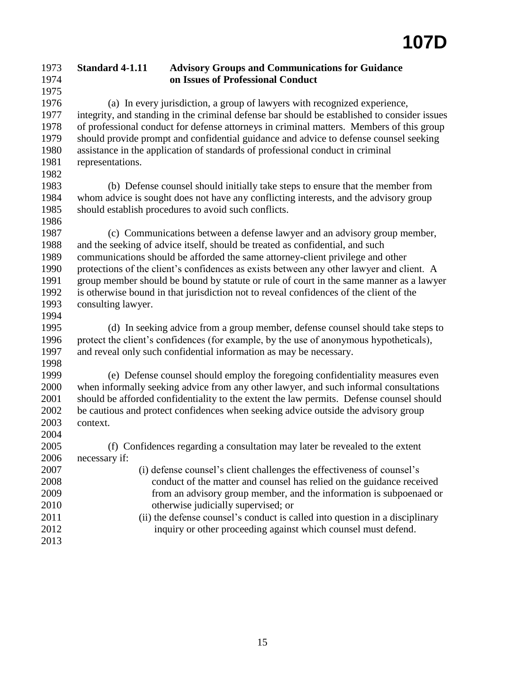| 1973 | <b>Standard 4-1.11</b> | <b>Advisory Groups and Communications for Guidance</b>                                       |
|------|------------------------|----------------------------------------------------------------------------------------------|
| 1974 |                        | on Issues of Professional Conduct                                                            |
| 1975 |                        |                                                                                              |
| 1976 |                        | (a) In every jurisdiction, a group of lawyers with recognized experience,                    |
| 1977 |                        | integrity, and standing in the criminal defense bar should be established to consider issues |
| 1978 |                        | of professional conduct for defense attorneys in criminal matters. Members of this group     |
| 1979 |                        | should provide prompt and confidential guidance and advice to defense counsel seeking        |
| 1980 |                        | assistance in the application of standards of professional conduct in criminal               |
| 1981 | representations.       |                                                                                              |
| 1982 |                        |                                                                                              |
| 1983 |                        | (b) Defense counsel should initially take steps to ensure that the member from               |
| 1984 |                        | whom advice is sought does not have any conflicting interests, and the advisory group        |
| 1985 |                        | should establish procedures to avoid such conflicts.                                         |
| 1986 |                        |                                                                                              |
| 1987 |                        | (c) Communications between a defense lawyer and an advisory group member,                    |
| 1988 |                        | and the seeking of advice itself, should be treated as confidential, and such                |
| 1989 |                        | communications should be afforded the same attorney-client privilege and other               |
| 1990 |                        | protections of the client's confidences as exists between any other lawyer and client. A     |
| 1991 |                        | group member should be bound by statute or rule of court in the same manner as a lawyer      |
| 1992 |                        | is otherwise bound in that jurisdiction not to reveal confidences of the client of the       |
| 1993 | consulting lawyer.     |                                                                                              |
| 1994 |                        |                                                                                              |
| 1995 |                        | (d) In seeking advice from a group member, defense counsel should take steps to              |
| 1996 |                        | protect the client's confidences (for example, by the use of anonymous hypotheticals),       |
| 1997 |                        | and reveal only such confidential information as may be necessary.                           |
| 1998 |                        |                                                                                              |
| 1999 |                        | (e) Defense counsel should employ the foregoing confidentiality measures even                |
| 2000 |                        | when informally seeking advice from any other lawyer, and such informal consultations        |
| 2001 |                        | should be afforded confidentiality to the extent the law permits. Defense counsel should     |
| 2002 |                        | be cautious and protect confidences when seeking advice outside the advisory group           |
| 2003 | context.               |                                                                                              |
| 2004 |                        |                                                                                              |
| 2005 |                        | (f) Confidences regarding a consultation may later be revealed to the extent                 |
| 2006 | necessary if:          |                                                                                              |
| 2007 |                        | (i) defense counsel's client challenges the effectiveness of counsel's                       |
| 2008 |                        | conduct of the matter and counsel has relied on the guidance received                        |
| 2009 |                        | from an advisory group member, and the information is subpoenaed or                          |
| 2010 |                        | otherwise judicially supervised; or                                                          |
| 2011 |                        | (ii) the defense counsel's conduct is called into question in a disciplinary                 |
| 2012 |                        | inquiry or other proceeding against which counsel must defend.                               |
| 2013 |                        |                                                                                              |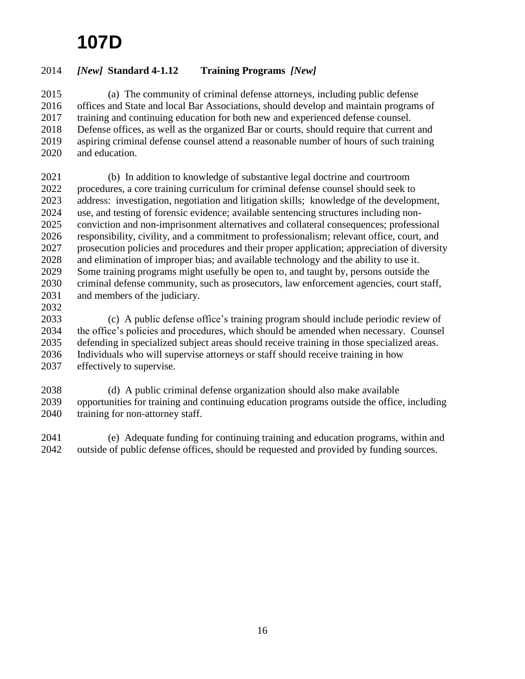#### *[New]* **Standard 4-1.12 Training Programs** *[New]*

 (a) The community of criminal defense attorneys, including public defense offices and State and local Bar Associations, should develop and maintain programs of training and continuing education for both new and experienced defense counsel. Defense offices, as well as the organized Bar or courts, should require that current and aspiring criminal defense counsel attend a reasonable number of hours of such training and education.

 (b) In addition to knowledge of substantive legal doctrine and courtroom procedures, a core training curriculum for criminal defense counsel should seek to address: investigation, negotiation and litigation skills; knowledge of the development, use, and testing of forensic evidence; available sentencing structures including non- conviction and non-imprisonment alternatives and collateral consequences; professional responsibility, civility, and a commitment to professionalism; relevant office, court, and prosecution policies and procedures and their proper application; appreciation of diversity and elimination of improper bias; and available technology and the ability to use it. Some training programs might usefully be open to, and taught by, persons outside the criminal defense community, such as prosecutors, law enforcement agencies, court staff, and members of the judiciary.

 (c) A public defense office's training program should include periodic review of the office's policies and procedures, which should be amended when necessary. Counsel defending in specialized subject areas should receive training in those specialized areas. Individuals who will supervise attorneys or staff should receive training in how effectively to supervise.

 (d) A public criminal defense organization should also make available opportunities for training and continuing education programs outside the office, including 2040 training for non-attorney staff.

 (e) Adequate funding for continuing training and education programs, within and outside of public defense offices, should be requested and provided by funding sources.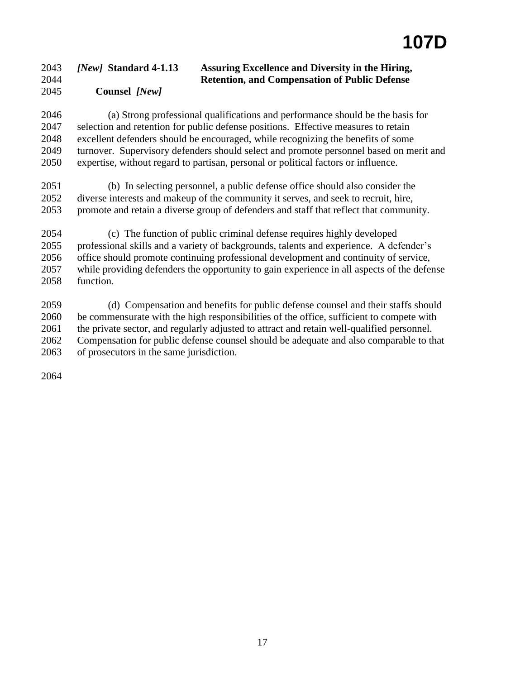#### *[New]* **Standard 4-1.13 Assuring Excellence and Diversity in the Hiring, Retention, and Compensation of Public Defense**

#### **Counsel** *[New]*

 (a) Strong professional qualifications and performance should be the basis for selection and retention for public defense positions. Effective measures to retain excellent defenders should be encouraged, while recognizing the benefits of some turnover. Supervisory defenders should select and promote personnel based on merit and expertise, without regard to partisan, personal or political factors or influence.

- (b) In selecting personnel, a public defense office should also consider the diverse interests and makeup of the community it serves, and seek to recruit, hire, promote and retain a diverse group of defenders and staff that reflect that community.
- (c) The function of public criminal defense requires highly developed professional skills and a variety of backgrounds, talents and experience. A defender's office should promote continuing professional development and continuity of service, while providing defenders the opportunity to gain experience in all aspects of the defense function.
- (d) Compensation and benefits for public defense counsel and their staffs should be commensurate with the high responsibilities of the office, sufficient to compete with the private sector, and regularly adjusted to attract and retain well-qualified personnel. Compensation for public defense counsel should be adequate and also comparable to that of prosecutors in the same jurisdiction.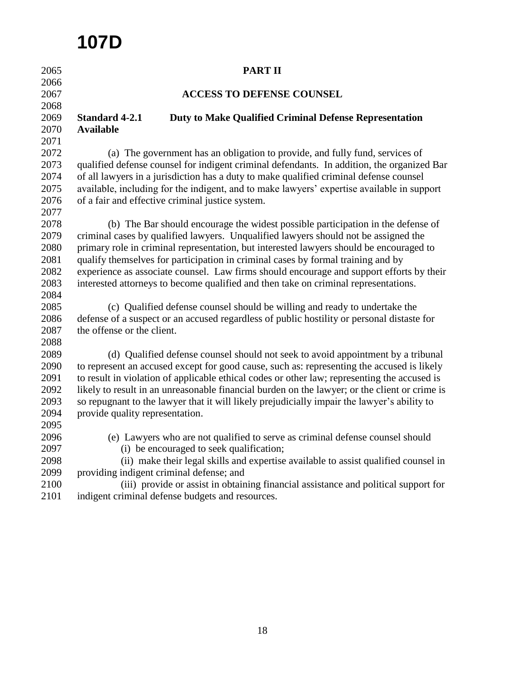| 2065         | <b>PART II</b>                                                                                                                                                             |
|--------------|----------------------------------------------------------------------------------------------------------------------------------------------------------------------------|
| 2066         |                                                                                                                                                                            |
| 2067         | <b>ACCESS TO DEFENSE COUNSEL</b>                                                                                                                                           |
| 2068         |                                                                                                                                                                            |
| 2069         | <b>Standard 4-2.1</b><br><b>Duty to Make Qualified Criminal Defense Representation</b>                                                                                     |
| 2070         | <b>Available</b>                                                                                                                                                           |
| 2071         |                                                                                                                                                                            |
| 2072<br>2073 | (a) The government has an obligation to provide, and fully fund, services of<br>qualified defense counsel for indigent criminal defendants. In addition, the organized Bar |
| 2074         | of all lawyers in a jurisdiction has a duty to make qualified criminal defense counsel                                                                                     |
| 2075         | available, including for the indigent, and to make lawyers' expertise available in support                                                                                 |
| 2076         | of a fair and effective criminal justice system.                                                                                                                           |
| 2077         |                                                                                                                                                                            |
| 2078         | (b) The Bar should encourage the widest possible participation in the defense of                                                                                           |
| 2079         | criminal cases by qualified lawyers. Unqualified lawyers should not be assigned the                                                                                        |
| 2080         | primary role in criminal representation, but interested lawyers should be encouraged to                                                                                    |
| 2081         | qualify themselves for participation in criminal cases by formal training and by                                                                                           |
| 2082         | experience as associate counsel. Law firms should encourage and support efforts by their                                                                                   |
| 2083         | interested attorneys to become qualified and then take on criminal representations.                                                                                        |
| 2084         |                                                                                                                                                                            |
| 2085         | (c) Qualified defense counsel should be willing and ready to undertake the                                                                                                 |
| 2086         | defense of a suspect or an accused regardless of public hostility or personal distaste for                                                                                 |
| 2087         | the offense or the client.                                                                                                                                                 |
| 2088         |                                                                                                                                                                            |
| 2089         | (d) Qualified defense counsel should not seek to avoid appointment by a tribunal                                                                                           |
| 2090         | to represent an accused except for good cause, such as: representing the accused is likely                                                                                 |
| 2091         | to result in violation of applicable ethical codes or other law; representing the accused is                                                                               |
| 2092         | likely to result in an unreasonable financial burden on the lawyer; or the client or crime is                                                                              |
| 2093         | so repugnant to the lawyer that it will likely prejudicially impair the lawyer's ability to                                                                                |
| 2094         | provide quality representation.                                                                                                                                            |
| 2095         |                                                                                                                                                                            |
| 2096         | (e) Lawyers who are not qualified to serve as criminal defense counsel should                                                                                              |
| 2097         | (i) be encouraged to seek qualification;                                                                                                                                   |
| 2098         | (ii) make their legal skills and expertise available to assist qualified counsel in                                                                                        |
| 2099         | providing indigent criminal defense; and                                                                                                                                   |
| 2100         | (iii) provide or assist in obtaining financial assistance and political support for                                                                                        |
| 2101         | indigent criminal defense budgets and resources.                                                                                                                           |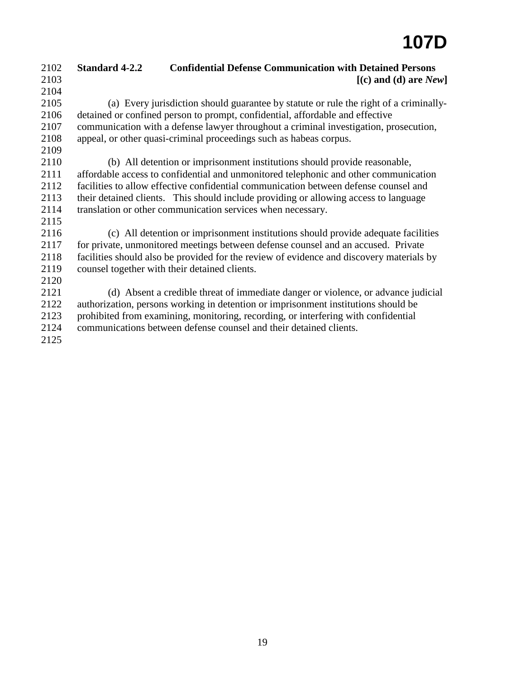| 2102 | <b>Standard 4-2.2</b> | <b>Confidential Defense Communication with Detained Persons</b>                          |
|------|-----------------------|------------------------------------------------------------------------------------------|
| 2103 |                       | $(c)$ and (d) are <i>New</i> ]                                                           |
| 2104 |                       |                                                                                          |
| 2105 |                       | (a) Every jurisdiction should guarantee by statute or rule the right of a criminally-    |
| 2106 |                       | detained or confined person to prompt, confidential, affordable and effective            |
| 2107 |                       | communication with a defense lawyer throughout a criminal investigation, prosecution,    |
| 2108 |                       | appeal, or other quasi-criminal proceedings such as habeas corpus.                       |
| 2109 |                       |                                                                                          |
| 2110 |                       | (b) All detention or imprisonment institutions should provide reasonable,                |
| 2111 |                       | affordable access to confidential and unmonitored telephonic and other communication     |
| 2112 |                       | facilities to allow effective confidential communication between defense counsel and     |
| 2113 |                       | their detained clients. This should include providing or allowing access to language     |
| 2114 |                       | translation or other communication services when necessary.                              |
| 2115 |                       |                                                                                          |
| 2116 |                       | (c) All detention or imprisonment institutions should provide adequate facilities        |
| 2117 |                       | for private, unmonitored meetings between defense counsel and an accused. Private        |
| 2118 |                       | facilities should also be provided for the review of evidence and discovery materials by |
| 2119 |                       | counsel together with their detained clients.                                            |
| 2120 |                       |                                                                                          |
| 2121 |                       | (d) Absent a credible threat of immediate danger or violence, or advance judicial        |
| 2122 |                       | authorization, persons working in detention or imprisonment institutions should be       |
| 2123 |                       | prohibited from examining, monitoring, recording, or interfering with confidential       |
| 2124 |                       | communications between defense counsel and their detained clients.                       |
| 2125 |                       |                                                                                          |
|      |                       |                                                                                          |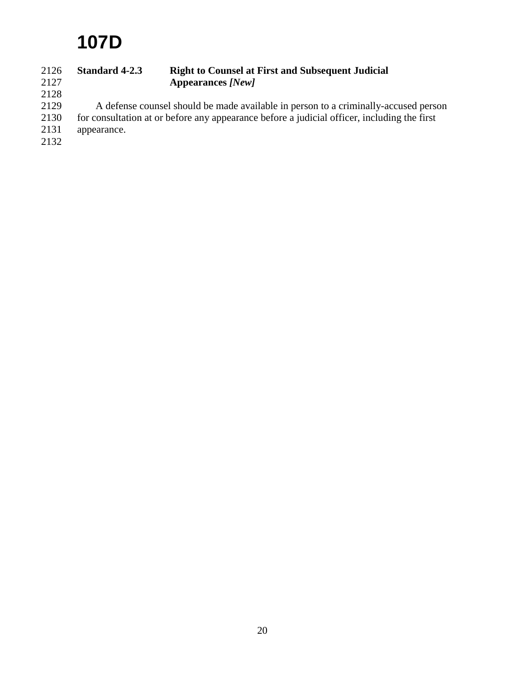#### 2126 **Standard 4-2.3 Right to Counsel at First and Subsequent Judicial** 2127 **Appearances** *[New]*

2128<br>2129

2129 A defense counsel should be made available in person to a criminally-accused person<br>2130 for consultation at or before any appearance before a judicial officer, including the first 2130 for consultation at or before any appearance before a judicial officer, including the first appearance.

- appearance.
- 2132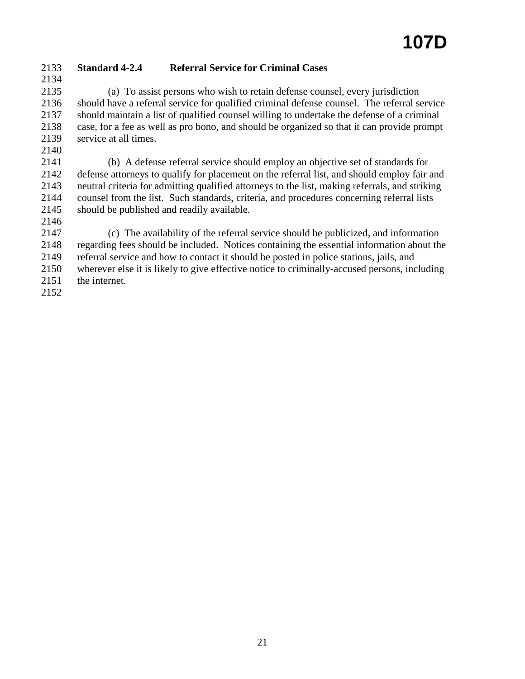(a) To assist persons who wish to retain defense counsel, every jurisdiction should have a referral service for qualified criminal defense counsel. The referral service should maintain a list of qualified counsel willing to undertake the defense of a criminal case, for a fee as well as pro bono, and should be organized so that it can provide prompt service at all times.

 (b) A defense referral service should employ an objective set of standards for defense attorneys to qualify for placement on the referral list, and should employ fair and neutral criteria for admitting qualified attorneys to the list, making referrals, and striking counsel from the list. Such standards, criteria, and procedures concerning referral lists should be published and readily available.

 (c) The availability of the referral service should be publicized, and information regarding fees should be included. Notices containing the essential information about the referral service and how to contact it should be posted in police stations, jails, and wherever else it is likely to give effective notice to criminally-accused persons, including

- 2151 the internet.
-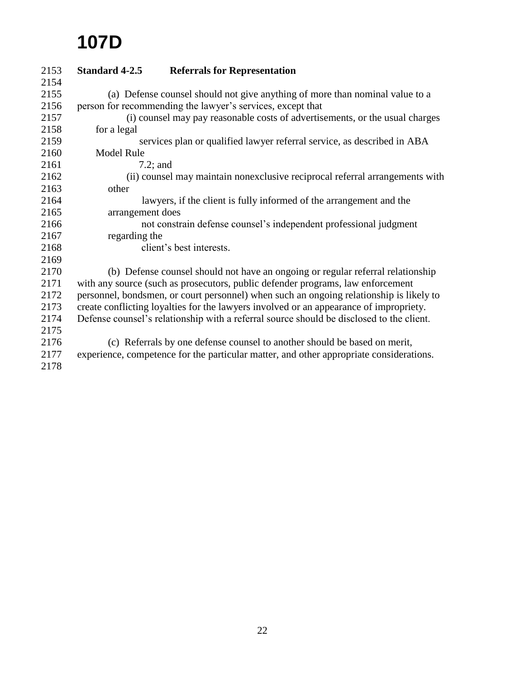| 2154<br>2155<br>(a) Defense counsel should not give anything of more than nominal value to a<br>person for recommending the lawyer's services, except that<br>2156<br>2157<br>(i) counsel may pay reasonable costs of advertisements, or the usual charges<br>2158<br>for a legal<br>2159<br>services plan or qualified lawyer referral service, as described in ABA<br>2160<br><b>Model Rule</b><br>2161<br>$7.2$ ; and<br>2162<br>(ii) counsel may maintain nonexclusive reciprocal referral arrangements with<br>2163<br>other<br>2164<br>lawyers, if the client is fully informed of the arrangement and the<br>2165<br>arrangement does<br>2166<br>not constrain defense counsel's independent professional judgment<br>2167<br>regarding the<br>2168<br>client's best interests.<br>2169<br>2170<br>(b) Defense counsel should not have an ongoing or regular referral relationship<br>2171<br>with any source (such as prosecutors, public defender programs, law enforcement<br>personnel, bondsmen, or court personnel) when such an ongoing relationship is likely to<br>2172<br>create conflicting loyalties for the lawyers involved or an appearance of impropriety.<br>2173<br>Defense counsel's relationship with a referral source should be disclosed to the client.<br>2174<br>2175<br>2176<br>(c) Referrals by one defense counsel to another should be based on merit,<br>2177<br>experience, competence for the particular matter, and other appropriate considerations. | 2153 | <b>Standard 4-2.5</b> | <b>Referrals for Representation</b> |
|-----------------------------------------------------------------------------------------------------------------------------------------------------------------------------------------------------------------------------------------------------------------------------------------------------------------------------------------------------------------------------------------------------------------------------------------------------------------------------------------------------------------------------------------------------------------------------------------------------------------------------------------------------------------------------------------------------------------------------------------------------------------------------------------------------------------------------------------------------------------------------------------------------------------------------------------------------------------------------------------------------------------------------------------------------------------------------------------------------------------------------------------------------------------------------------------------------------------------------------------------------------------------------------------------------------------------------------------------------------------------------------------------------------------------------------------------------------------------------------------------|------|-----------------------|-------------------------------------|
|                                                                                                                                                                                                                                                                                                                                                                                                                                                                                                                                                                                                                                                                                                                                                                                                                                                                                                                                                                                                                                                                                                                                                                                                                                                                                                                                                                                                                                                                                               |      |                       |                                     |
|                                                                                                                                                                                                                                                                                                                                                                                                                                                                                                                                                                                                                                                                                                                                                                                                                                                                                                                                                                                                                                                                                                                                                                                                                                                                                                                                                                                                                                                                                               |      |                       |                                     |
|                                                                                                                                                                                                                                                                                                                                                                                                                                                                                                                                                                                                                                                                                                                                                                                                                                                                                                                                                                                                                                                                                                                                                                                                                                                                                                                                                                                                                                                                                               |      |                       |                                     |
|                                                                                                                                                                                                                                                                                                                                                                                                                                                                                                                                                                                                                                                                                                                                                                                                                                                                                                                                                                                                                                                                                                                                                                                                                                                                                                                                                                                                                                                                                               |      |                       |                                     |
|                                                                                                                                                                                                                                                                                                                                                                                                                                                                                                                                                                                                                                                                                                                                                                                                                                                                                                                                                                                                                                                                                                                                                                                                                                                                                                                                                                                                                                                                                               |      |                       |                                     |
|                                                                                                                                                                                                                                                                                                                                                                                                                                                                                                                                                                                                                                                                                                                                                                                                                                                                                                                                                                                                                                                                                                                                                                                                                                                                                                                                                                                                                                                                                               |      |                       |                                     |
|                                                                                                                                                                                                                                                                                                                                                                                                                                                                                                                                                                                                                                                                                                                                                                                                                                                                                                                                                                                                                                                                                                                                                                                                                                                                                                                                                                                                                                                                                               |      |                       |                                     |
|                                                                                                                                                                                                                                                                                                                                                                                                                                                                                                                                                                                                                                                                                                                                                                                                                                                                                                                                                                                                                                                                                                                                                                                                                                                                                                                                                                                                                                                                                               |      |                       |                                     |
|                                                                                                                                                                                                                                                                                                                                                                                                                                                                                                                                                                                                                                                                                                                                                                                                                                                                                                                                                                                                                                                                                                                                                                                                                                                                                                                                                                                                                                                                                               |      |                       |                                     |
|                                                                                                                                                                                                                                                                                                                                                                                                                                                                                                                                                                                                                                                                                                                                                                                                                                                                                                                                                                                                                                                                                                                                                                                                                                                                                                                                                                                                                                                                                               |      |                       |                                     |
|                                                                                                                                                                                                                                                                                                                                                                                                                                                                                                                                                                                                                                                                                                                                                                                                                                                                                                                                                                                                                                                                                                                                                                                                                                                                                                                                                                                                                                                                                               |      |                       |                                     |
|                                                                                                                                                                                                                                                                                                                                                                                                                                                                                                                                                                                                                                                                                                                                                                                                                                                                                                                                                                                                                                                                                                                                                                                                                                                                                                                                                                                                                                                                                               |      |                       |                                     |
|                                                                                                                                                                                                                                                                                                                                                                                                                                                                                                                                                                                                                                                                                                                                                                                                                                                                                                                                                                                                                                                                                                                                                                                                                                                                                                                                                                                                                                                                                               |      |                       |                                     |
|                                                                                                                                                                                                                                                                                                                                                                                                                                                                                                                                                                                                                                                                                                                                                                                                                                                                                                                                                                                                                                                                                                                                                                                                                                                                                                                                                                                                                                                                                               |      |                       |                                     |
|                                                                                                                                                                                                                                                                                                                                                                                                                                                                                                                                                                                                                                                                                                                                                                                                                                                                                                                                                                                                                                                                                                                                                                                                                                                                                                                                                                                                                                                                                               |      |                       |                                     |
|                                                                                                                                                                                                                                                                                                                                                                                                                                                                                                                                                                                                                                                                                                                                                                                                                                                                                                                                                                                                                                                                                                                                                                                                                                                                                                                                                                                                                                                                                               |      |                       |                                     |
|                                                                                                                                                                                                                                                                                                                                                                                                                                                                                                                                                                                                                                                                                                                                                                                                                                                                                                                                                                                                                                                                                                                                                                                                                                                                                                                                                                                                                                                                                               |      |                       |                                     |
|                                                                                                                                                                                                                                                                                                                                                                                                                                                                                                                                                                                                                                                                                                                                                                                                                                                                                                                                                                                                                                                                                                                                                                                                                                                                                                                                                                                                                                                                                               |      |                       |                                     |
|                                                                                                                                                                                                                                                                                                                                                                                                                                                                                                                                                                                                                                                                                                                                                                                                                                                                                                                                                                                                                                                                                                                                                                                                                                                                                                                                                                                                                                                                                               |      |                       |                                     |
|                                                                                                                                                                                                                                                                                                                                                                                                                                                                                                                                                                                                                                                                                                                                                                                                                                                                                                                                                                                                                                                                                                                                                                                                                                                                                                                                                                                                                                                                                               |      |                       |                                     |
|                                                                                                                                                                                                                                                                                                                                                                                                                                                                                                                                                                                                                                                                                                                                                                                                                                                                                                                                                                                                                                                                                                                                                                                                                                                                                                                                                                                                                                                                                               |      |                       |                                     |
|                                                                                                                                                                                                                                                                                                                                                                                                                                                                                                                                                                                                                                                                                                                                                                                                                                                                                                                                                                                                                                                                                                                                                                                                                                                                                                                                                                                                                                                                                               |      |                       |                                     |
|                                                                                                                                                                                                                                                                                                                                                                                                                                                                                                                                                                                                                                                                                                                                                                                                                                                                                                                                                                                                                                                                                                                                                                                                                                                                                                                                                                                                                                                                                               |      |                       |                                     |
|                                                                                                                                                                                                                                                                                                                                                                                                                                                                                                                                                                                                                                                                                                                                                                                                                                                                                                                                                                                                                                                                                                                                                                                                                                                                                                                                                                                                                                                                                               |      |                       |                                     |
|                                                                                                                                                                                                                                                                                                                                                                                                                                                                                                                                                                                                                                                                                                                                                                                                                                                                                                                                                                                                                                                                                                                                                                                                                                                                                                                                                                                                                                                                                               | 2178 |                       |                                     |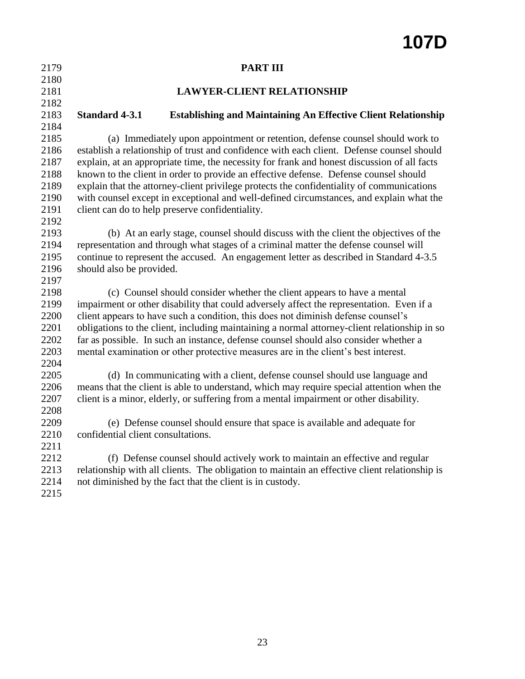| 2179         |                                    | <b>PART III</b>                                                                                                                                                            |
|--------------|------------------------------------|----------------------------------------------------------------------------------------------------------------------------------------------------------------------------|
| 2180         |                                    |                                                                                                                                                                            |
| 2181         |                                    | <b>LAWYER-CLIENT RELATIONSHIP</b>                                                                                                                                          |
| 2182         |                                    |                                                                                                                                                                            |
| 2183         | <b>Standard 4-3.1</b>              | <b>Establishing and Maintaining An Effective Client Relationship</b>                                                                                                       |
| 2184         |                                    |                                                                                                                                                                            |
| 2185<br>2186 |                                    | (a) Immediately upon appointment or retention, defense counsel should work to<br>establish a relationship of trust and confidence with each client. Defense counsel should |
| 2187         |                                    | explain, at an appropriate time, the necessity for frank and honest discussion of all facts                                                                                |
| 2188         |                                    | known to the client in order to provide an effective defense. Defense counsel should                                                                                       |
| 2189         |                                    | explain that the attorney-client privilege protects the confidentiality of communications                                                                                  |
| 2190         |                                    | with counsel except in exceptional and well-defined circumstances, and explain what the                                                                                    |
| 2191         |                                    | client can do to help preserve confidentiality.                                                                                                                            |
| 2192         |                                    |                                                                                                                                                                            |
| 2193         |                                    | (b) At an early stage, counsel should discuss with the client the objectives of the                                                                                        |
| 2194         |                                    | representation and through what stages of a criminal matter the defense counsel will                                                                                       |
| 2195         |                                    | continue to represent the accused. An engagement letter as described in Standard 4-3.5                                                                                     |
| 2196         | should also be provided.           |                                                                                                                                                                            |
| 2197         |                                    |                                                                                                                                                                            |
| 2198         |                                    | (c) Counsel should consider whether the client appears to have a mental                                                                                                    |
| 2199         |                                    | impairment or other disability that could adversely affect the representation. Even if a                                                                                   |
| 2200         |                                    | client appears to have such a condition, this does not diminish defense counsel's                                                                                          |
| 2201         |                                    | obligations to the client, including maintaining a normal attorney-client relationship in so                                                                               |
| 2202         |                                    | far as possible. In such an instance, defense counsel should also consider whether a                                                                                       |
| 2203         |                                    | mental examination or other protective measures are in the client's best interest.                                                                                         |
| 2204         |                                    |                                                                                                                                                                            |
| 2205         |                                    | (d) In communicating with a client, defense counsel should use language and                                                                                                |
| 2206         |                                    | means that the client is able to understand, which may require special attention when the                                                                                  |
| 2207         |                                    | client is a minor, elderly, or suffering from a mental impairment or other disability.                                                                                     |
| 2208         |                                    |                                                                                                                                                                            |
| 2209<br>2210 | confidential client consultations. | (e) Defense counsel should ensure that space is available and adequate for                                                                                                 |
| 2211         |                                    |                                                                                                                                                                            |
| 2212         |                                    | (f) Defense counsel should actively work to maintain an effective and regular                                                                                              |
| 2213         |                                    | relationship with all clients. The obligation to maintain an effective client relationship is                                                                              |
| 2214         |                                    | not diminished by the fact that the client is in custody.                                                                                                                  |
| 2215         |                                    |                                                                                                                                                                            |
|              |                                    |                                                                                                                                                                            |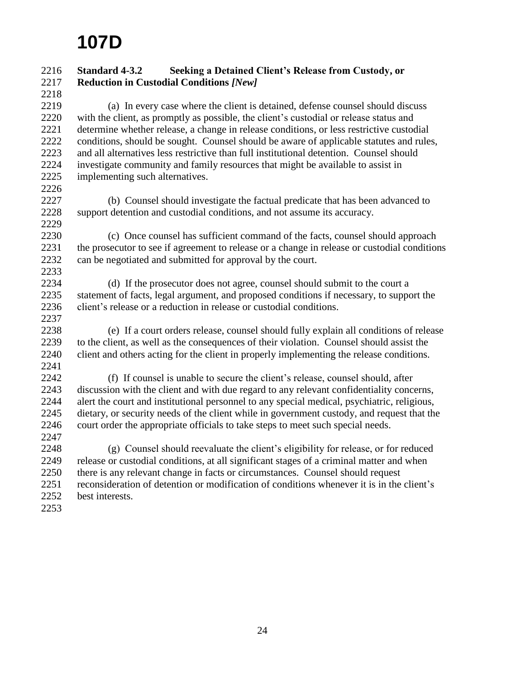| 2216 | <b>Standard 4-3.2</b><br>Seeking a Detained Client's Release from Custody, or                |
|------|----------------------------------------------------------------------------------------------|
| 2217 | <b>Reduction in Custodial Conditions [New]</b>                                               |
| 2218 |                                                                                              |
| 2219 | (a) In every case where the client is detained, defense counsel should discuss               |
| 2220 | with the client, as promptly as possible, the client's custodial or release status and       |
| 2221 | determine whether release, a change in release conditions, or less restrictive custodial     |
| 2222 | conditions, should be sought. Counsel should be aware of applicable statutes and rules,      |
| 2223 | and all alternatives less restrictive than full institutional detention. Counsel should      |
| 2224 | investigate community and family resources that might be available to assist in              |
| 2225 | implementing such alternatives.                                                              |
| 2226 |                                                                                              |
| 2227 | (b) Counsel should investigate the factual predicate that has been advanced to               |
| 2228 | support detention and custodial conditions, and not assume its accuracy.                     |
| 2229 |                                                                                              |
| 2230 | (c) Once counsel has sufficient command of the facts, counsel should approach                |
| 2231 | the prosecutor to see if agreement to release or a change in release or custodial conditions |
| 2232 | can be negotiated and submitted for approval by the court.                                   |
| 2233 |                                                                                              |
| 2234 | (d) If the prosecutor does not agree, counsel should submit to the court a                   |
| 2235 | statement of facts, legal argument, and proposed conditions if necessary, to support the     |
| 2236 | client's release or a reduction in release or custodial conditions.                          |
| 2237 |                                                                                              |
| 2238 | (e) If a court orders release, counsel should fully explain all conditions of release        |
| 2239 | to the client, as well as the consequences of their violation. Counsel should assist the     |
| 2240 | client and others acting for the client in properly implementing the release conditions.     |
| 2241 |                                                                                              |
| 2242 | (f) If counsel is unable to secure the client's release, counsel should, after               |
| 2243 | discussion with the client and with due regard to any relevant confidentiality concerns,     |
| 2244 | alert the court and institutional personnel to any special medical, psychiatric, religious,  |
| 2245 | dietary, or security needs of the client while in government custody, and request that the   |
| 2246 | court order the appropriate officials to take steps to meet such special needs.              |
| 2247 |                                                                                              |
| 2248 | (g) Counsel should reevaluate the client's eligibility for release, or for reduced           |
| 2249 | release or custodial conditions, at all significant stages of a criminal matter and when     |
| 2250 | there is any relevant change in facts or circumstances. Counsel should request               |
| 2251 | reconsideration of detention or modification of conditions whenever it is in the client's    |
| 2252 | best interests.                                                                              |
| 2253 |                                                                                              |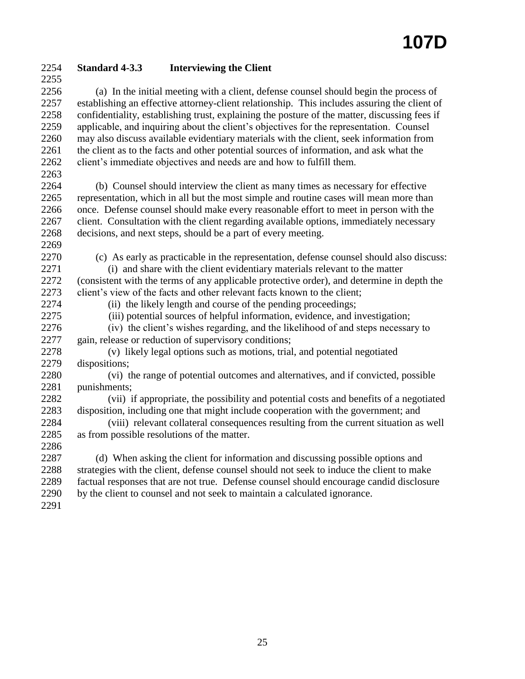| 2254 | <b>Standard 4-3.3</b>                                                                         | <b>Interviewing the Client</b>                                                             |  |  |  |
|------|-----------------------------------------------------------------------------------------------|--------------------------------------------------------------------------------------------|--|--|--|
| 2255 |                                                                                               |                                                                                            |  |  |  |
| 2256 | (a) In the initial meeting with a client, defense counsel should begin the process of         |                                                                                            |  |  |  |
| 2257 | establishing an effective attorney-client relationship. This includes assuring the client of  |                                                                                            |  |  |  |
| 2258 | confidentiality, establishing trust, explaining the posture of the matter, discussing fees if |                                                                                            |  |  |  |
| 2259 | applicable, and inquiring about the client's objectives for the representation. Counsel       |                                                                                            |  |  |  |
| 2260 | may also discuss available evidentiary materials with the client, seek information from       |                                                                                            |  |  |  |
| 2261 | the client as to the facts and other potential sources of information, and ask what the       |                                                                                            |  |  |  |
| 2262 | client's immediate objectives and needs are and how to fulfill them.                          |                                                                                            |  |  |  |
| 2263 |                                                                                               |                                                                                            |  |  |  |
| 2264 |                                                                                               | (b) Counsel should interview the client as many times as necessary for effective           |  |  |  |
| 2265 | representation, which in all but the most simple and routine cases will mean more than        |                                                                                            |  |  |  |
| 2266 |                                                                                               | once. Defense counsel should make every reasonable effort to meet in person with the       |  |  |  |
| 2267 |                                                                                               | client. Consultation with the client regarding available options, immediately necessary    |  |  |  |
| 2268 |                                                                                               | decisions, and next steps, should be a part of every meeting.                              |  |  |  |
| 2269 |                                                                                               |                                                                                            |  |  |  |
| 2270 |                                                                                               | (c) As early as practicable in the representation, defense counsel should also discuss:    |  |  |  |
| 2271 |                                                                                               | (i) and share with the client evidentiary materials relevant to the matter                 |  |  |  |
| 2272 |                                                                                               | (consistent with the terms of any applicable protective order), and determine in depth the |  |  |  |
| 2273 |                                                                                               | client's view of the facts and other relevant facts known to the client;                   |  |  |  |
| 2274 |                                                                                               | (ii) the likely length and course of the pending proceedings;                              |  |  |  |
| 2275 |                                                                                               | (iii) potential sources of helpful information, evidence, and investigation;               |  |  |  |
| 2276 |                                                                                               | (iv) the client's wishes regarding, and the likelihood of and steps necessary to           |  |  |  |
| 2277 |                                                                                               | gain, release or reduction of supervisory conditions;                                      |  |  |  |
| 2278 |                                                                                               | (v) likely legal options such as motions, trial, and potential negotiated                  |  |  |  |
| 2279 | dispositions;                                                                                 |                                                                                            |  |  |  |
| 2280 |                                                                                               | (vi) the range of potential outcomes and alternatives, and if convicted, possible          |  |  |  |
| 2281 | punishments;                                                                                  |                                                                                            |  |  |  |
| 2282 |                                                                                               | (vii) if appropriate, the possibility and potential costs and benefits of a negotiated     |  |  |  |
| 2283 |                                                                                               | disposition, including one that might include cooperation with the government; and         |  |  |  |
| 2284 |                                                                                               | (viii) relevant collateral consequences resulting from the current situation as well       |  |  |  |
| 2285 |                                                                                               | as from possible resolutions of the matter.                                                |  |  |  |
| 2286 |                                                                                               |                                                                                            |  |  |  |
| 2287 |                                                                                               | (d) When asking the client for information and discussing possible options and             |  |  |  |
| 2288 |                                                                                               | strategies with the client, defense counsel should not seek to induce the client to make   |  |  |  |
| 2289 |                                                                                               | factual responses that are not true. Defense counsel should encourage candid disclosure    |  |  |  |
| 2290 |                                                                                               | by the client to counsel and not seek to maintain a calculated ignorance.                  |  |  |  |
| 2291 |                                                                                               |                                                                                            |  |  |  |
|      |                                                                                               |                                                                                            |  |  |  |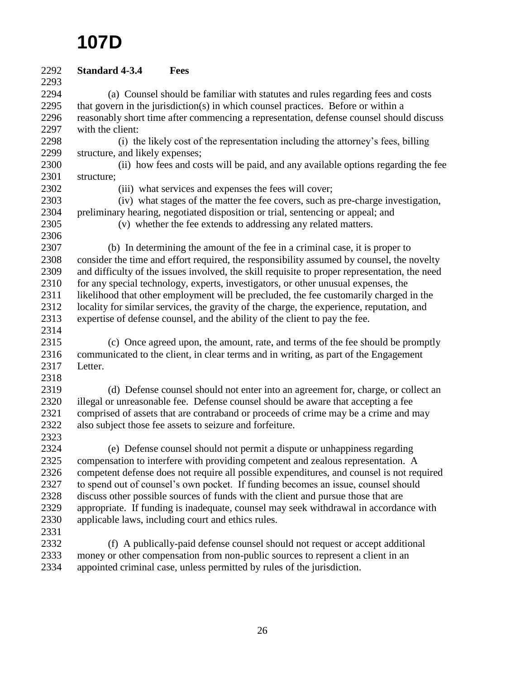| 2292 | <b>Standard 4-3.4</b>                                                                   | <b>Fees</b>                                                                                   |  |
|------|-----------------------------------------------------------------------------------------|-----------------------------------------------------------------------------------------------|--|
| 2293 |                                                                                         |                                                                                               |  |
| 2294 |                                                                                         | (a) Counsel should be familiar with statutes and rules regarding fees and costs               |  |
| 2295 | that govern in the jurisdiction(s) in which counsel practices. Before or within a       |                                                                                               |  |
| 2296 | reasonably short time after commencing a representation, defense counsel should discuss |                                                                                               |  |
| 2297 | with the client:                                                                        |                                                                                               |  |
| 2298 |                                                                                         | (i) the likely cost of the representation including the attorney's fees, billing              |  |
| 2299 | structure, and likely expenses;                                                         |                                                                                               |  |
| 2300 |                                                                                         | (ii) how fees and costs will be paid, and any available options regarding the fee             |  |
| 2301 | structure;                                                                              |                                                                                               |  |
| 2302 |                                                                                         | (iii) what services and expenses the fees will cover;                                         |  |
| 2303 |                                                                                         | (iv) what stages of the matter the fee covers, such as pre-charge investigation,              |  |
| 2304 |                                                                                         | preliminary hearing, negotiated disposition or trial, sentencing or appeal; and               |  |
| 2305 |                                                                                         | (v) whether the fee extends to addressing any related matters.                                |  |
| 2306 |                                                                                         |                                                                                               |  |
| 2307 |                                                                                         | (b) In determining the amount of the fee in a criminal case, it is proper to                  |  |
| 2308 |                                                                                         | consider the time and effort required, the responsibility assumed by counsel, the novelty     |  |
| 2309 |                                                                                         | and difficulty of the issues involved, the skill requisite to proper representation, the need |  |
| 2310 |                                                                                         | for any special technology, experts, investigators, or other unusual expenses, the            |  |
| 2311 |                                                                                         | likelihood that other employment will be precluded, the fee customarily charged in the        |  |
| 2312 |                                                                                         | locality for similar services, the gravity of the charge, the experience, reputation, and     |  |
| 2313 |                                                                                         | expertise of defense counsel, and the ability of the client to pay the fee.                   |  |
| 2314 |                                                                                         |                                                                                               |  |
| 2315 |                                                                                         | (c) Once agreed upon, the amount, rate, and terms of the fee should be promptly               |  |
| 2316 |                                                                                         | communicated to the client, in clear terms and in writing, as part of the Engagement          |  |
| 2317 | Letter.                                                                                 |                                                                                               |  |
| 2318 |                                                                                         |                                                                                               |  |
| 2319 |                                                                                         | (d) Defense counsel should not enter into an agreement for, charge, or collect an             |  |
| 2320 |                                                                                         | illegal or unreasonable fee. Defense counsel should be aware that accepting a fee             |  |
| 2321 |                                                                                         | comprised of assets that are contraband or proceeds of crime may be a crime and may           |  |
| 2322 |                                                                                         | also subject those fee assets to seizure and forfeiture.                                      |  |
| 2323 |                                                                                         |                                                                                               |  |
| 2324 |                                                                                         | (e) Defense counsel should not permit a dispute or unhappiness regarding                      |  |
| 2325 |                                                                                         | compensation to interfere with providing competent and zealous representation. A              |  |
| 2326 |                                                                                         | competent defense does not require all possible expenditures, and counsel is not required     |  |
| 2327 |                                                                                         | to spend out of counsel's own pocket. If funding becomes an issue, counsel should             |  |
| 2328 |                                                                                         | discuss other possible sources of funds with the client and pursue those that are             |  |
| 2329 |                                                                                         | appropriate. If funding is inadequate, counsel may seek withdrawal in accordance with         |  |
| 2330 |                                                                                         | applicable laws, including court and ethics rules.                                            |  |
| 2331 |                                                                                         |                                                                                               |  |
| 2332 |                                                                                         | (f) A publically-paid defense counsel should not request or accept additional                 |  |
| 2333 |                                                                                         | money or other compensation from non-public sources to represent a client in an               |  |

appointed criminal case, unless permitted by rules of the jurisdiction.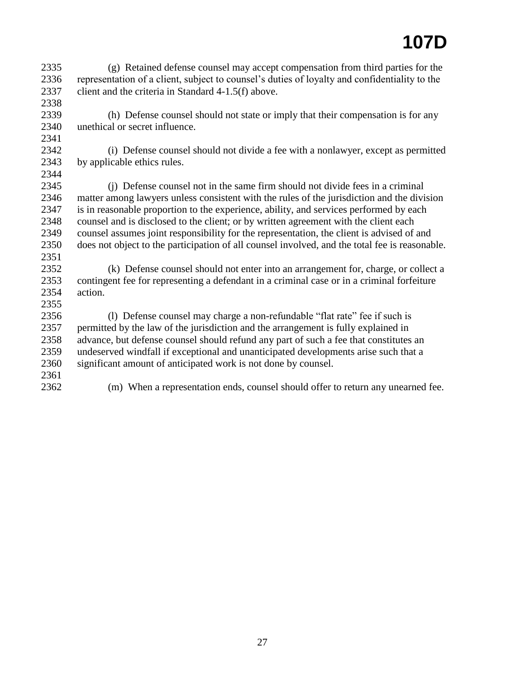(g) Retained defense counsel may accept compensation from third parties for the representation of a client, subject to counsel's duties of loyalty and confidentiality to the 2337 client and the criteria in Standard 4-1.5(f) above.

- (h) Defense counsel should not state or imply that their compensation is for any unethical or secret influence.
- (i) Defense counsel should not divide a fee with a nonlawyer, except as permitted by applicable ethics rules.

 (j) Defense counsel not in the same firm should not divide fees in a criminal matter among lawyers unless consistent with the rules of the jurisdiction and the division is in reasonable proportion to the experience, ability, and services performed by each counsel and is disclosed to the client; or by written agreement with the client each counsel assumes joint responsibility for the representation, the client is advised of and does not object to the participation of all counsel involved, and the total fee is reasonable.

 (k) Defense counsel should not enter into an arrangement for, charge, or collect a contingent fee for representing a defendant in a criminal case or in a criminal forfeiture action. 

 (l) Defense counsel may charge a non-refundable "flat rate" fee if such is permitted by the law of the jurisdiction and the arrangement is fully explained in advance, but defense counsel should refund any part of such a fee that constitutes an undeserved windfall if exceptional and unanticipated developments arise such that a significant amount of anticipated work is not done by counsel.

- 
- 

(m) When a representation ends, counsel should offer to return any unearned fee.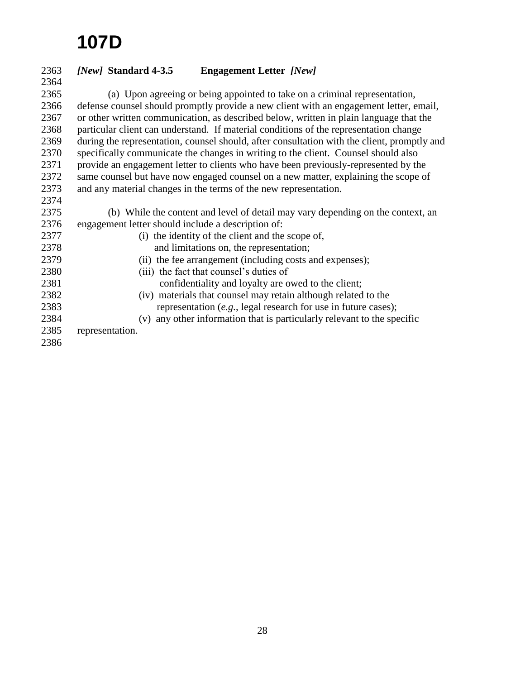| 2363 | [New] Standard 4-3.5<br><b>Engagement Letter [New]</b>                                      |
|------|---------------------------------------------------------------------------------------------|
| 2364 |                                                                                             |
| 2365 | (a) Upon agreeing or being appointed to take on a criminal representation,                  |
| 2366 | defense counsel should promptly provide a new client with an engagement letter, email,      |
| 2367 | or other written communication, as described below, written in plain language that the      |
| 2368 | particular client can understand. If material conditions of the representation change       |
| 2369 | during the representation, counsel should, after consultation with the client, promptly and |
| 2370 | specifically communicate the changes in writing to the client. Counsel should also          |
| 2371 | provide an engagement letter to clients who have been previously-represented by the         |
| 2372 | same counsel but have now engaged counsel on a new matter, explaining the scope of          |
| 2373 | and any material changes in the terms of the new representation.                            |
| 2374 |                                                                                             |
| 2375 | (b) While the content and level of detail may vary depending on the context, an             |
| 2376 | engagement letter should include a description of:                                          |
| 2377 | (i) the identity of the client and the scope of,                                            |
| 2378 | and limitations on, the representation;                                                     |
| 2379 | (ii) the fee arrangement (including costs and expenses);                                    |
| 2380 | (iii) the fact that counsel's duties of                                                     |
| 2381 | confidentiality and loyalty are owed to the client;                                         |
| 2382 | (iv) materials that counsel may retain although related to the                              |
| 2383 | representation $(e.g.,$ legal research for use in future cases);                            |
| 2384 | (v) any other information that is particularly relevant to the specific                     |
| 2385 | representation.                                                                             |
| 2386 |                                                                                             |
|      |                                                                                             |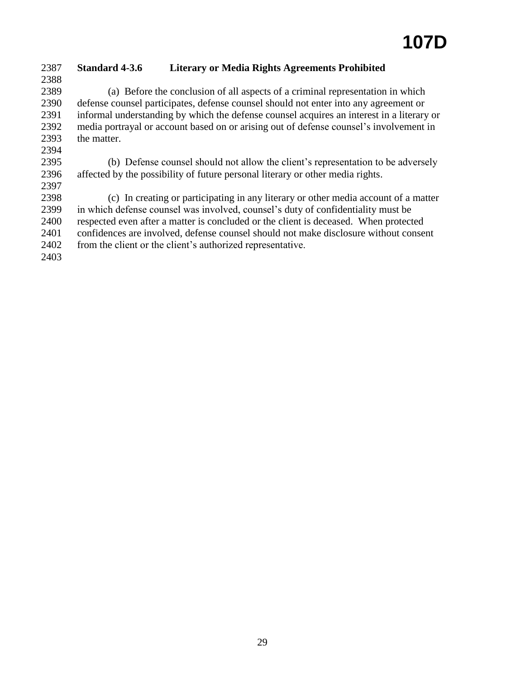| 2387 | <b>Standard 4-3.6</b>                                                                     | <b>Literary or Media Rights Agreements Prohibited</b>                                |  |  |
|------|-------------------------------------------------------------------------------------------|--------------------------------------------------------------------------------------|--|--|
| 2388 |                                                                                           |                                                                                      |  |  |
| 2389 | (a) Before the conclusion of all aspects of a criminal representation in which            |                                                                                      |  |  |
| 2390 | defense counsel participates, defense counsel should not enter into any agreement or      |                                                                                      |  |  |
| 2391 | informal understanding by which the defense counsel acquires an interest in a literary or |                                                                                      |  |  |
| 2392 | media portrayal or account based on or arising out of defense counsel's involvement in    |                                                                                      |  |  |
| 2393 | the matter.                                                                               |                                                                                      |  |  |
| 2394 |                                                                                           |                                                                                      |  |  |
| 2395 |                                                                                           | (b) Defense counsel should not allow the client's representation to be adversely     |  |  |
| 2396 |                                                                                           | affected by the possibility of future personal literary or other media rights.       |  |  |
| 2397 |                                                                                           |                                                                                      |  |  |
| 2398 |                                                                                           | (c) In creating or participating in any literary or other media account of a matter  |  |  |
| 2399 |                                                                                           | in which defense counsel was involved, counsel's duty of confidentiality must be     |  |  |
| 2400 |                                                                                           | respected even after a matter is concluded or the client is deceased. When protected |  |  |
| 2401 |                                                                                           | confidences are involved, defense counsel should not make disclosure without consent |  |  |
| 2402 |                                                                                           | from the client or the client's authorized representative.                           |  |  |
| 2403 |                                                                                           |                                                                                      |  |  |
|      |                                                                                           |                                                                                      |  |  |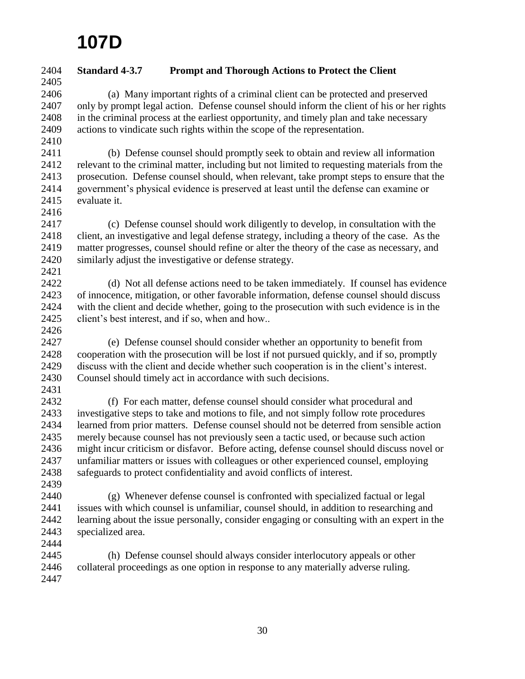| 2404 | <b>Standard 4-3.7</b>                                                                      | <b>Prompt and Thorough Actions to Protect the Client</b>                                    |  |
|------|--------------------------------------------------------------------------------------------|---------------------------------------------------------------------------------------------|--|
| 2405 |                                                                                            |                                                                                             |  |
| 2406 |                                                                                            | (a) Many important rights of a criminal client can be protected and preserved               |  |
| 2407 | only by prompt legal action. Defense counsel should inform the client of his or her rights |                                                                                             |  |
| 2408 | in the criminal process at the earliest opportunity, and timely plan and take necessary    |                                                                                             |  |
| 2409 |                                                                                            | actions to vindicate such rights within the scope of the representation.                    |  |
| 2410 |                                                                                            |                                                                                             |  |
| 2411 |                                                                                            | (b) Defense counsel should promptly seek to obtain and review all information               |  |
| 2412 |                                                                                            | relevant to the criminal matter, including but not limited to requesting materials from the |  |
| 2413 |                                                                                            | prosecution. Defense counsel should, when relevant, take prompt steps to ensure that the    |  |
| 2414 |                                                                                            | government's physical evidence is preserved at least until the defense can examine or       |  |
| 2415 | evaluate it.                                                                               |                                                                                             |  |
| 2416 |                                                                                            |                                                                                             |  |
| 2417 |                                                                                            | (c) Defense counsel should work diligently to develop, in consultation with the             |  |
| 2418 |                                                                                            | client, an investigative and legal defense strategy, including a theory of the case. As the |  |
| 2419 |                                                                                            | matter progresses, counsel should refine or alter the theory of the case as necessary, and  |  |
| 2420 |                                                                                            | similarly adjust the investigative or defense strategy.                                     |  |
| 2421 |                                                                                            |                                                                                             |  |
| 2422 |                                                                                            | (d) Not all defense actions need to be taken immediately. If counsel has evidence           |  |
| 2423 |                                                                                            | of innocence, mitigation, or other favorable information, defense counsel should discuss    |  |
| 2424 |                                                                                            | with the client and decide whether, going to the prosecution with such evidence is in the   |  |
| 2425 |                                                                                            | client's best interest, and if so, when and how                                             |  |
| 2426 |                                                                                            |                                                                                             |  |
| 2427 |                                                                                            | (e) Defense counsel should consider whether an opportunity to benefit from                  |  |
| 2428 |                                                                                            | cooperation with the prosecution will be lost if not pursued quickly, and if so, promptly   |  |
| 2429 |                                                                                            | discuss with the client and decide whether such cooperation is in the client's interest.    |  |
| 2430 |                                                                                            | Counsel should timely act in accordance with such decisions.                                |  |
| 2431 |                                                                                            |                                                                                             |  |
| 2432 |                                                                                            | (f) For each matter, defense counsel should consider what procedural and                    |  |
| 2433 |                                                                                            | investigative steps to take and motions to file, and not simply follow rote procedures      |  |
| 2434 |                                                                                            | learned from prior matters. Defense counsel should not be deterred from sensible action     |  |
| 2435 |                                                                                            | merely because counsel has not previously seen a tactic used, or because such action        |  |
| 2436 |                                                                                            | might incur criticism or disfavor. Before acting, defense counsel should discuss novel or   |  |
| 2437 |                                                                                            | unfamiliar matters or issues with colleagues or other experienced counsel, employing        |  |
| 2438 |                                                                                            | safeguards to protect confidentiality and avoid conflicts of interest.                      |  |
| 2439 |                                                                                            |                                                                                             |  |
| 2440 |                                                                                            | (g) Whenever defense counsel is confronted with specialized factual or legal                |  |
| 2441 |                                                                                            | issues with which counsel is unfamiliar, counsel should, in addition to researching and     |  |
| 2442 |                                                                                            | learning about the issue personally, consider engaging or consulting with an expert in the  |  |
| 2443 | specialized area.                                                                          |                                                                                             |  |
| 2444 |                                                                                            |                                                                                             |  |
| 2445 |                                                                                            | (h) Defense counsel should always consider interlocutory appeals or other                   |  |
| 2446 |                                                                                            | collateral proceedings as one option in response to any materially adverse ruling.          |  |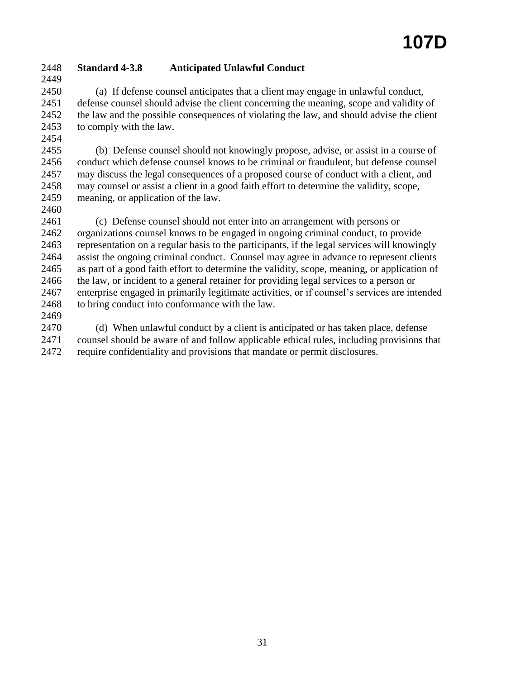#### **Standard 4-3.8 Anticipated Unlawful Conduct**

 (a) If defense counsel anticipates that a client may engage in unlawful conduct, defense counsel should advise the client concerning the meaning, scope and validity of the law and the possible consequences of violating the law, and should advise the client to comply with the law.

 (b) Defense counsel should not knowingly propose, advise, or assist in a course of conduct which defense counsel knows to be criminal or fraudulent, but defense counsel may discuss the legal consequences of a proposed course of conduct with a client, and may counsel or assist a client in a good faith effort to determine the validity, scope, meaning, or application of the law.

 (c) Defense counsel should not enter into an arrangement with persons or organizations counsel knows to be engaged in ongoing criminal conduct, to provide representation on a regular basis to the participants, if the legal services will knowingly assist the ongoing criminal conduct. Counsel may agree in advance to represent clients as part of a good faith effort to determine the validity, scope, meaning, or application of the law, or incident to a general retainer for providing legal services to a person or enterprise engaged in primarily legitimate activities, or if counsel's services are intended to bring conduct into conformance with the law.

 (d) When unlawful conduct by a client is anticipated or has taken place, defense counsel should be aware of and follow applicable ethical rules, including provisions that require confidentiality and provisions that mandate or permit disclosures.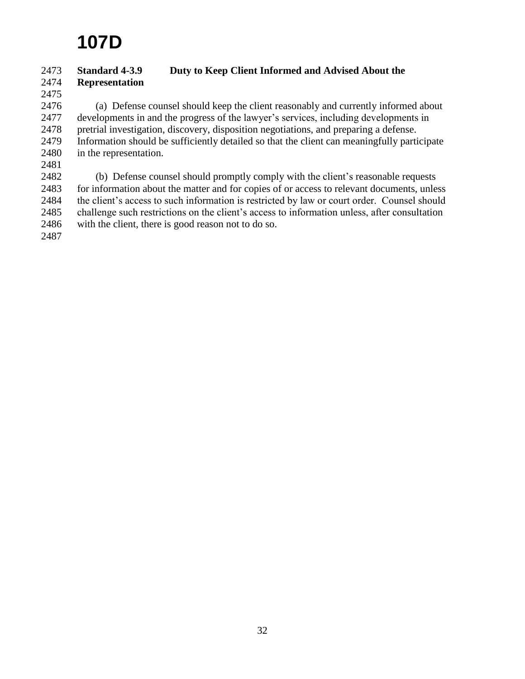#### **Standard 4-3.9 Duty to Keep Client Informed and Advised About the Representation**

 (a) Defense counsel should keep the client reasonably and currently informed about developments in and the progress of the lawyer's services, including developments in pretrial investigation, discovery, disposition negotiations, and preparing a defense. Information should be sufficiently detailed so that the client can meaningfully participate in the representation.

 (b) Defense counsel should promptly comply with the client's reasonable requests 2483 for information about the matter and for copies of or access to relevant documents, unless the client's access to such information is restricted by law or court order. Counsel should challenge such restrictions on the client's access to information unless, after consultation with the client, there is good reason not to do so.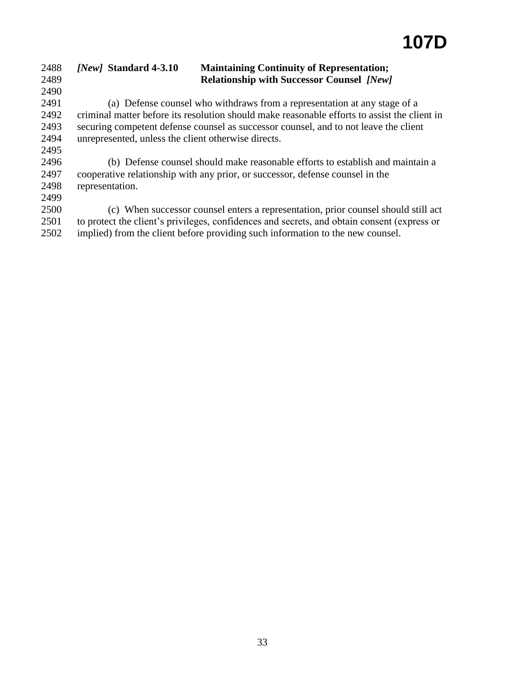#### *[New]* **Standard 4-3.10 Maintaining Continuity of Representation; Relationship with Successor Counsel** *[New]*

 (a) Defense counsel who withdraws from a representation at any stage of a criminal matter before its resolution should make reasonable efforts to assist the client in securing competent defense counsel as successor counsel, and to not leave the client unrepresented, unless the client otherwise directs. 

 (b) Defense counsel should make reasonable efforts to establish and maintain a cooperative relationship with any prior, or successor, defense counsel in the representation.

 (c) When successor counsel enters a representation, prior counsel should still act to protect the client's privileges, confidences and secrets, and obtain consent (express or implied) from the client before providing such information to the new counsel.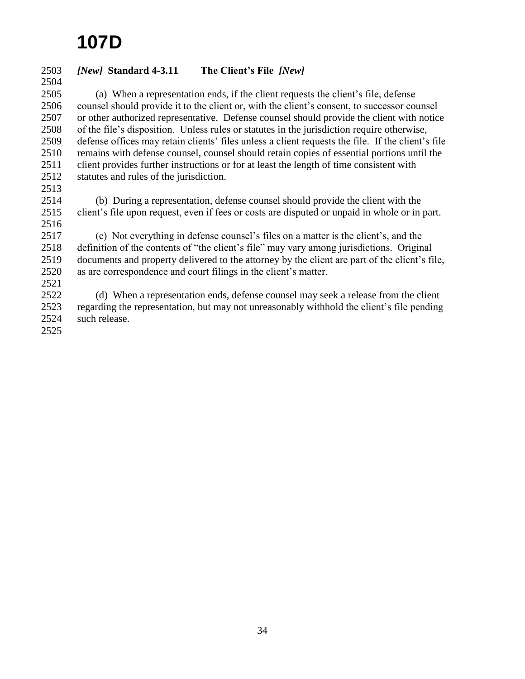| 2503 | [New] Standard 4-3.11<br>The Client's File [New]                                                  |
|------|---------------------------------------------------------------------------------------------------|
| 2504 |                                                                                                   |
| 2505 | (a) When a representation ends, if the client requests the client's file, defense                 |
| 2506 | counsel should provide it to the client or, with the client's consent, to successor counsel       |
| 2507 | or other authorized representative. Defense counsel should provide the client with notice         |
| 2508 | of the file's disposition. Unless rules or statutes in the jurisdiction require otherwise,        |
| 2509 | defense offices may retain clients' files unless a client requests the file. If the client's file |
| 2510 | remains with defense counsel, counsel should retain copies of essential portions until the        |
| 2511 | client provides further instructions or for at least the length of time consistent with           |
| 2512 | statutes and rules of the jurisdiction.                                                           |
| 2513 |                                                                                                   |
| 2514 | (b) During a representation, defense counsel should provide the client with the                   |
| 2515 | client's file upon request, even if fees or costs are disputed or unpaid in whole or in part.     |
| 2516 |                                                                                                   |
| 2517 | (c) Not everything in defense counsel's files on a matter is the client's, and the                |
| 2518 | definition of the contents of "the client's file" may vary among jurisdictions. Original          |
| 2519 | documents and property delivered to the attorney by the client are part of the client's file,     |
| 2520 | as are correspondence and court filings in the client's matter.                                   |
| 2521 |                                                                                                   |
| 2522 | (d) When a representation ends, defense counsel may seek a release from the client                |
| 2523 | regarding the representation, but may not unreasonably withhold the client's file pending         |
| 2524 | such release.                                                                                     |
| 2525 |                                                                                                   |
|      |                                                                                                   |
|      |                                                                                                   |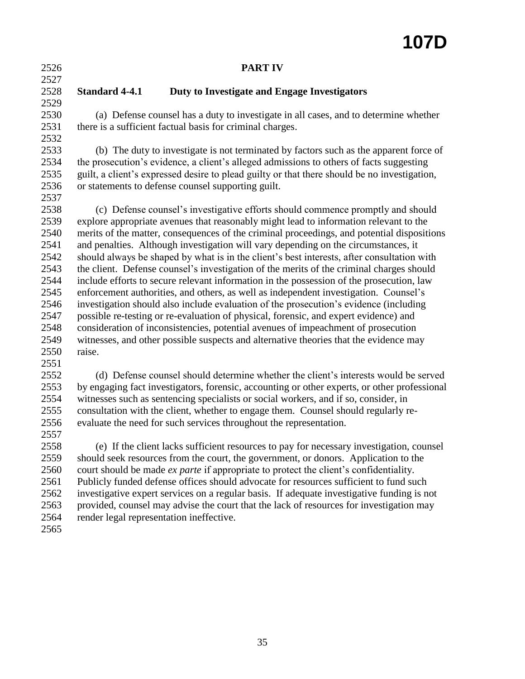#### **PART IV**

### **Standard 4-4.1 Duty to Investigate and Engage Investigators**

 (a) Defense counsel has a duty to investigate in all cases, and to determine whether there is a sufficient factual basis for criminal charges. 

 (b) The duty to investigate is not terminated by factors such as the apparent force of the prosecution's evidence, a client's alleged admissions to others of facts suggesting guilt, a client's expressed desire to plead guilty or that there should be no investigation, or statements to defense counsel supporting guilt.

 (c) Defense counsel's investigative efforts should commence promptly and should explore appropriate avenues that reasonably might lead to information relevant to the merits of the matter, consequences of the criminal proceedings, and potential dispositions and penalties. Although investigation will vary depending on the circumstances, it should always be shaped by what is in the client's best interests, after consultation with the client. Defense counsel's investigation of the merits of the criminal charges should include efforts to secure relevant information in the possession of the prosecution, law enforcement authorities, and others, as well as independent investigation. Counsel's investigation should also include evaluation of the prosecution's evidence (including possible re-testing or re-evaluation of physical, forensic, and expert evidence) and consideration of inconsistencies, potential avenues of impeachment of prosecution witnesses, and other possible suspects and alternative theories that the evidence may raise.

 (d) Defense counsel should determine whether the client's interests would be served by engaging fact investigators, forensic, accounting or other experts, or other professional witnesses such as sentencing specialists or social workers, and if so, consider, in consultation with the client, whether to engage them. Counsel should regularly re-evaluate the need for such services throughout the representation.

 (e) If the client lacks sufficient resources to pay for necessary investigation, counsel should seek resources from the court, the government, or donors. Application to the court should be made *ex parte* if appropriate to protect the client's confidentiality. Publicly funded defense offices should advocate for resources sufficient to fund such investigative expert services on a regular basis. If adequate investigative funding is not provided, counsel may advise the court that the lack of resources for investigation may render legal representation ineffective.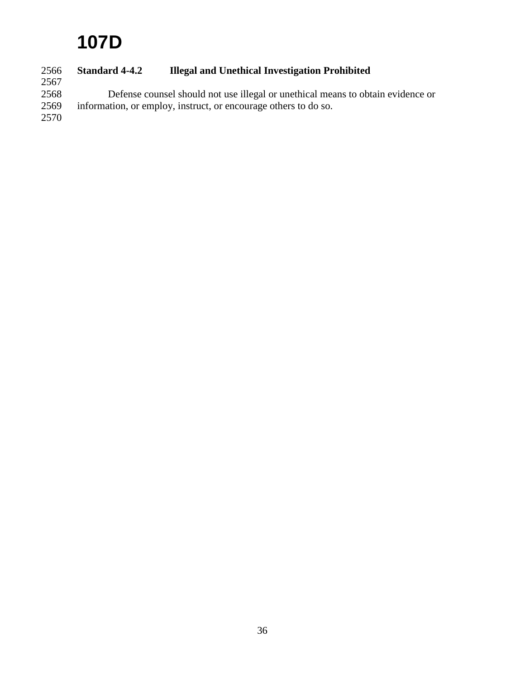### 2566 **Standard 4-4.2 Illegal and Unethical Investigation Prohibited**

2567<br>2568 2568 Defense counsel should not use illegal or unethical means to obtain evidence or information, or employ, instruct, or encourage others to do so. information, or employ, instruct, or encourage others to do so.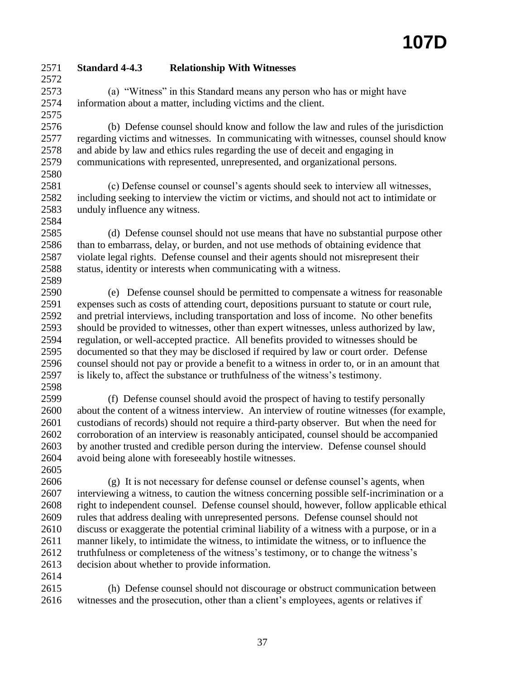| 2571 | <b>Standard 4-4.3</b>         | <b>Relationship With Witnesses</b>                                                          |
|------|-------------------------------|---------------------------------------------------------------------------------------------|
| 2572 |                               |                                                                                             |
| 2573 |                               | (a) "Witness" in this Standard means any person who has or might have                       |
| 2574 |                               | information about a matter, including victims and the client.                               |
| 2575 |                               |                                                                                             |
| 2576 |                               | (b) Defense counsel should know and follow the law and rules of the jurisdiction            |
| 2577 |                               | regarding victims and witnesses. In communicating with witnesses, counsel should know       |
| 2578 |                               | and abide by law and ethics rules regarding the use of deceit and engaging in               |
| 2579 |                               | communications with represented, unrepresented, and organizational persons.                 |
| 2580 |                               |                                                                                             |
| 2581 |                               | (c) Defense counsel or counsel's agents should seek to interview all witnesses,             |
| 2582 |                               | including seeking to interview the victim or victims, and should not act to intimidate or   |
| 2583 | unduly influence any witness. |                                                                                             |
| 2584 |                               |                                                                                             |
| 2585 |                               | (d) Defense counsel should not use means that have no substantial purpose other             |
| 2586 |                               | than to embarrass, delay, or burden, and not use methods of obtaining evidence that         |
| 2587 |                               | violate legal rights. Defense counsel and their agents should not misrepresent their        |
| 2588 |                               | status, identity or interests when communicating with a witness.                            |
| 2589 |                               |                                                                                             |
| 2590 |                               | (e) Defense counsel should be permitted to compensate a witness for reasonable              |
| 2591 |                               | expenses such as costs of attending court, depositions pursuant to statute or court rule,   |
| 2592 |                               | and pretrial interviews, including transportation and loss of income. No other benefits     |
| 2593 |                               | should be provided to witnesses, other than expert witnesses, unless authorized by law,     |
| 2594 |                               | regulation, or well-accepted practice. All benefits provided to witnesses should be         |
| 2595 |                               | documented so that they may be disclosed if required by law or court order. Defense         |
| 2596 |                               | counsel should not pay or provide a benefit to a witness in order to, or in an amount that  |
| 2597 |                               | is likely to, affect the substance or truthfulness of the witness's testimony.              |
| 2598 |                               |                                                                                             |
| 2599 |                               | (f) Defense counsel should avoid the prospect of having to testify personally               |
| 2600 |                               | about the content of a witness interview. An interview of routine witnesses (for example,   |
| 2601 |                               | custodians of records) should not require a third-party observer. But when the need for     |
| 2602 |                               | corroboration of an interview is reasonably anticipated, counsel should be accompanied      |
| 2603 |                               | by another trusted and credible person during the interview. Defense counsel should         |
| 2604 |                               | avoid being alone with foreseeably hostile witnesses.                                       |
| 2605 |                               |                                                                                             |
| 2606 |                               | (g) It is not necessary for defense counsel or defense counsel's agents, when               |
| 2607 |                               | interviewing a witness, to caution the witness concerning possible self-incrimination or a  |
| 2608 |                               | right to independent counsel. Defense counsel should, however, follow applicable ethical    |
| 2609 |                               | rules that address dealing with unrepresented persons. Defense counsel should not           |
| 2610 |                               | discuss or exaggerate the potential criminal liability of a witness with a purpose, or in a |
| 2611 |                               | manner likely, to intimidate the witness, to intimidate the witness, or to influence the    |
| 2612 |                               | truthfulness or completeness of the witness's testimony, or to change the witness's         |
| 2613 |                               | decision about whether to provide information.                                              |
| 2614 |                               |                                                                                             |
| 2615 |                               | (h) Defense counsel should not discourage or obstruct communication between                 |
| 2616 |                               | witnesses and the prosecution, other than a client's employees, agents or relatives if      |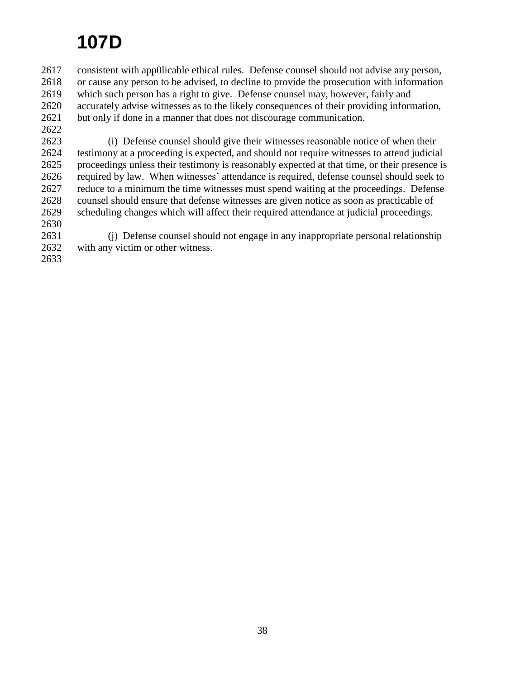consistent with app0licable ethical rules. Defense counsel should not advise any person, or cause any person to be advised, to decline to provide the prosecution with information which such person has a right to give. Defense counsel may, however, fairly and accurately advise witnesses as to the likely consequences of their providing information, but only if done in a manner that does not discourage communication.

 (i) Defense counsel should give their witnesses reasonable notice of when their testimony at a proceeding is expected, and should not require witnesses to attend judicial proceedings unless their testimony is reasonably expected at that time, or their presence is required by law. When witnesses' attendance is required, defense counsel should seek to reduce to a minimum the time witnesses must spend waiting at the proceedings. Defense counsel should ensure that defense witnesses are given notice as soon as practicable of scheduling changes which will affect their required attendance at judicial proceedings.

 (j) Defense counsel should not engage in any inappropriate personal relationship with any victim or other witness.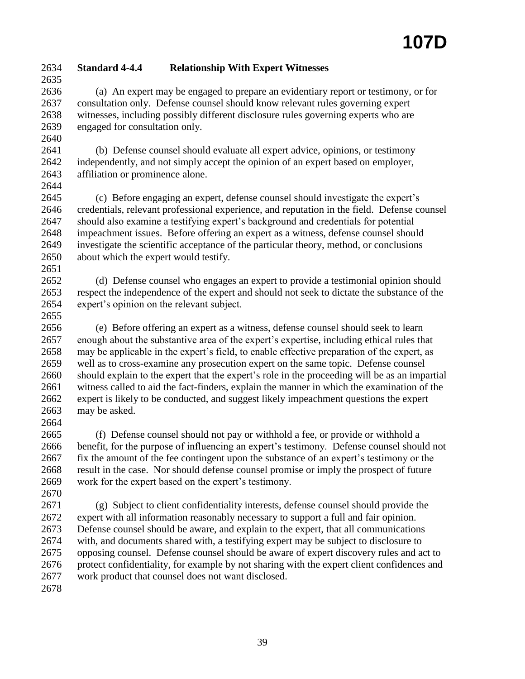| 2634 | <b>Standard 4-4.4</b>                                                              | <b>Relationship With Expert Witnesses</b>                                                     |  |
|------|------------------------------------------------------------------------------------|-----------------------------------------------------------------------------------------------|--|
| 2635 |                                                                                    |                                                                                               |  |
| 2636 |                                                                                    | (a) An expert may be engaged to prepare an evidentiary report or testimony, or for            |  |
| 2637 | consultation only. Defense counsel should know relevant rules governing expert     |                                                                                               |  |
| 2638 | witnesses, including possibly different disclosure rules governing experts who are |                                                                                               |  |
| 2639 | engaged for consultation only.                                                     |                                                                                               |  |
| 2640 |                                                                                    |                                                                                               |  |
| 2641 |                                                                                    | (b) Defense counsel should evaluate all expert advice, opinions, or testimony                 |  |
| 2642 |                                                                                    | independently, and not simply accept the opinion of an expert based on employer,              |  |
| 2643 | affiliation or prominence alone.                                                   |                                                                                               |  |
| 2644 |                                                                                    |                                                                                               |  |
| 2645 |                                                                                    | (c) Before engaging an expert, defense counsel should investigate the expert's                |  |
| 2646 |                                                                                    | credentials, relevant professional experience, and reputation in the field. Defense counsel   |  |
| 2647 |                                                                                    | should also examine a testifying expert's background and credentials for potential            |  |
| 2648 |                                                                                    | impeachment issues. Before offering an expert as a witness, defense counsel should            |  |
| 2649 |                                                                                    | investigate the scientific acceptance of the particular theory, method, or conclusions        |  |
| 2650 | about which the expert would testify.                                              |                                                                                               |  |
| 2651 |                                                                                    |                                                                                               |  |
| 2652 |                                                                                    | (d) Defense counsel who engages an expert to provide a testimonial opinion should             |  |
| 2653 |                                                                                    | respect the independence of the expert and should not seek to dictate the substance of the    |  |
| 2654 | expert's opinion on the relevant subject.                                          |                                                                                               |  |
| 2655 |                                                                                    |                                                                                               |  |
| 2656 |                                                                                    | (e) Before offering an expert as a witness, defense counsel should seek to learn              |  |
| 2657 |                                                                                    | enough about the substantive area of the expert's expertise, including ethical rules that     |  |
| 2658 |                                                                                    | may be applicable in the expert's field, to enable effective preparation of the expert, as    |  |
| 2659 |                                                                                    | well as to cross-examine any prosecution expert on the same topic. Defense counsel            |  |
| 2660 |                                                                                    | should explain to the expert that the expert's role in the proceeding will be as an impartial |  |
| 2661 |                                                                                    | witness called to aid the fact-finders, explain the manner in which the examination of the    |  |
| 2662 |                                                                                    | expert is likely to be conducted, and suggest likely impeachment questions the expert         |  |
| 2663 | may be asked.                                                                      |                                                                                               |  |
| 2664 |                                                                                    |                                                                                               |  |
| 2665 |                                                                                    | (f) Defense counsel should not pay or withhold a fee, or provide or withhold a                |  |
| 2666 |                                                                                    | benefit, for the purpose of influencing an expert's testimony. Defense counsel should not     |  |
| 2667 |                                                                                    | fix the amount of the fee contingent upon the substance of an expert's testimony or the       |  |
| 2668 |                                                                                    | result in the case. Nor should defense counsel promise or imply the prospect of future        |  |
| 2669 |                                                                                    | work for the expert based on the expert's testimony.                                          |  |
| 2670 |                                                                                    |                                                                                               |  |
| 2671 |                                                                                    | (g) Subject to client confidentiality interests, defense counsel should provide the           |  |
| 2672 |                                                                                    | expert with all information reasonably necessary to support a full and fair opinion.          |  |
| 2673 |                                                                                    | Defense counsel should be aware, and explain to the expert, that all communications           |  |
| 2674 |                                                                                    | with, and documents shared with, a testifying expert may be subject to disclosure to          |  |
| 2675 |                                                                                    | opposing counsel. Defense counsel should be aware of expert discovery rules and act to        |  |

 work product that counsel does not want disclosed. 

protect confidentiality, for example by not sharing with the expert client confidences and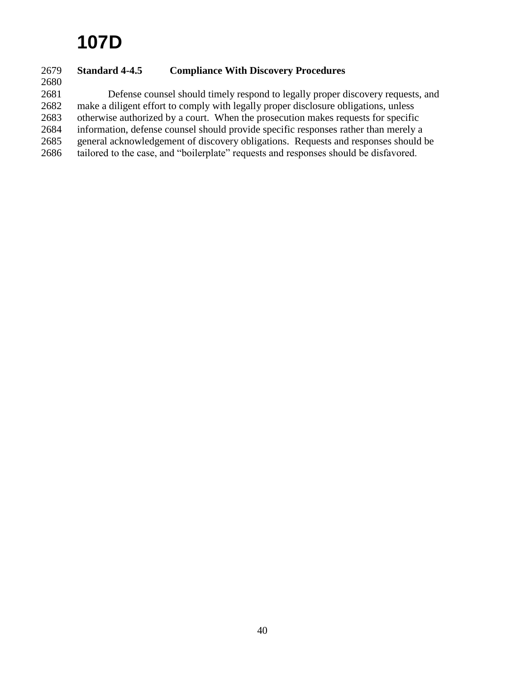### **Standard 4-4.5 Compliance With Discovery Procedures**

 Defense counsel should timely respond to legally proper discovery requests, and make a diligent effort to comply with legally proper disclosure obligations, unless otherwise authorized by a court. When the prosecution makes requests for specific information, defense counsel should provide specific responses rather than merely a general acknowledgement of discovery obligations. Requests and responses should be

tailored to the case, and "boilerplate" requests and responses should be disfavored.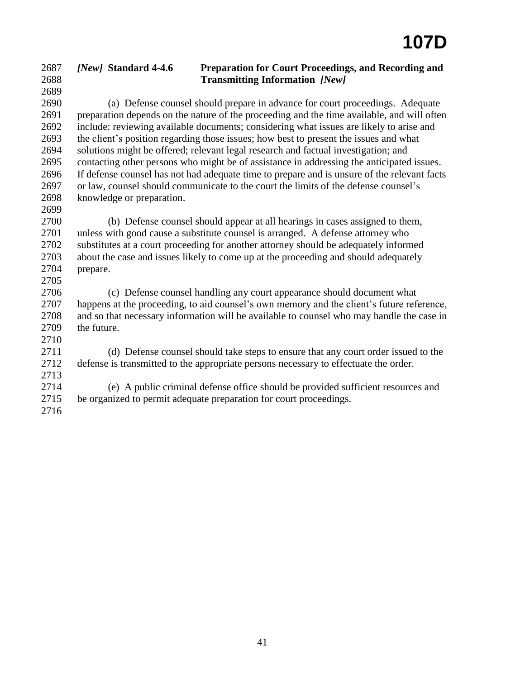*[New]* **Standard 4-4.6 Preparation for Court Proceedings, and Recording and Transmitting Information** *[New]* 

 (a) Defense counsel should prepare in advance for court proceedings. Adequate preparation depends on the nature of the proceeding and the time available, and will often include: reviewing available documents; considering what issues are likely to arise and the client's position regarding those issues; how best to present the issues and what solutions might be offered; relevant legal research and factual investigation; and contacting other persons who might be of assistance in addressing the anticipated issues. If defense counsel has not had adequate time to prepare and is unsure of the relevant facts or law, counsel should communicate to the court the limits of the defense counsel's knowledge or preparation. 

 (b) Defense counsel should appear at all hearings in cases assigned to them, unless with good cause a substitute counsel is arranged. A defense attorney who substitutes at a court proceeding for another attorney should be adequately informed about the case and issues likely to come up at the proceeding and should adequately prepare. 

 (c) Defense counsel handling any court appearance should document what happens at the proceeding, to aid counsel's own memory and the client's future reference, and so that necessary information will be available to counsel who may handle the case in the future. 

 (d) Defense counsel should take steps to ensure that any court order issued to the defense is transmitted to the appropriate persons necessary to effectuate the order.

2713<br>2714 (e) A public criminal defense office should be provided sufficient resources and be organized to permit adequate preparation for court proceedings.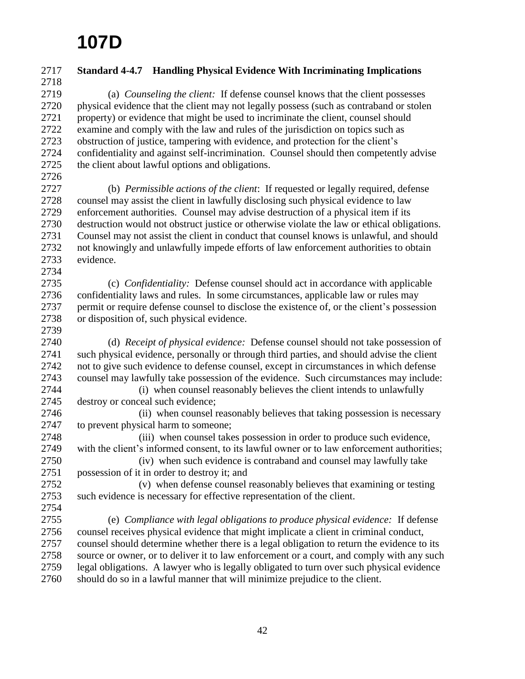| 2717 | <b>Standard 4-4.7 Handling Physical Evidence With Incriminating Implications</b>            |
|------|---------------------------------------------------------------------------------------------|
| 2718 |                                                                                             |
| 2719 | (a) Counseling the client: If defense counsel knows that the client possesses               |
| 2720 | physical evidence that the client may not legally possess (such as contraband or stolen     |
| 2721 | property) or evidence that might be used to incriminate the client, counsel should          |
| 2722 | examine and comply with the law and rules of the jurisdiction on topics such as             |
| 2723 | obstruction of justice, tampering with evidence, and protection for the client's            |
| 2724 | confidentiality and against self-incrimination. Counsel should then competently advise      |
| 2725 | the client about lawful options and obligations.                                            |
| 2726 |                                                                                             |
| 2727 | (b) Permissible actions of the client: If requested or legally required, defense            |
| 2728 | counsel may assist the client in lawfully disclosing such physical evidence to law          |
| 2729 | enforcement authorities. Counsel may advise destruction of a physical item if its           |
| 2730 | destruction would not obstruct justice or otherwise violate the law or ethical obligations. |
| 2731 | Counsel may not assist the client in conduct that counsel knows is unlawful, and should     |
| 2732 | not knowingly and unlawfully impede efforts of law enforcement authorities to obtain        |
| 2733 | evidence.                                                                                   |
| 2734 |                                                                                             |
| 2735 | (c) <i>Confidentiality</i> : Defense counsel should act in accordance with applicable       |
| 2736 | confidentiality laws and rules. In some circumstances, applicable law or rules may          |
| 2737 | permit or require defense counsel to disclose the existence of, or the client's possession  |
| 2738 | or disposition of, such physical evidence.                                                  |
| 2739 |                                                                                             |
| 2740 | (d) Receipt of physical evidence: Defense counsel should not take possession of             |
| 2741 | such physical evidence, personally or through third parties, and should advise the client   |
| 2742 | not to give such evidence to defense counsel, except in circumstances in which defense      |
| 2743 | counsel may lawfully take possession of the evidence. Such circumstances may include:       |
| 2744 | (i) when counsel reasonably believes the client intends to unlawfully                       |
| 2745 | destroy or conceal such evidence;                                                           |
| 2746 | (ii) when counsel reasonably believes that taking possession is necessary                   |
| 2747 | to prevent physical harm to someone;                                                        |
| 2748 | (iii) when counsel takes possession in order to produce such evidence,                      |
| 2749 | with the client's informed consent, to its lawful owner or to law enforcement authorities;  |
| 2750 | (iv) when such evidence is contraband and counsel may lawfully take                         |
| 2751 | possession of it in order to destroy it; and                                                |
| 2752 | (v) when defense counsel reasonably believes that examining or testing                      |
| 2753 | such evidence is necessary for effective representation of the client.                      |
| 2754 |                                                                                             |
| 2755 | (e) Compliance with legal obligations to produce physical evidence: If defense              |
| 2756 | counsel receives physical evidence that might implicate a client in criminal conduct,       |
| 2757 | counsel should determine whether there is a legal obligation to return the evidence to its  |
| 2758 | source or owner, or to deliver it to law enforcement or a court, and comply with any such   |
| 2759 | legal obligations. A lawyer who is legally obligated to turn over such physical evidence    |
| 2760 | should do so in a lawful manner that will minimize prejudice to the client.                 |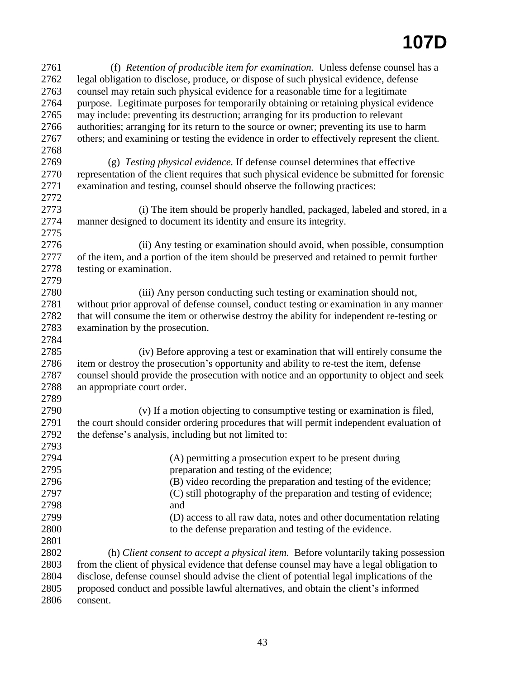| 2761 | (f) Retention of producible item for examination. Unless defense counsel has a                                          |  |
|------|-------------------------------------------------------------------------------------------------------------------------|--|
| 2762 | legal obligation to disclose, produce, or dispose of such physical evidence, defense                                    |  |
| 2763 | counsel may retain such physical evidence for a reasonable time for a legitimate                                        |  |
| 2764 | purpose. Legitimate purposes for temporarily obtaining or retaining physical evidence                                   |  |
| 2765 | may include: preventing its destruction; arranging for its production to relevant                                       |  |
| 2766 | authorities; arranging for its return to the source or owner; preventing its use to harm                                |  |
| 2767 | others; and examining or testing the evidence in order to effectively represent the client.                             |  |
| 2768 |                                                                                                                         |  |
| 2769 | (g) Testing physical evidence. If defense counsel determines that effective                                             |  |
| 2770 | representation of the client requires that such physical evidence be submitted for forensic                             |  |
| 2771 | examination and testing, counsel should observe the following practices:                                                |  |
| 2772 |                                                                                                                         |  |
| 2773 | (i) The item should be properly handled, packaged, labeled and stored, in a                                             |  |
| 2774 | manner designed to document its identity and ensure its integrity.                                                      |  |
| 2775 |                                                                                                                         |  |
| 2776 | (ii) Any testing or examination should avoid, when possible, consumption                                                |  |
| 2777 | of the item, and a portion of the item should be preserved and retained to permit further                               |  |
| 2778 | testing or examination.                                                                                                 |  |
| 2779 |                                                                                                                         |  |
| 2780 | (iii) Any person conducting such testing or examination should not,                                                     |  |
| 2781 | without prior approval of defense counsel, conduct testing or examination in any manner                                 |  |
| 2782 | that will consume the item or otherwise destroy the ability for independent re-testing or                               |  |
| 2783 | examination by the prosecution.                                                                                         |  |
| 2784 |                                                                                                                         |  |
| 2785 | (iv) Before approving a test or examination that will entirely consume the                                              |  |
| 2786 | item or destroy the prosecution's opportunity and ability to re-test the item, defense                                  |  |
| 2787 |                                                                                                                         |  |
| 2788 | counsel should provide the prosecution with notice and an opportunity to object and seek<br>an appropriate court order. |  |
| 2789 |                                                                                                                         |  |
| 2790 | (v) If a motion objecting to consumptive testing or examination is filed,                                               |  |
| 2791 | the court should consider ordering procedures that will permit independent evaluation of                                |  |
|      |                                                                                                                         |  |
| 2792 | the defense's analysis, including but not limited to:                                                                   |  |
| 2793 |                                                                                                                         |  |
| 2794 | (A) permitting a prosecution expert to be present during                                                                |  |
| 2795 | preparation and testing of the evidence;                                                                                |  |
| 2796 | (B) video recording the preparation and testing of the evidence;                                                        |  |
| 2797 | (C) still photography of the preparation and testing of evidence;                                                       |  |
| 2798 | and                                                                                                                     |  |
| 2799 | (D) access to all raw data, notes and other documentation relating                                                      |  |
| 2800 | to the defense preparation and testing of the evidence.                                                                 |  |
| 2801 |                                                                                                                         |  |
| 2802 | (h) Client consent to accept a physical item. Before voluntarily taking possession                                      |  |
| 2803 | from the client of physical evidence that defense counsel may have a legal obligation to                                |  |
| 2804 | disclose, defense counsel should advise the client of potential legal implications of the                               |  |
| 2805 | proposed conduct and possible lawful alternatives, and obtain the client's informed                                     |  |
| 2806 | consent.                                                                                                                |  |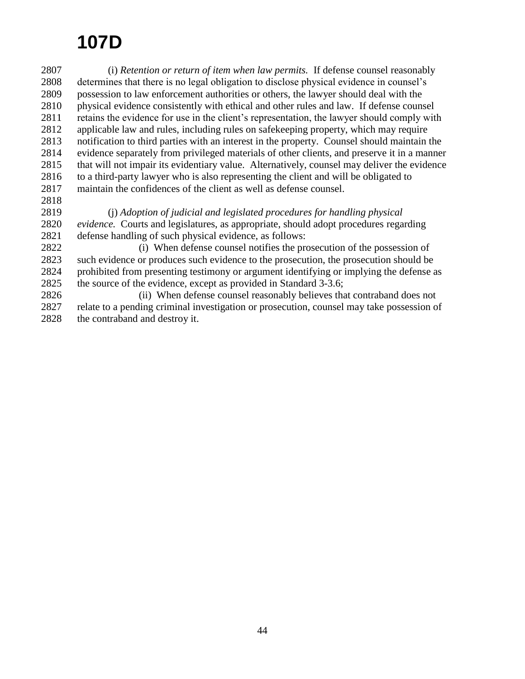(i) *Retention or return of item when law permits.* If defense counsel reasonably determines that there is no legal obligation to disclose physical evidence in counsel's possession to law enforcement authorities or others, the lawyer should deal with the 2810 physical evidence consistently with ethical and other rules and law. If defense counsel retains the evidence for use in the client's representation, the lawyer should comply with applicable law and rules, including rules on safekeeping property, which may require notification to third parties with an interest in the property. Counsel should maintain the evidence separately from privileged materials of other clients, and preserve it in a manner that will not impair its evidentiary value. Alternatively, counsel may deliver the evidence to a third-party lawyer who is also representing the client and will be obligated to maintain the confidences of the client as well as defense counsel.

 (j) *Adoption of judicial and legislated procedures for handling physical evidence.* Courts and legislatures, as appropriate, should adopt procedures regarding defense handling of such physical evidence, as follows:

 (i) When defense counsel notifies the prosecution of the possession of such evidence or produces such evidence to the prosecution, the prosecution should be prohibited from presenting testimony or argument identifying or implying the defense as the source of the evidence, except as provided in Standard 3-3.6;

 (ii) When defense counsel reasonably believes that contraband does not relate to a pending criminal investigation or prosecution, counsel may take possession of the contraband and destroy it.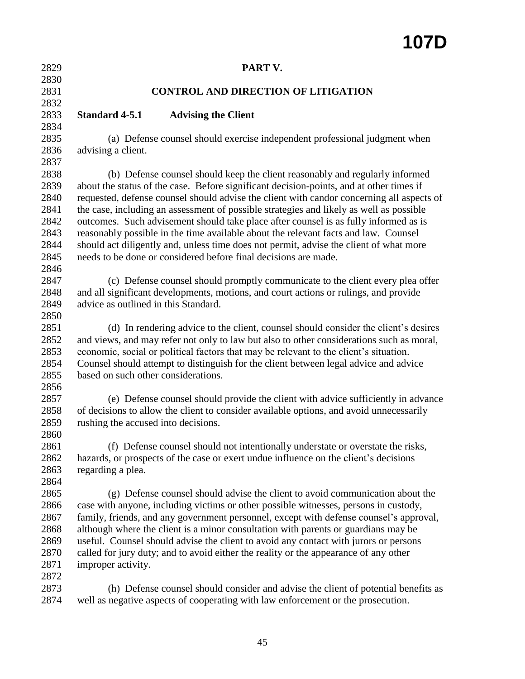| 2829         | PART V.                                                                                                                                                                 |  |  |
|--------------|-------------------------------------------------------------------------------------------------------------------------------------------------------------------------|--|--|
| 2830         |                                                                                                                                                                         |  |  |
| 2831         | <b>CONTROL AND DIRECTION OF LITIGATION</b>                                                                                                                              |  |  |
| 2832         |                                                                                                                                                                         |  |  |
| 2833         | <b>Standard 4-5.1</b><br><b>Advising the Client</b>                                                                                                                     |  |  |
| 2834         |                                                                                                                                                                         |  |  |
| 2835         | (a) Defense counsel should exercise independent professional judgment when                                                                                              |  |  |
| 2836         | advising a client.                                                                                                                                                      |  |  |
| 2837         |                                                                                                                                                                         |  |  |
| 2838<br>2839 | (b) Defense counsel should keep the client reasonably and regularly informed<br>about the status of the case. Before significant decision-points, and at other times if |  |  |
| 2840         | requested, defense counsel should advise the client with candor concerning all aspects of                                                                               |  |  |
| 2841         | the case, including an assessment of possible strategies and likely as well as possible                                                                                 |  |  |
| 2842         | outcomes. Such advisement should take place after counsel is as fully informed as is                                                                                    |  |  |
| 2843         | reasonably possible in the time available about the relevant facts and law. Counsel                                                                                     |  |  |
| 2844         | should act diligently and, unless time does not permit, advise the client of what more                                                                                  |  |  |
| 2845         | needs to be done or considered before final decisions are made.                                                                                                         |  |  |
| 2846         |                                                                                                                                                                         |  |  |
| 2847         | (c) Defense counsel should promptly communicate to the client every plea offer                                                                                          |  |  |
| 2848         | and all significant developments, motions, and court actions or rulings, and provide                                                                                    |  |  |
| 2849         | advice as outlined in this Standard.                                                                                                                                    |  |  |
| 2850         |                                                                                                                                                                         |  |  |
| 2851         | (d) In rendering advice to the client, counsel should consider the client's desires                                                                                     |  |  |
| 2852         | and views, and may refer not only to law but also to other considerations such as moral,                                                                                |  |  |
| 2853         | economic, social or political factors that may be relevant to the client's situation.                                                                                   |  |  |
| 2854         | Counsel should attempt to distinguish for the client between legal advice and advice                                                                                    |  |  |
| 2855         | based on such other considerations.                                                                                                                                     |  |  |
| 2856         |                                                                                                                                                                         |  |  |
| 2857         | (e) Defense counsel should provide the client with advice sufficiently in advance                                                                                       |  |  |
| 2858         | of decisions to allow the client to consider available options, and avoid unnecessarily                                                                                 |  |  |
| 2859         | rushing the accused into decisions.                                                                                                                                     |  |  |
| 2860         |                                                                                                                                                                         |  |  |
| 2861         | (f) Defense counsel should not intentionally understate or overstate the risks,                                                                                         |  |  |
| 2862         | hazards, or prospects of the case or exert undue influence on the client's decisions                                                                                    |  |  |
| 2863         | regarding a plea.                                                                                                                                                       |  |  |
| 2864         |                                                                                                                                                                         |  |  |
| 2865         | $(g)$ Defense counsel should advise the client to avoid communication about the                                                                                         |  |  |
| 2866         | case with anyone, including victims or other possible witnesses, persons in custody,                                                                                    |  |  |
| 2867         | family, friends, and any government personnel, except with defense counsel's approval,                                                                                  |  |  |
| 2868         | although where the client is a minor consultation with parents or guardians may be                                                                                      |  |  |
| 2869         | useful. Counsel should advise the client to avoid any contact with jurors or persons                                                                                    |  |  |
| 2870         | called for jury duty; and to avoid either the reality or the appearance of any other                                                                                    |  |  |
| 2871         | improper activity.                                                                                                                                                      |  |  |
| 2872         |                                                                                                                                                                         |  |  |
| 2873         | (h) Defense counsel should consider and advise the client of potential benefits as                                                                                      |  |  |
| 2874         | well as negative aspects of cooperating with law enforcement or the prosecution.                                                                                        |  |  |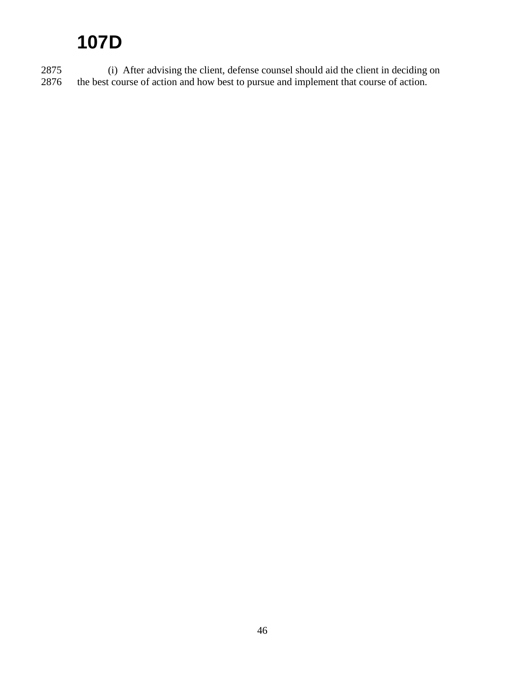2875 (i) After advising the client, defense counsel should aid the client in deciding on the best course of action and how best to pursue and implement that course of action. the best course of action and how best to pursue and implement that course of action.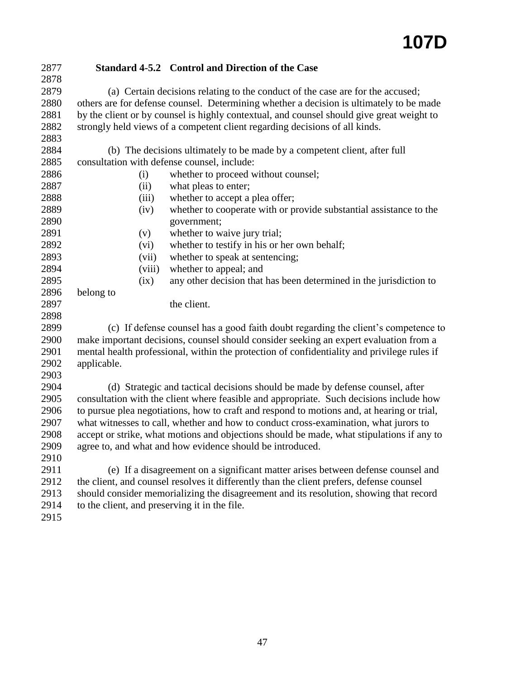| 2877 |                                                                                | <b>Standard 4-5.2 Control and Direction of the Case</b>                                     |
|------|--------------------------------------------------------------------------------|---------------------------------------------------------------------------------------------|
| 2878 |                                                                                |                                                                                             |
| 2879 | (a) Certain decisions relating to the conduct of the case are for the accused; |                                                                                             |
| 2880 |                                                                                | others are for defense counsel. Determining whether a decision is ultimately to be made     |
| 2881 |                                                                                | by the client or by counsel is highly contextual, and counsel should give great weight to   |
| 2882 |                                                                                | strongly held views of a competent client regarding decisions of all kinds.                 |
| 2883 |                                                                                |                                                                                             |
| 2884 |                                                                                | (b) The decisions ultimately to be made by a competent client, after full                   |
| 2885 | consultation with defense counsel, include:                                    |                                                                                             |
| 2886 | (i)                                                                            | whether to proceed without counsel;                                                         |
| 2887 | (ii)                                                                           | what pleas to enter;                                                                        |
| 2888 | (iii)                                                                          | whether to accept a plea offer;                                                             |
| 2889 | (iv)                                                                           | whether to cooperate with or provide substantial assistance to the                          |
| 2890 |                                                                                | government;                                                                                 |
| 2891 | (v)                                                                            | whether to waive jury trial;                                                                |
| 2892 | (vi)                                                                           | whether to testify in his or her own behalf;                                                |
| 2893 | (vii)                                                                          | whether to speak at sentencing;                                                             |
| 2894 | (viii)                                                                         | whether to appeal; and                                                                      |
| 2895 | (ix)                                                                           | any other decision that has been determined in the jurisdiction to                          |
| 2896 | belong to                                                                      |                                                                                             |
| 2897 |                                                                                | the client.                                                                                 |
| 2898 |                                                                                |                                                                                             |
| 2899 |                                                                                | (c) If defense counsel has a good faith doubt regarding the client's competence to          |
| 2900 |                                                                                | make important decisions, counsel should consider seeking an expert evaluation from a       |
| 2901 |                                                                                | mental health professional, within the protection of confidentiality and privilege rules if |
| 2902 | applicable.                                                                    |                                                                                             |
| 2903 |                                                                                |                                                                                             |
| 2904 |                                                                                | (d) Strategic and tactical decisions should be made by defense counsel, after               |
| 2905 |                                                                                | consultation with the client where feasible and appropriate. Such decisions include how     |
| 2906 |                                                                                | to pursue plea negotiations, how to craft and respond to motions and, at hearing or trial,  |
| 2907 |                                                                                | what witnesses to call, whether and how to conduct cross-examination, what jurors to        |
| 2908 |                                                                                | accept or strike, what motions and objections should be made, what stipulations if any to   |
| 2909 |                                                                                | agree to, and what and how evidence should be introduced.                                   |
| 2910 |                                                                                |                                                                                             |
| 2911 |                                                                                | (e) If a disagreement on a significant matter arises between defense counsel and            |
| 2912 |                                                                                | the client, and counsel resolves it differently than the client prefers, defense counsel    |
| 2913 |                                                                                | should consider memorializing the disagreement and its resolution, showing that record      |
| 2914 | to the client, and preserving it in the file.                                  |                                                                                             |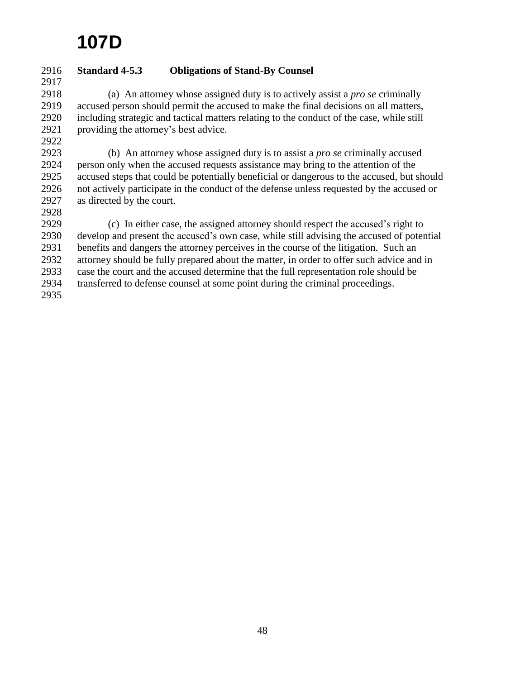#### **Standard 4-5.3 Obligations of Stand-By Counsel**

 (a) An attorney whose assigned duty is to actively assist a *pro se* criminally accused person should permit the accused to make the final decisions on all matters, including strategic and tactical matters relating to the conduct of the case, while still providing the attorney's best advice.

 (b) An attorney whose assigned duty is to assist a *pro se* criminally accused person only when the accused requests assistance may bring to the attention of the accused steps that could be potentially beneficial or dangerous to the accused, but should not actively participate in the conduct of the defense unless requested by the accused or as directed by the court. 

 (c) In either case, the assigned attorney should respect the accused's right to develop and present the accused's own case, while still advising the accused of potential benefits and dangers the attorney perceives in the course of the litigation. Such an attorney should be fully prepared about the matter, in order to offer such advice and in case the court and the accused determine that the full representation role should be transferred to defense counsel at some point during the criminal proceedings.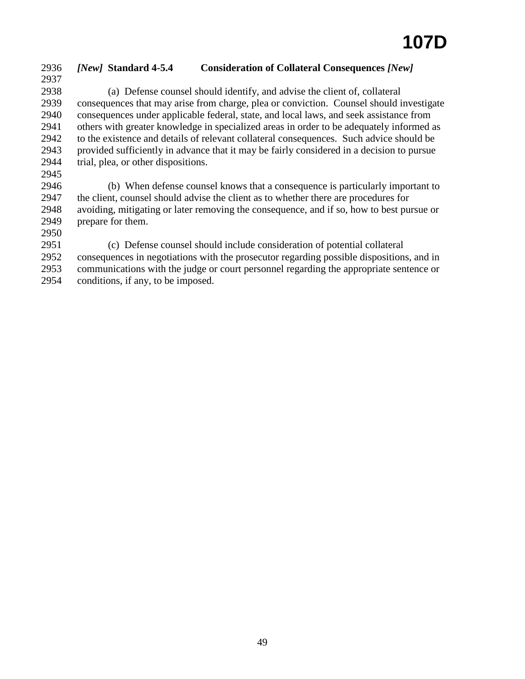| 2936 | [New] Standard 4-5.4                | <b>Consideration of Collateral Consequences [New]</b>                                     |
|------|-------------------------------------|-------------------------------------------------------------------------------------------|
| 2937 |                                     |                                                                                           |
| 2938 |                                     | (a) Defense counsel should identify, and advise the client of, collateral                 |
| 2939 |                                     | consequences that may arise from charge, plea or conviction. Counsel should investigate   |
| 2940 |                                     | consequences under applicable federal, state, and local laws, and seek assistance from    |
| 2941 |                                     | others with greater knowledge in specialized areas in order to be adequately informed as  |
| 2942 |                                     | to the existence and details of relevant collateral consequences. Such advice should be   |
| 2943 |                                     | provided sufficiently in advance that it may be fairly considered in a decision to pursue |
| 2944 | trial, plea, or other dispositions. |                                                                                           |
| 2945 |                                     |                                                                                           |
| 2946 |                                     | (b) When defense counsel knows that a consequence is particularly important to            |
| 2947 |                                     | the client, counsel should advise the client as to whether there are procedures for       |
| 2948 |                                     | avoiding, mitigating or later removing the consequence, and if so, how to best pursue or  |
| 2949 | prepare for them.                   |                                                                                           |
| 2950 |                                     |                                                                                           |
| 2951 |                                     | (c) Defense counsel should include consideration of potential collateral                  |
| 2952 |                                     | consequences in negotiations with the prosecutor regarding possible dispositions, and in  |
| 2953 |                                     | communications with the judge or court personnel regarding the appropriate sentence or    |
| 2954 | conditions, if any, to be imposed.  |                                                                                           |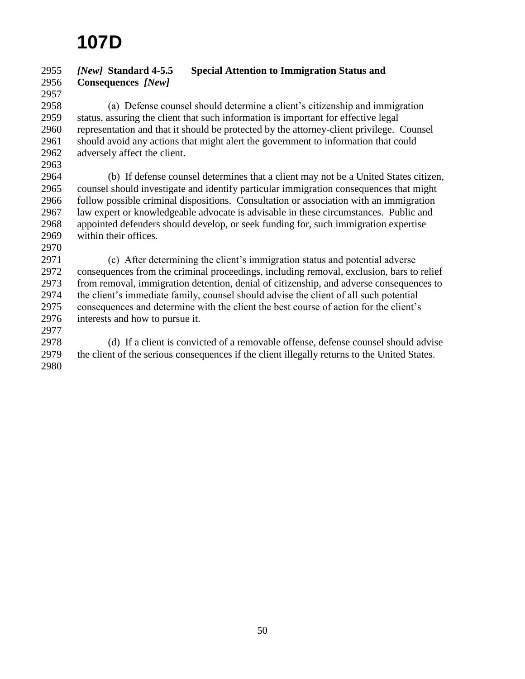#### *[New]* **Standard 4-5.5 Special Attention to Immigration Status and Consequences** *[New]* (a) Defense counsel should determine a client's citizenship and immigration status, assuring the client that such information is important for effective legal representation and that it should be protected by the attorney-client privilege. Counsel should avoid any actions that might alert the government to information that could adversely affect the client.

 (b) If defense counsel determines that a client may not be a United States citizen, counsel should investigate and identify particular immigration consequences that might follow possible criminal dispositions. Consultation or association with an immigration law expert or knowledgeable advocate is advisable in these circumstances. Public and appointed defenders should develop, or seek funding for, such immigration expertise within their offices. 

 (c) After determining the client's immigration status and potential adverse consequences from the criminal proceedings, including removal, exclusion, bars to relief from removal, immigration detention, denial of citizenship, and adverse consequences to the client's immediate family, counsel should advise the client of all such potential consequences and determine with the client the best course of action for the client's interests and how to pursue it.

 (d) If a client is convicted of a removable offense, defense counsel should advise the client of the serious consequences if the client illegally returns to the United States.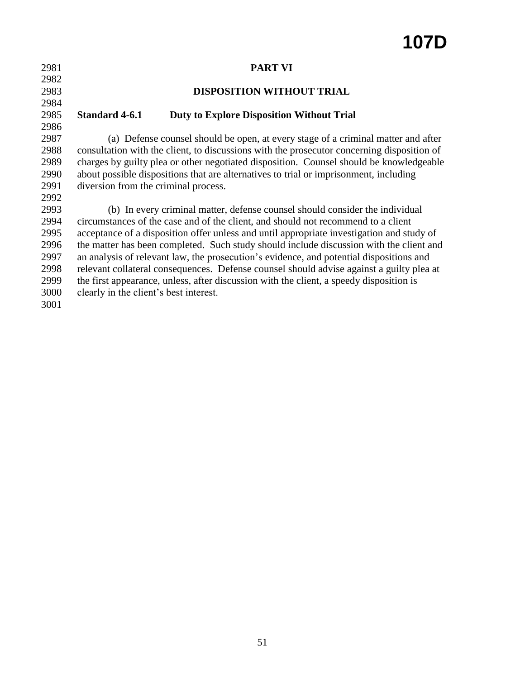| 2981 | <b>PART VI</b>                                                                             |  |  |
|------|--------------------------------------------------------------------------------------------|--|--|
| 2982 |                                                                                            |  |  |
| 2983 | <b>DISPOSITION WITHOUT TRIAL</b>                                                           |  |  |
| 2984 |                                                                                            |  |  |
| 2985 | <b>Standard 4-6.1</b><br><b>Duty to Explore Disposition Without Trial</b>                  |  |  |
| 2986 |                                                                                            |  |  |
| 2987 | (a) Defense counsel should be open, at every stage of a criminal matter and after          |  |  |
| 2988 | consultation with the client, to discussions with the prosecutor concerning disposition of |  |  |
| 2989 | charges by guilty plea or other negotiated disposition. Counsel should be knowledgeable    |  |  |
| 2990 | about possible dispositions that are alternatives to trial or imprisonment, including      |  |  |
| 2991 | diversion from the criminal process.                                                       |  |  |
| 2992 |                                                                                            |  |  |
| 2993 | (b) In every criminal matter, defense counsel should consider the individual               |  |  |
| 2994 | circumstances of the case and of the client, and should not recommend to a client          |  |  |
| 2995 | acceptance of a disposition offer unless and until appropriate investigation and study of  |  |  |
| 2996 | the matter has been completed. Such study should include discussion with the client and    |  |  |
| 2997 | an analysis of relevant law, the prosecution's evidence, and potential dispositions and    |  |  |
| 2998 | relevant collateral consequences. Defense counsel should advise against a guilty plea at   |  |  |
| 2999 | the first appearance, unless, after discussion with the client, a speedy disposition is    |  |  |
| 3000 | clearly in the client's best interest.                                                     |  |  |
| 3001 |                                                                                            |  |  |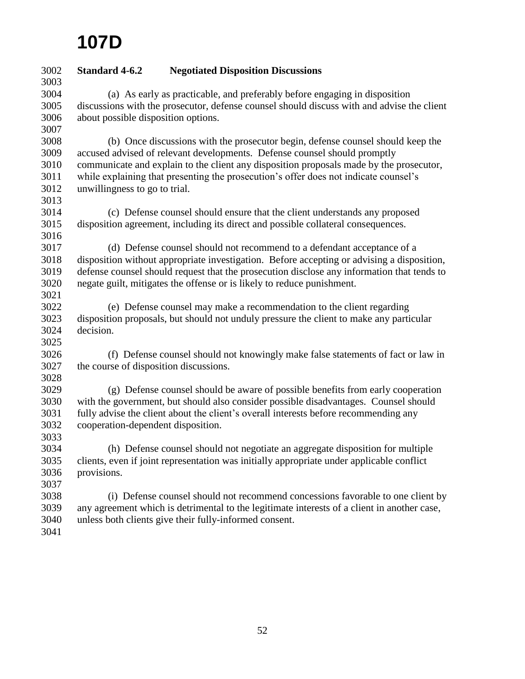| 3002 | <b>Standard 4-6.2</b>                  | <b>Negotiated Disposition Discussions</b>                                                   |
|------|----------------------------------------|---------------------------------------------------------------------------------------------|
| 3003 |                                        |                                                                                             |
| 3004 |                                        | (a) As early as practicable, and preferably before engaging in disposition                  |
| 3005 |                                        | discussions with the prosecutor, defense counsel should discuss with and advise the client  |
| 3006 | about possible disposition options.    |                                                                                             |
| 3007 |                                        |                                                                                             |
| 3008 |                                        | (b) Once discussions with the prosecutor begin, defense counsel should keep the             |
| 3009 |                                        | accused advised of relevant developments. Defense counsel should promptly                   |
| 3010 |                                        | communicate and explain to the client any disposition proposals made by the prosecutor,     |
| 3011 |                                        | while explaining that presenting the prosecution's offer does not indicate counsel's        |
| 3012 | unwillingness to go to trial.          |                                                                                             |
| 3013 |                                        |                                                                                             |
| 3014 |                                        | (c) Defense counsel should ensure that the client understands any proposed                  |
| 3015 |                                        | disposition agreement, including its direct and possible collateral consequences.           |
| 3016 |                                        |                                                                                             |
| 3017 |                                        | (d) Defense counsel should not recommend to a defendant acceptance of a                     |
| 3018 |                                        | disposition without appropriate investigation. Before accepting or advising a disposition,  |
| 3019 |                                        | defense counsel should request that the prosecution disclose any information that tends to  |
| 3020 |                                        | negate guilt, mitigates the offense or is likely to reduce punishment.                      |
| 3021 |                                        |                                                                                             |
| 3022 |                                        | (e) Defense counsel may make a recommendation to the client regarding                       |
| 3023 |                                        | disposition proposals, but should not unduly pressure the client to make any particular     |
| 3024 | decision.                              |                                                                                             |
| 3025 |                                        |                                                                                             |
| 3026 |                                        | (f) Defense counsel should not knowingly make false statements of fact or law in            |
| 3027 | the course of disposition discussions. |                                                                                             |
| 3028 |                                        |                                                                                             |
| 3029 |                                        | (g) Defense counsel should be aware of possible benefits from early cooperation             |
| 3030 |                                        | with the government, but should also consider possible disadvantages. Counsel should        |
| 3031 |                                        | fully advise the client about the client's overall interests before recommending any        |
| 3032 | cooperation-dependent disposition.     |                                                                                             |
| 3033 |                                        |                                                                                             |
| 3034 |                                        | (h) Defense counsel should not negotiate an aggregate disposition for multiple              |
| 3035 |                                        | clients, even if joint representation was initially appropriate under applicable conflict   |
| 3036 | provisions.                            |                                                                                             |
| 3037 |                                        |                                                                                             |
| 3038 |                                        | (i) Defense counsel should not recommend concessions favorable to one client by             |
| 3039 |                                        | any agreement which is detrimental to the legitimate interests of a client in another case, |
| 3040 |                                        | unless both clients give their fully-informed consent.                                      |
| 2011 |                                        |                                                                                             |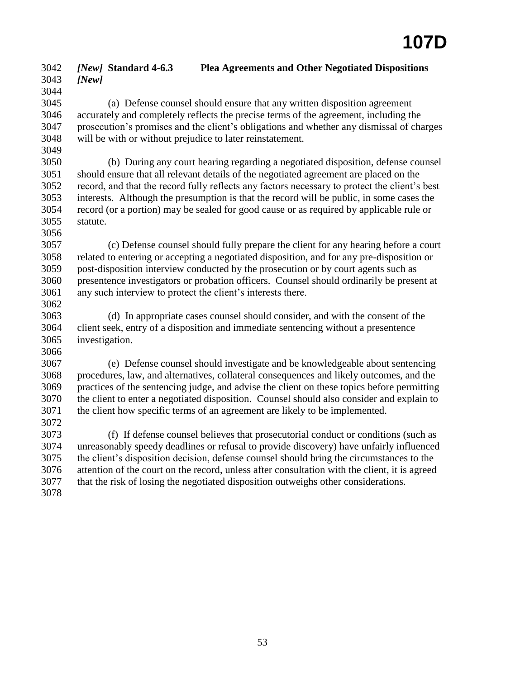#### *[New]* **Standard 4-6.3 Plea Agreements and Other Negotiated Dispositions**  *[New]*

 (a) Defense counsel should ensure that any written disposition agreement accurately and completely reflects the precise terms of the agreement, including the prosecution's promises and the client's obligations and whether any dismissal of charges will be with or without prejudice to later reinstatement.

 (b) During any court hearing regarding a negotiated disposition, defense counsel should ensure that all relevant details of the negotiated agreement are placed on the record, and that the record fully reflects any factors necessary to protect the client's best interests. Although the presumption is that the record will be public, in some cases the record (or a portion) may be sealed for good cause or as required by applicable rule or statute.

 (c) Defense counsel should fully prepare the client for any hearing before a court related to entering or accepting a negotiated disposition, and for any pre-disposition or post-disposition interview conducted by the prosecution or by court agents such as presentence investigators or probation officers. Counsel should ordinarily be present at any such interview to protect the client's interests there. 

 (d) In appropriate cases counsel should consider, and with the consent of the client seek, entry of a disposition and immediate sentencing without a presentence investigation. 

 (e) Defense counsel should investigate and be knowledgeable about sentencing procedures, law, and alternatives, collateral consequences and likely outcomes, and the practices of the sentencing judge, and advise the client on these topics before permitting the client to enter a negotiated disposition. Counsel should also consider and explain to the client how specific terms of an agreement are likely to be implemented. 

 (f) If defense counsel believes that prosecutorial conduct or conditions (such as unreasonably speedy deadlines or refusal to provide discovery) have unfairly influenced the client's disposition decision, defense counsel should bring the circumstances to the attention of the court on the record, unless after consultation with the client, it is agreed that the risk of losing the negotiated disposition outweighs other considerations.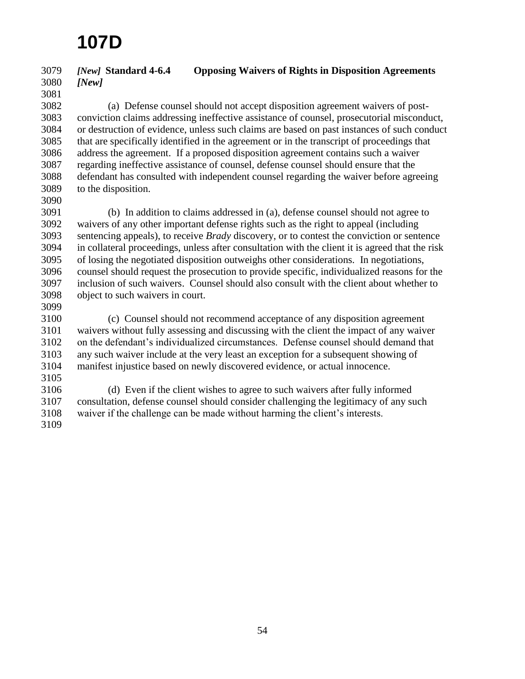#### *[New]* **Standard 4-6.4 Opposing Waivers of Rights in Disposition Agreements**  *[New]*

 (a) Defense counsel should not accept disposition agreement waivers of post- conviction claims addressing ineffective assistance of counsel, prosecutorial misconduct, or destruction of evidence, unless such claims are based on past instances of such conduct that are specifically identified in the agreement or in the transcript of proceedings that address the agreement. If a proposed disposition agreement contains such a waiver regarding ineffective assistance of counsel, defense counsel should ensure that the defendant has consulted with independent counsel regarding the waiver before agreeing to the disposition.

 (b) In addition to claims addressed in (a), defense counsel should not agree to waivers of any other important defense rights such as the right to appeal (including sentencing appeals), to receive *Brady* discovery, or to contest the conviction or sentence in collateral proceedings, unless after consultation with the client it is agreed that the risk of losing the negotiated disposition outweighs other considerations. In negotiations, counsel should request the prosecution to provide specific, individualized reasons for the inclusion of such waivers. Counsel should also consult with the client about whether to object to such waivers in court. 

 (c) Counsel should not recommend acceptance of any disposition agreement waivers without fully assessing and discussing with the client the impact of any waiver on the defendant's individualized circumstances. Defense counsel should demand that any such waiver include at the very least an exception for a subsequent showing of manifest injustice based on newly discovered evidence, or actual innocence.

 (d) Even if the client wishes to agree to such waivers after fully informed consultation, defense counsel should consider challenging the legitimacy of any such waiver if the challenge can be made without harming the client's interests.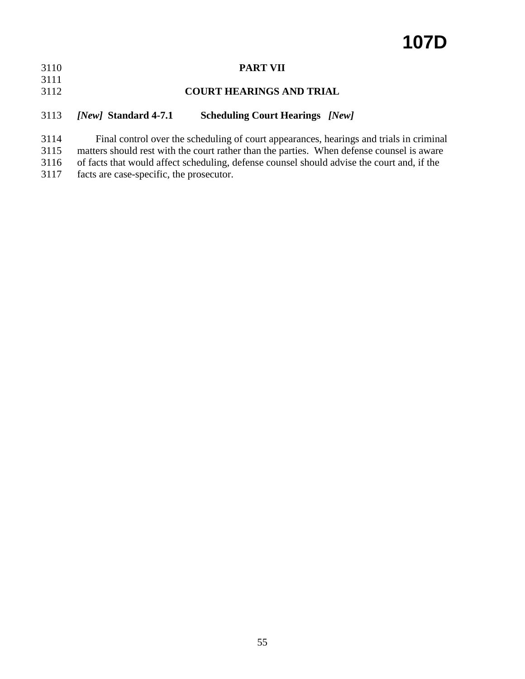### **PART VII**

**COURT HEARINGS AND TRIAL**

#### *[New]* **Standard 4-7.1 Scheduling Court Hearings** *[New]*

Final control over the scheduling of court appearances, hearings and trials in criminal

matters should rest with the court rather than the parties. When defense counsel is aware

of facts that would affect scheduling, defense counsel should advise the court and, if the

facts are case-specific, the prosecutor.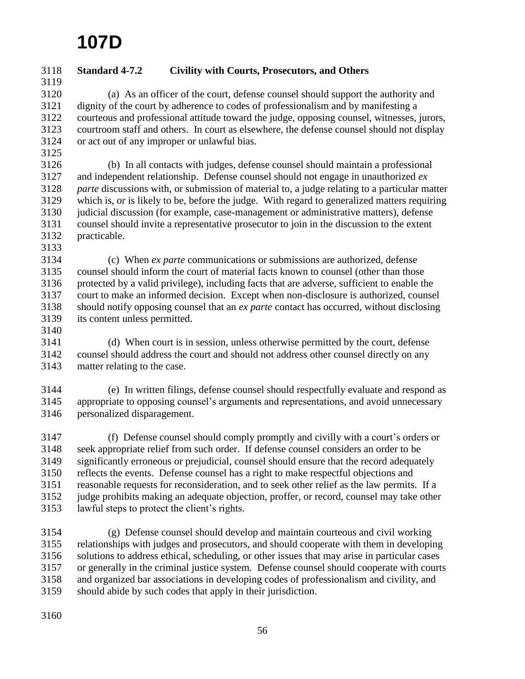### **Standard 4-7.2 Civility with Courts, Prosecutors, and Others** (a) As an officer of the court, defense counsel should support the authority and dignity of the court by adherence to codes of professionalism and by manifesting a courteous and professional attitude toward the judge, opposing counsel, witnesses, jurors, courtroom staff and others. In court as elsewhere, the defense counsel should not display or act out of any improper or unlawful bias. (b) In all contacts with judges, defense counsel should maintain a professional and independent relationship. Defense counsel should not engage in unauthorized *ex parte* discussions with, or submission of material to, a judge relating to a particular matter which is, or is likely to be, before the judge. With regard to generalized matters requiring judicial discussion (for example, case-management or administrative matters), defense counsel should invite a representative prosecutor to join in the discussion to the extent practicable. (c) When *ex parte* communications or submissions are authorized, defense counsel should inform the court of material facts known to counsel (other than those protected by a valid privilege), including facts that are adverse, sufficient to enable the court to make an informed decision. Except when non-disclosure is authorized, counsel should notify opposing counsel that an *ex parte* contact has occurred, without disclosing its content unless permitted. (d) When court is in session, unless otherwise permitted by the court, defense counsel should address the court and should not address other counsel directly on any matter relating to the case. (e) In written filings, defense counsel should respectfully evaluate and respond as appropriate to opposing counsel's arguments and representations, and avoid unnecessary

personalized disparagement.

 (f) Defense counsel should comply promptly and civilly with a court's orders or seek appropriate relief from such order. If defense counsel considers an order to be significantly erroneous or prejudicial, counsel should ensure that the record adequately reflects the events. Defense counsel has a right to make respectful objections and reasonable requests for reconsideration, and to seek other relief as the law permits. If a judge prohibits making an adequate objection, proffer, or record, counsel may take other lawful steps to protect the client's rights.

 (g) Defense counsel should develop and maintain courteous and civil working relationships with judges and prosecutors, and should cooperate with them in developing solutions to address ethical, scheduling, or other issues that may arise in particular cases or generally in the criminal justice system. Defense counsel should cooperate with courts and organized bar associations in developing codes of professionalism and civility, and should abide by such codes that apply in their jurisdiction.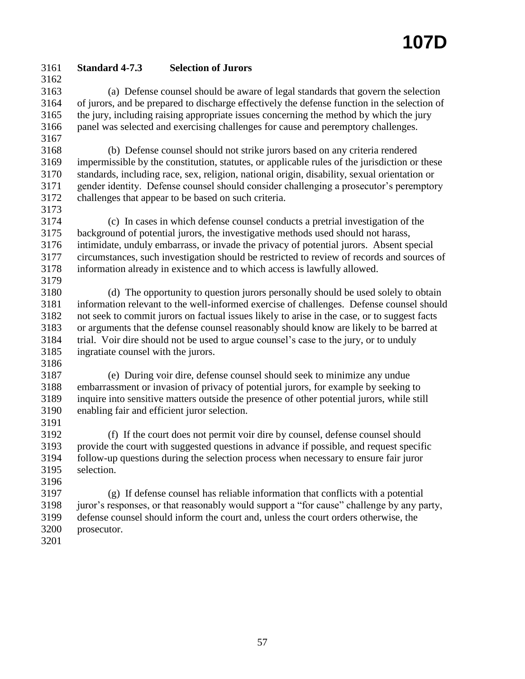| 3161 | <b>Standard 4-7.3</b>               | <b>Selection of Jurors</b>                                                                    |
|------|-------------------------------------|-----------------------------------------------------------------------------------------------|
| 3162 |                                     |                                                                                               |
| 3163 |                                     | (a) Defense counsel should be aware of legal standards that govern the selection              |
| 3164 |                                     | of jurors, and be prepared to discharge effectively the defense function in the selection of  |
| 3165 |                                     | the jury, including raising appropriate issues concerning the method by which the jury        |
| 3166 |                                     | panel was selected and exercising challenges for cause and peremptory challenges.             |
| 3167 |                                     |                                                                                               |
| 3168 |                                     | (b) Defense counsel should not strike jurors based on any criteria rendered                   |
| 3169 |                                     | impermissible by the constitution, statutes, or applicable rules of the jurisdiction or these |
| 3170 |                                     | standards, including race, sex, religion, national origin, disability, sexual orientation or  |
| 3171 |                                     | gender identity. Defense counsel should consider challenging a prosecutor's peremptory        |
| 3172 |                                     | challenges that appear to be based on such criteria.                                          |
| 3173 |                                     |                                                                                               |
| 3174 |                                     | (c) In cases in which defense counsel conducts a pretrial investigation of the                |
| 3175 |                                     | background of potential jurors, the investigative methods used should not harass,             |
| 3176 |                                     | intimidate, unduly embarrass, or invade the privacy of potential jurors. Absent special       |
| 3177 |                                     | circumstances, such investigation should be restricted to review of records and sources of    |
| 3178 |                                     | information already in existence and to which access is lawfully allowed.                     |
| 3179 |                                     |                                                                                               |
| 3180 |                                     | (d) The opportunity to question jurors personally should be used solely to obtain             |
| 3181 |                                     | information relevant to the well-informed exercise of challenges. Defense counsel should      |
| 3182 |                                     | not seek to commit jurors on factual issues likely to arise in the case, or to suggest facts  |
| 3183 |                                     | or arguments that the defense counsel reasonably should know are likely to be barred at       |
| 3184 |                                     | trial. Voir dire should not be used to argue counsel's case to the jury, or to unduly         |
| 3185 | ingratiate counsel with the jurors. |                                                                                               |
| 3186 |                                     |                                                                                               |
| 3187 |                                     | (e) During voir dire, defense counsel should seek to minimize any undue                       |
| 3188 |                                     | embarrassment or invasion of privacy of potential jurors, for example by seeking to           |
| 3189 |                                     | inquire into sensitive matters outside the presence of other potential jurors, while still    |
| 3190 |                                     | enabling fair and efficient juror selection.                                                  |
| 3191 |                                     |                                                                                               |
| 3192 |                                     | (f) If the court does not permit voir dire by counsel, defense counsel should                 |
| 3193 |                                     | provide the court with suggested questions in advance if possible, and request specific       |
| 3194 |                                     | follow-up questions during the selection process when necessary to ensure fair juror          |
| 3195 | selection.                          |                                                                                               |
| 3196 |                                     |                                                                                               |
| 3197 |                                     | (g) If defense counsel has reliable information that conflicts with a potential               |
| 3198 |                                     | juror's responses, or that reasonably would support a "for cause" challenge by any party,     |
| 3199 |                                     | defense counsel should inform the court and, unless the court orders otherwise, the           |
| 3200 | prosecutor.                         |                                                                                               |
| 3201 |                                     |                                                                                               |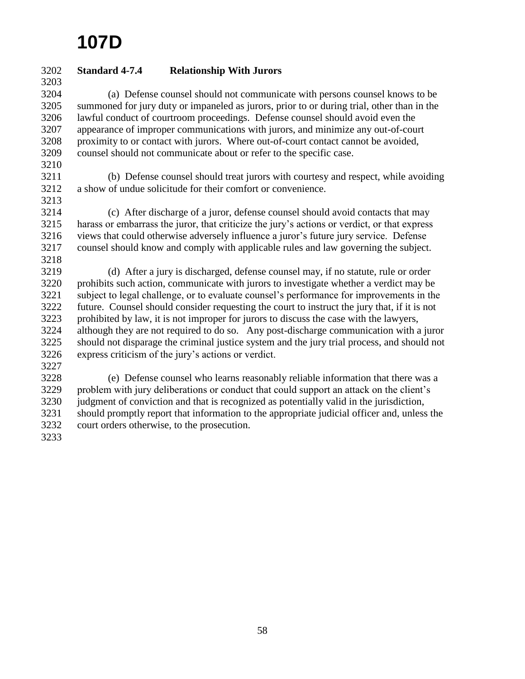| 3202 | <b>Standard 4-7.4</b> | <b>Relationship With Jurors</b>                                                              |
|------|-----------------------|----------------------------------------------------------------------------------------------|
| 3203 |                       |                                                                                              |
| 3204 |                       | (a) Defense counsel should not communicate with persons counsel knows to be                  |
| 3205 |                       | summoned for jury duty or impaneled as jurors, prior to or during trial, other than in the   |
| 3206 |                       | lawful conduct of courtroom proceedings. Defense counsel should avoid even the               |
| 3207 |                       | appearance of improper communications with jurors, and minimize any out-of-court             |
| 3208 |                       | proximity to or contact with jurors. Where out-of-court contact cannot be avoided,           |
| 3209 |                       | counsel should not communicate about or refer to the specific case.                          |
| 3210 |                       |                                                                                              |
| 3211 |                       | (b) Defense counsel should treat jurors with courtesy and respect, while avoiding            |
| 3212 |                       | a show of undue solicitude for their comfort or convenience.                                 |
| 3213 |                       |                                                                                              |
| 3214 |                       | (c) After discharge of a juror, defense counsel should avoid contacts that may               |
| 3215 |                       | harass or embarrass the juror, that criticize the jury's actions or verdict, or that express |
| 3216 |                       | views that could otherwise adversely influence a juror's future jury service. Defense        |
| 3217 |                       | counsel should know and comply with applicable rules and law governing the subject.          |
| 3218 |                       |                                                                                              |
| 3219 |                       | (d) After a jury is discharged, defense counsel may, if no statute, rule or order            |
| 3220 |                       | prohibits such action, communicate with jurors to investigate whether a verdict may be       |
| 3221 |                       | subject to legal challenge, or to evaluate counsel's performance for improvements in the     |
| 3222 |                       | future. Counsel should consider requesting the court to instruct the jury that, if it is not |
| 3223 |                       | prohibited by law, it is not improper for jurors to discuss the case with the lawyers,       |
| 3224 |                       | although they are not required to do so. Any post-discharge communication with a juror       |
| 3225 |                       | should not disparage the criminal justice system and the jury trial process, and should not  |
| 3226 |                       | express criticism of the jury's actions or verdict.                                          |
| 3227 |                       |                                                                                              |
| 3228 |                       | (e) Defense counsel who learns reasonably reliable information that there was a              |

 problem with jury deliberations or conduct that could support an attack on the client's judgment of conviction and that is recognized as potentially valid in the jurisdiction, 3231 should promptly report that information to the appropriate judicial officer and, unless the court orders otherwise, to the prosecution. court orders otherwise, to the prosecution.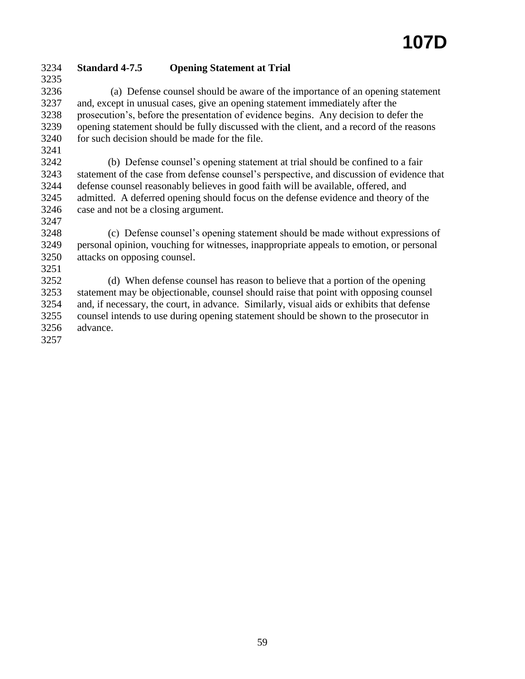### **Standard 4-7.5 Opening Statement at Trial**

 (a) Defense counsel should be aware of the importance of an opening statement and, except in unusual cases, give an opening statement immediately after the prosecution's, before the presentation of evidence begins. Any decision to defer the opening statement should be fully discussed with the client, and a record of the reasons for such decision should be made for the file.

 (b) Defense counsel's opening statement at trial should be confined to a fair statement of the case from defense counsel's perspective, and discussion of evidence that defense counsel reasonably believes in good faith will be available, offered, and admitted. A deferred opening should focus on the defense evidence and theory of the case and not be a closing argument.

 (c) Defense counsel's opening statement should be made without expressions of personal opinion, vouching for witnesses, inappropriate appeals to emotion, or personal attacks on opposing counsel. 

 (d) When defense counsel has reason to believe that a portion of the opening statement may be objectionable, counsel should raise that point with opposing counsel and, if necessary, the court, in advance. Similarly, visual aids or exhibits that defense counsel intends to use during opening statement should be shown to the prosecutor in advance.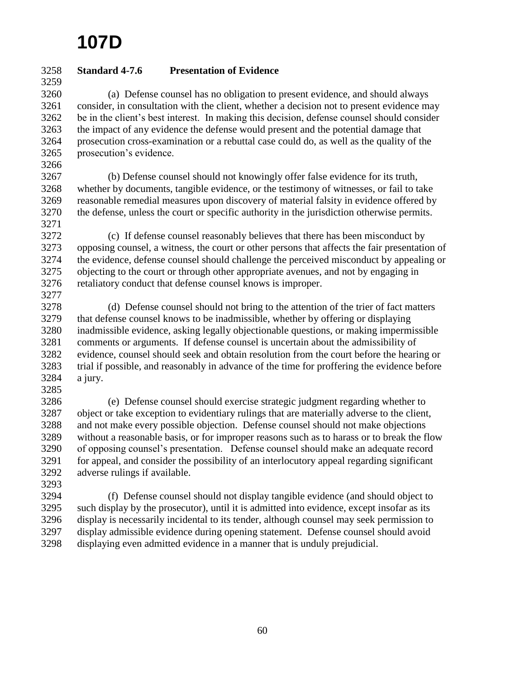### **Standard 4-7.6 Presentation of Evidence**

 (a) Defense counsel has no obligation to present evidence, and should always consider, in consultation with the client, whether a decision not to present evidence may be in the client's best interest. In making this decision, defense counsel should consider the impact of any evidence the defense would present and the potential damage that prosecution cross-examination or a rebuttal case could do, as well as the quality of the prosecution's evidence.

 (b) Defense counsel should not knowingly offer false evidence for its truth, whether by documents, tangible evidence, or the testimony of witnesses, or fail to take reasonable remedial measures upon discovery of material falsity in evidence offered by the defense, unless the court or specific authority in the jurisdiction otherwise permits. 

 (c) If defense counsel reasonably believes that there has been misconduct by opposing counsel, a witness, the court or other persons that affects the fair presentation of the evidence, defense counsel should challenge the perceived misconduct by appealing or objecting to the court or through other appropriate avenues, and not by engaging in retaliatory conduct that defense counsel knows is improper. 

 (d) Defense counsel should not bring to the attention of the trier of fact matters that defense counsel knows to be inadmissible, whether by offering or displaying inadmissible evidence, asking legally objectionable questions, or making impermissible comments or arguments. If defense counsel is uncertain about the admissibility of evidence, counsel should seek and obtain resolution from the court before the hearing or trial if possible, and reasonably in advance of the time for proffering the evidence before a jury. 

 (e) Defense counsel should exercise strategic judgment regarding whether to object or take exception to evidentiary rulings that are materially adverse to the client, and not make every possible objection. Defense counsel should not make objections without a reasonable basis, or for improper reasons such as to harass or to break the flow of opposing counsel's presentation. Defense counsel should make an adequate record for appeal, and consider the possibility of an interlocutory appeal regarding significant adverse rulings if available.

 (f) Defense counsel should not display tangible evidence (and should object to such display by the prosecutor), until it is admitted into evidence, except insofar as its display is necessarily incidental to its tender, although counsel may seek permission to display admissible evidence during opening statement. Defense counsel should avoid displaying even admitted evidence in a manner that is unduly prejudicial.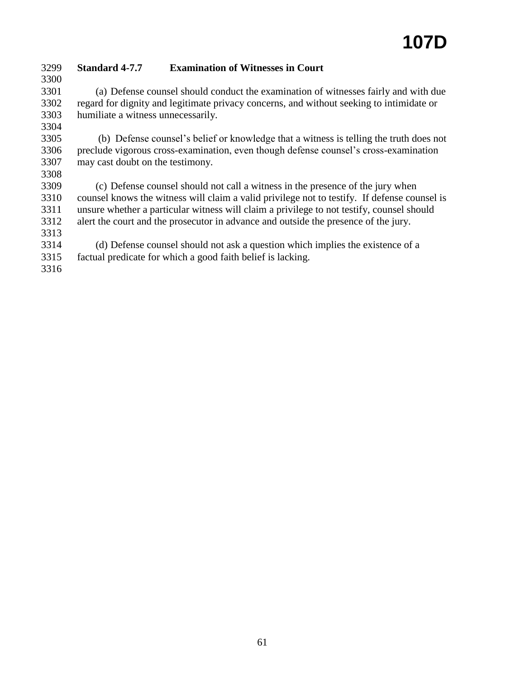| 3299 | <b>Standard 4-7.7</b>              | <b>Examination of Witnesses in Court</b>                                                     |
|------|------------------------------------|----------------------------------------------------------------------------------------------|
| 3300 |                                    |                                                                                              |
| 3301 |                                    | (a) Defense counsel should conduct the examination of witnesses fairly and with due          |
| 3302 |                                    | regard for dignity and legitimate privacy concerns, and without seeking to intimidate or     |
| 3303 | humiliate a witness unnecessarily. |                                                                                              |
| 3304 |                                    |                                                                                              |
| 3305 |                                    | (b) Defense counsel's belief or knowledge that a witness is telling the truth does not       |
| 3306 |                                    | preclude vigorous cross-examination, even though defense counsel's cross-examination         |
| 3307 | may cast doubt on the testimony.   |                                                                                              |
| 3308 |                                    |                                                                                              |
| 3309 |                                    | (c) Defense counsel should not call a witness in the presence of the jury when               |
| 3310 |                                    | counsel knows the witness will claim a valid privilege not to testify. If defense counsel is |
| 3311 |                                    | unsure whether a particular witness will claim a privilege to not testify, counsel should    |
| 3312 |                                    | a left the court and the prosecutor in advance and outside the presence of the jury.         |
| 3313 |                                    |                                                                                              |
| 3314 |                                    | (d) Defense counsel should not ask a question which implies the existence of a               |
| 3315 |                                    | factual predicate for which a good faith belief is lacking.                                  |
| 3316 |                                    |                                                                                              |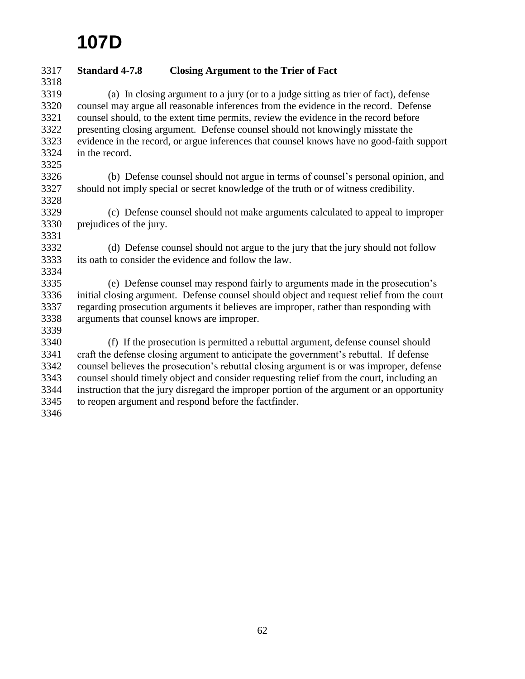| 3317 | <b>Standard 4-7.8</b>                                                                | <b>Closing Argument to the Trier of Fact</b>                                               |  |
|------|--------------------------------------------------------------------------------------|--------------------------------------------------------------------------------------------|--|
| 3318 |                                                                                      |                                                                                            |  |
| 3319 |                                                                                      | (a) In closing argument to a jury (or to a judge sitting as trier of fact), defense        |  |
| 3320 | counsel may argue all reasonable inferences from the evidence in the record. Defense |                                                                                            |  |
| 3321 |                                                                                      | counsel should, to the extent time permits, review the evidence in the record before       |  |
| 3322 |                                                                                      | presenting closing argument. Defense counsel should not knowingly misstate the             |  |
| 3323 |                                                                                      | evidence in the record, or argue inferences that counsel knows have no good-faith support  |  |
| 3324 | in the record.                                                                       |                                                                                            |  |
| 3325 |                                                                                      |                                                                                            |  |
| 3326 |                                                                                      | (b) Defense counsel should not argue in terms of counsel's personal opinion, and           |  |
| 3327 |                                                                                      | should not imply special or secret knowledge of the truth or of witness credibility.       |  |
| 3328 |                                                                                      |                                                                                            |  |
| 3329 |                                                                                      | (c) Defense counsel should not make arguments calculated to appeal to improper             |  |
| 3330 | prejudices of the jury.                                                              |                                                                                            |  |
| 3331 |                                                                                      |                                                                                            |  |
| 3332 |                                                                                      | (d) Defense counsel should not argue to the jury that the jury should not follow           |  |
| 3333 |                                                                                      | its oath to consider the evidence and follow the law.                                      |  |
| 3334 |                                                                                      |                                                                                            |  |
| 3335 |                                                                                      | (e) Defense counsel may respond fairly to arguments made in the prosecution's              |  |
| 3336 |                                                                                      | initial closing argument. Defense counsel should object and request relief from the court  |  |
| 3337 |                                                                                      | regarding prosecution arguments it believes are improper, rather than responding with      |  |
| 3338 |                                                                                      | arguments that counsel knows are improper.                                                 |  |
| 3339 |                                                                                      |                                                                                            |  |
| 3340 |                                                                                      | (f) If the prosecution is permitted a rebuttal argument, defense counsel should            |  |
| 3341 |                                                                                      | craft the defense closing argument to anticipate the government's rebuttal. If defense     |  |
| 3342 |                                                                                      | counsel believes the prosecution's rebuttal closing argument is or was improper, defense   |  |
| 3343 |                                                                                      | counsel should timely object and consider requesting relief from the court, including an   |  |
| 3344 |                                                                                      | instruction that the jury disregard the improper portion of the argument or an opportunity |  |
| 3345 |                                                                                      | to reopen argument and respond before the factfinder.                                      |  |
| 3346 |                                                                                      |                                                                                            |  |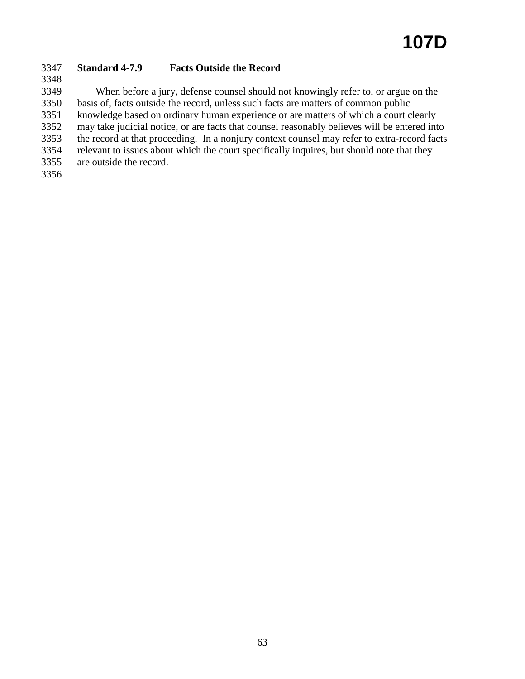### **Standard 4-7.9 Facts Outside the Record**

 When before a jury, defense counsel should not knowingly refer to, or argue on the basis of, facts outside the record, unless such facts are matters of common public knowledge based on ordinary human experience or are matters of which a court clearly may take judicial notice, or are facts that counsel reasonably believes will be entered into the record at that proceeding. In a nonjury context counsel may refer to extra-record facts relevant to issues about which the court specifically inquires, but should note that they are outside the record.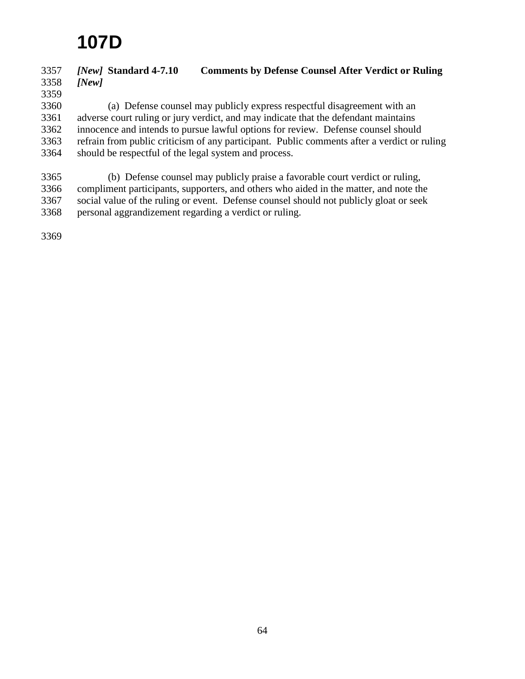| 3357 | [New] Standard 4-7.10                                 | <b>Comments by Defense Counsel After Verdict or Ruling</b>                                  |
|------|-------------------------------------------------------|---------------------------------------------------------------------------------------------|
| 3358 | [New]                                                 |                                                                                             |
| 3359 |                                                       |                                                                                             |
| 3360 |                                                       | (a) Defense counsel may publicly express respectful disagreement with an                    |
| 3361 |                                                       | adverse court ruling or jury verdict, and may indicate that the defendant maintains         |
| 3362 |                                                       | innocence and intends to pursue lawful options for review. Defense counsel should           |
| 3363 |                                                       | refrain from public criticism of any participant. Public comments after a verdict or ruling |
| 3364 | should be respectful of the legal system and process. |                                                                                             |
| 3365 |                                                       | (b) Defense counsel may publicly praise a favorable court verdict or ruling,                |
| 2266 |                                                       | compliment pertinents, sympators, and others who eided in the metter, and note the          |

 compliment participants, supporters, and others who aided in the matter, and note the social value of the ruling or event. Defense counsel should not publicly gloat or seek personal aggrandizement regarding a verdict or ruling.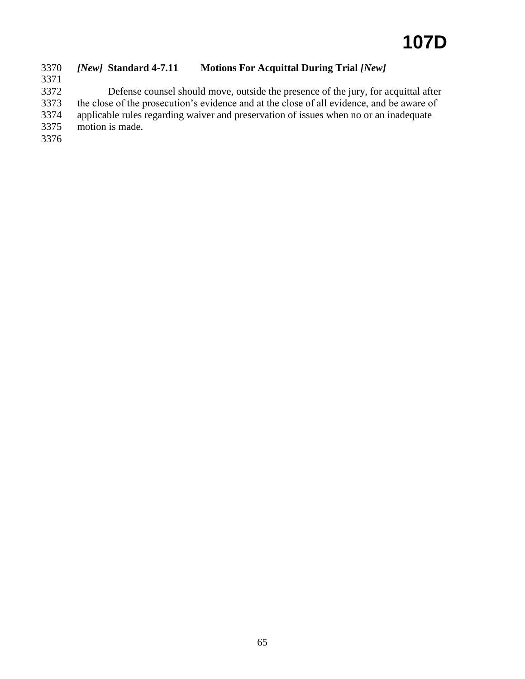### 3370 *[New]* **Standard 4-7.11 Motions For Acquittal During Trial** *[New]*

3371<br>3372 Defense counsel should move, outside the presence of the jury, for acquittal after 3373 the close of the prosecution's evidence and at the close of all evidence, and be aware of applicable rules regarding waiver and preservation of issues when no or an inadequate 3374 applicable rules regarding waiver and preservation of issues when no or an inadequate motion is made.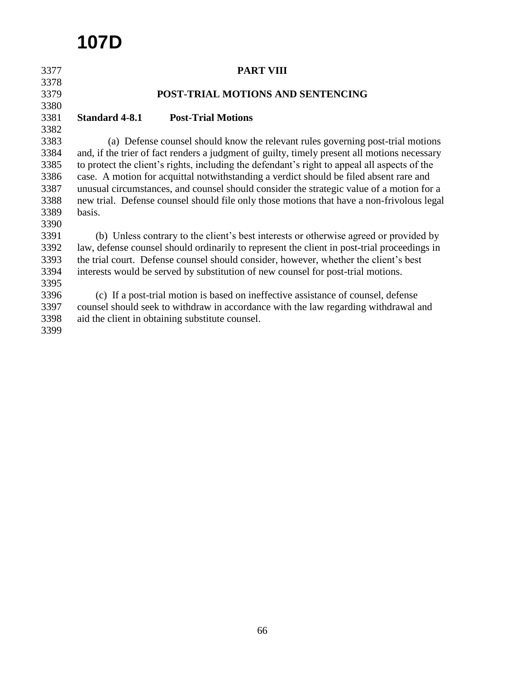| 3377 | <b>PART VIII</b>                                                                             |  |  |  |
|------|----------------------------------------------------------------------------------------------|--|--|--|
| 3378 |                                                                                              |  |  |  |
| 3379 | POST-TRIAL MOTIONS AND SENTENCING                                                            |  |  |  |
| 3380 |                                                                                              |  |  |  |
| 3381 | <b>Standard 4-8.1</b><br><b>Post-Trial Motions</b>                                           |  |  |  |
| 3382 |                                                                                              |  |  |  |
| 3383 | (a) Defense counsel should know the relevant rules governing post-trial motions              |  |  |  |
| 3384 | and, if the trier of fact renders a judgment of guilty, timely present all motions necessary |  |  |  |
| 3385 | to protect the client's rights, including the defendant's right to appeal all aspects of the |  |  |  |
| 3386 | case. A motion for acquittal notwithstanding a verdict should be filed absent rare and       |  |  |  |
| 3387 | unusual circumstances, and counsel should consider the strategic value of a motion for a     |  |  |  |
| 3388 | new trial. Defense counsel should file only those motions that have a non-frivolous legal    |  |  |  |
| 3389 | basis.                                                                                       |  |  |  |
| 3390 |                                                                                              |  |  |  |
| 3391 | (b) Unless contrary to the client's best interests or otherwise agreed or provided by        |  |  |  |
| 3392 | law, defense counsel should ordinarily to represent the client in post-trial proceedings in  |  |  |  |
| 3393 | the trial court. Defense counsel should consider, however, whether the client's best         |  |  |  |
| 3394 | interests would be served by substitution of new counsel for post-trial motions.             |  |  |  |
| 3395 |                                                                                              |  |  |  |
| 3396 | (c) If a post-trial motion is based on ineffective assistance of counsel, defense            |  |  |  |
| 3397 | counsel should seek to withdraw in accordance with the law regarding withdrawal and          |  |  |  |
| 3398 | aid the client in obtaining substitute counsel.                                              |  |  |  |
| 3399 |                                                                                              |  |  |  |
|      |                                                                                              |  |  |  |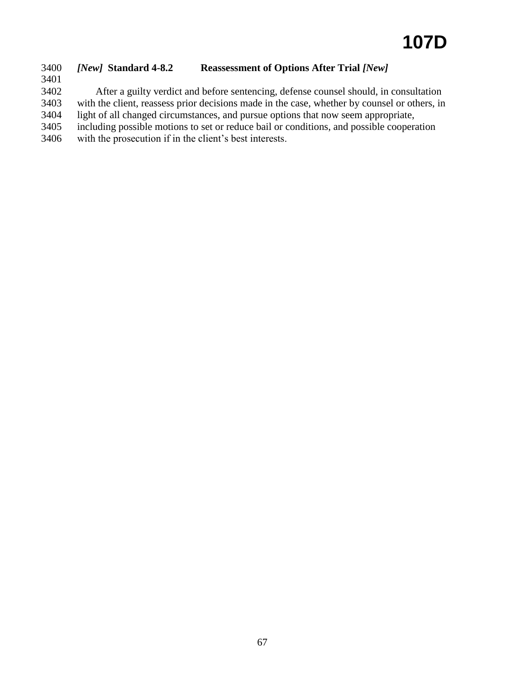|  | 3400 <i>[New]</i> Standard 4-8.2 | <b>Reassessment of Options After Trial [New]</b> |
|--|----------------------------------|--------------------------------------------------|
|--|----------------------------------|--------------------------------------------------|

3401<br>3402

After a guilty verdict and before sentencing, defense counsel should, in consultation

3403 with the client, reassess prior decisions made in the case, whether by counsel or others, in

3404 light of all changed circumstances, and pursue options that now seem appropriate,<br>3405 including possible motions to set or reduce bail or conditions, and possible cooperations.

3405 including possible motions to set or reduce bail or conditions, and possible cooperation with the prosecution if in the client's best interests.

with the prosecution if in the client's best interests.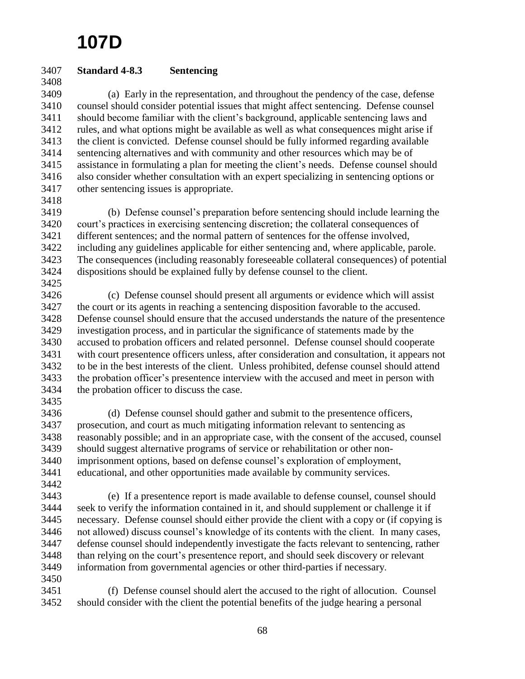#### **Standard 4-8.3 Sentencing**

 (a) Early in the representation, and throughout the pendency of the case, defense counsel should consider potential issues that might affect sentencing. Defense counsel should become familiar with the client's background, applicable sentencing laws and rules, and what options might be available as well as what consequences might arise if the client is convicted. Defense counsel should be fully informed regarding available sentencing alternatives and with community and other resources which may be of assistance in formulating a plan for meeting the client's needs. Defense counsel should also consider whether consultation with an expert specializing in sentencing options or other sentencing issues is appropriate.

 (b) Defense counsel's preparation before sentencing should include learning the court's practices in exercising sentencing discretion; the collateral consequences of different sentences; and the normal pattern of sentences for the offense involved, including any guidelines applicable for either sentencing and, where applicable, parole. The consequences (including reasonably foreseeable collateral consequences) of potential dispositions should be explained fully by defense counsel to the client.

 (c) Defense counsel should present all arguments or evidence which will assist the court or its agents in reaching a sentencing disposition favorable to the accused. Defense counsel should ensure that the accused understands the nature of the presentence investigation process, and in particular the significance of statements made by the accused to probation officers and related personnel. Defense counsel should cooperate with court presentence officers unless, after consideration and consultation, it appears not to be in the best interests of the client. Unless prohibited, defense counsel should attend the probation officer's presentence interview with the accused and meet in person with the probation officer to discuss the case.

 (d) Defense counsel should gather and submit to the presentence officers, prosecution, and court as much mitigating information relevant to sentencing as reasonably possible; and in an appropriate case, with the consent of the accused, counsel should suggest alternative programs of service or rehabilitation or other non- imprisonment options, based on defense counsel's exploration of employment, educational, and other opportunities made available by community services.

 (e) If a presentence report is made available to defense counsel, counsel should seek to verify the information contained in it, and should supplement or challenge it if necessary. Defense counsel should either provide the client with a copy or (if copying is not allowed) discuss counsel's knowledge of its contents with the client. In many cases, defense counsel should independently investigate the facts relevant to sentencing, rather than relying on the court's presentence report, and should seek discovery or relevant information from governmental agencies or other third-parties if necessary. 

 (f) Defense counsel should alert the accused to the right of allocution. Counsel should consider with the client the potential benefits of the judge hearing a personal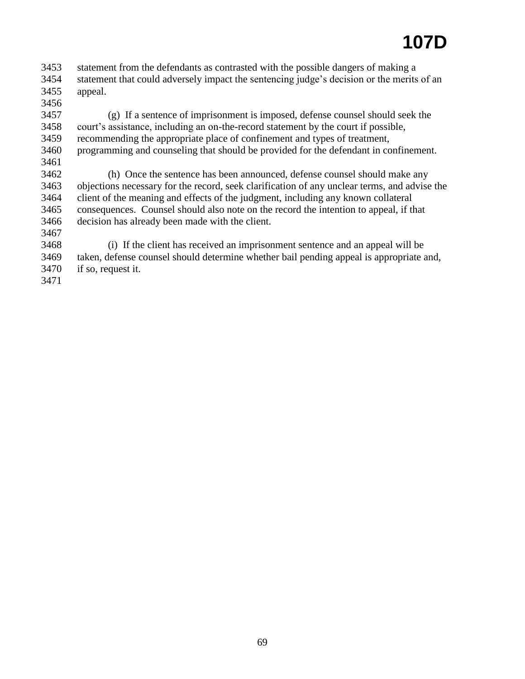statement from the defendants as contrasted with the possible dangers of making a statement that could adversely impact the sentencing judge's decision or the merits of an appeal. 

 (g) If a sentence of imprisonment is imposed, defense counsel should seek the court's assistance, including an on-the-record statement by the court if possible, recommending the appropriate place of confinement and types of treatment, programming and counseling that should be provided for the defendant in confinement. 

 (h) Once the sentence has been announced, defense counsel should make any objections necessary for the record, seek clarification of any unclear terms, and advise the client of the meaning and effects of the judgment, including any known collateral consequences. Counsel should also note on the record the intention to appeal, if that decision has already been made with the client. 

 (i) If the client has received an imprisonment sentence and an appeal will be taken, defense counsel should determine whether bail pending appeal is appropriate and, if so, request it.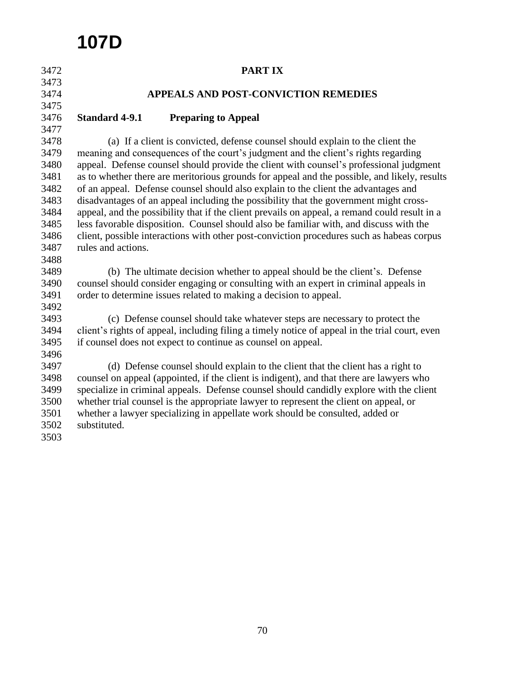| 3472 |                                                                                              | <b>PARTIX</b>                                                                                  |  |  |
|------|----------------------------------------------------------------------------------------------|------------------------------------------------------------------------------------------------|--|--|
| 3473 |                                                                                              |                                                                                                |  |  |
| 3474 | APPEALS AND POST-CONVICTION REMEDIES                                                         |                                                                                                |  |  |
| 3475 |                                                                                              |                                                                                                |  |  |
| 3476 | <b>Standard 4-9.1</b>                                                                        | <b>Preparing to Appeal</b>                                                                     |  |  |
| 3477 |                                                                                              |                                                                                                |  |  |
| 3478 |                                                                                              | (a) If a client is convicted, defense counsel should explain to the client the                 |  |  |
| 3479 | meaning and consequences of the court's judgment and the client's rights regarding           |                                                                                                |  |  |
| 3480 | appeal. Defense counsel should provide the client with counsel's professional judgment       |                                                                                                |  |  |
| 3481 | as to whether there are meritorious grounds for appeal and the possible, and likely, results |                                                                                                |  |  |
| 3482 | of an appeal. Defense counsel should also explain to the client the advantages and           |                                                                                                |  |  |
| 3483 |                                                                                              | disadvantages of an appeal including the possibility that the government might cross-          |  |  |
| 3484 |                                                                                              | appeal, and the possibility that if the client prevails on appeal, a remand could result in a  |  |  |
| 3485 |                                                                                              | less favorable disposition. Counsel should also be familiar with, and discuss with the         |  |  |
| 3486 | client, possible interactions with other post-conviction procedures such as habeas corpus    |                                                                                                |  |  |
| 3487 | rules and actions.                                                                           |                                                                                                |  |  |
| 3488 |                                                                                              |                                                                                                |  |  |
| 3489 |                                                                                              | (b) The ultimate decision whether to appeal should be the client's. Defense                    |  |  |
| 3490 | counsel should consider engaging or consulting with an expert in criminal appeals in         |                                                                                                |  |  |
| 3491 |                                                                                              | order to determine issues related to making a decision to appeal.                              |  |  |
| 3492 |                                                                                              |                                                                                                |  |  |
| 3493 |                                                                                              | (c) Defense counsel should take whatever steps are necessary to protect the                    |  |  |
| 3494 |                                                                                              | client's rights of appeal, including filing a timely notice of appeal in the trial court, even |  |  |
| 3495 |                                                                                              | if counsel does not expect to continue as counsel on appeal.                                   |  |  |
| 3496 |                                                                                              |                                                                                                |  |  |
| 3497 |                                                                                              | (d) Defense counsel should explain to the client that the client has a right to                |  |  |
| 3498 |                                                                                              | counsel on appeal (appointed, if the client is indigent), and that there are lawyers who       |  |  |
| 3499 |                                                                                              | specialize in criminal appeals. Defense counsel should candidly explore with the client        |  |  |
| 3500 |                                                                                              | whether trial counsel is the appropriate lawyer to represent the client on appeal, or          |  |  |
| 3501 |                                                                                              | whether a lawyer specializing in appellate work should be consulted, added or                  |  |  |
| 3502 | substituted.                                                                                 |                                                                                                |  |  |
| 3503 |                                                                                              |                                                                                                |  |  |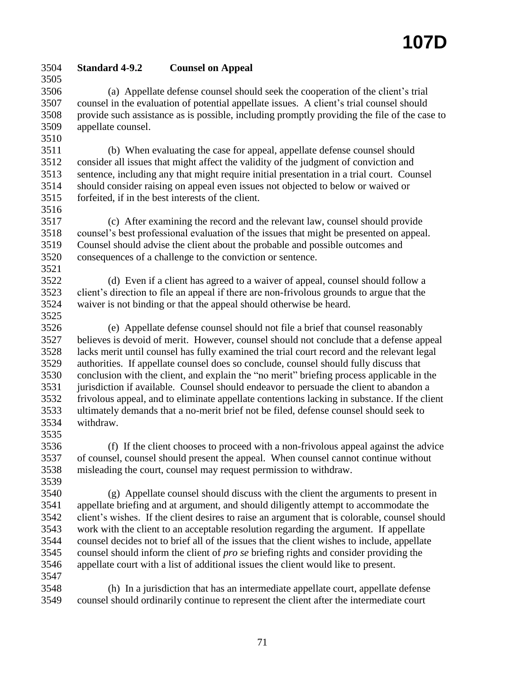| 3504 | <b>Standard 4-9.2</b>                                                                        | <b>Counsel on Appeal</b>                                                                      |  |  |
|------|----------------------------------------------------------------------------------------------|-----------------------------------------------------------------------------------------------|--|--|
| 3505 |                                                                                              |                                                                                               |  |  |
| 3506 |                                                                                              | (a) Appellate defense counsel should seek the cooperation of the client's trial               |  |  |
| 3507 | counsel in the evaluation of potential appellate issues. A client's trial counsel should     |                                                                                               |  |  |
| 3508 | provide such assistance as is possible, including promptly providing the file of the case to |                                                                                               |  |  |
| 3509 | appellate counsel.                                                                           |                                                                                               |  |  |
| 3510 |                                                                                              |                                                                                               |  |  |
| 3511 |                                                                                              | (b) When evaluating the case for appeal, appellate defense counsel should                     |  |  |
| 3512 |                                                                                              | consider all issues that might affect the validity of the judgment of conviction and          |  |  |
| 3513 |                                                                                              | sentence, including any that might require initial presentation in a trial court. Counsel     |  |  |
| 3514 |                                                                                              | should consider raising on appeal even issues not objected to below or waived or              |  |  |
| 3515 |                                                                                              | forfeited, if in the best interests of the client.                                            |  |  |
| 3516 |                                                                                              |                                                                                               |  |  |
| 3517 |                                                                                              | (c) After examining the record and the relevant law, counsel should provide                   |  |  |
| 3518 |                                                                                              | counsel's best professional evaluation of the issues that might be presented on appeal.       |  |  |
| 3519 |                                                                                              | Counsel should advise the client about the probable and possible outcomes and                 |  |  |
| 3520 |                                                                                              | consequences of a challenge to the conviction or sentence.                                    |  |  |
| 3521 |                                                                                              |                                                                                               |  |  |
| 3522 |                                                                                              | (d) Even if a client has agreed to a waiver of appeal, counsel should follow a                |  |  |
| 3523 |                                                                                              | client's direction to file an appeal if there are non-frivolous grounds to argue that the     |  |  |
| 3524 |                                                                                              | waiver is not binding or that the appeal should otherwise be heard.                           |  |  |
| 3525 |                                                                                              |                                                                                               |  |  |
| 3526 |                                                                                              | (e) Appellate defense counsel should not file a brief that counsel reasonably                 |  |  |
| 3527 |                                                                                              | believes is devoid of merit. However, counsel should not conclude that a defense appeal       |  |  |
| 3528 |                                                                                              | lacks merit until counsel has fully examined the trial court record and the relevant legal    |  |  |
| 3529 |                                                                                              | authorities. If appellate counsel does so conclude, counsel should fully discuss that         |  |  |
| 3530 |                                                                                              | conclusion with the client, and explain the "no merit" briefing process applicable in the     |  |  |
| 3531 |                                                                                              | jurisdiction if available. Counsel should endeavor to persuade the client to abandon a        |  |  |
| 3532 |                                                                                              | frivolous appeal, and to eliminate appellate contentions lacking in substance. If the client  |  |  |
| 3533 |                                                                                              | ultimately demands that a no-merit brief not be filed, defense counsel should seek to         |  |  |
| 3534 | withdraw.                                                                                    |                                                                                               |  |  |
| 3535 |                                                                                              |                                                                                               |  |  |
| 3536 |                                                                                              | (f) If the client chooses to proceed with a non-frivolous appeal against the advice           |  |  |
| 3537 |                                                                                              | of counsel, counsel should present the appeal. When counsel cannot continue without           |  |  |
| 3538 |                                                                                              | misleading the court, counsel may request permission to withdraw.                             |  |  |
| 3539 |                                                                                              |                                                                                               |  |  |
| 3540 |                                                                                              | (g) Appellate counsel should discuss with the client the arguments to present in              |  |  |
| 3541 |                                                                                              | appellate briefing and at argument, and should diligently attempt to accommodate the          |  |  |
| 3542 |                                                                                              | client's wishes. If the client desires to raise an argument that is colorable, counsel should |  |  |
| 3543 |                                                                                              | work with the client to an acceptable resolution regarding the argument. If appellate         |  |  |
| 3544 |                                                                                              | counsel decides not to brief all of the issues that the client wishes to include, appellate   |  |  |
| 3545 |                                                                                              | counsel should inform the client of <i>pro se</i> briefing rights and consider providing the  |  |  |
| 3546 |                                                                                              | appellate court with a list of additional issues the client would like to present.            |  |  |
| 3547 |                                                                                              |                                                                                               |  |  |
| 3548 |                                                                                              | (h) In a jurisdiction that has an intermediate appellate court, appellate defense             |  |  |

counsel should ordinarily continue to represent the client after the intermediate court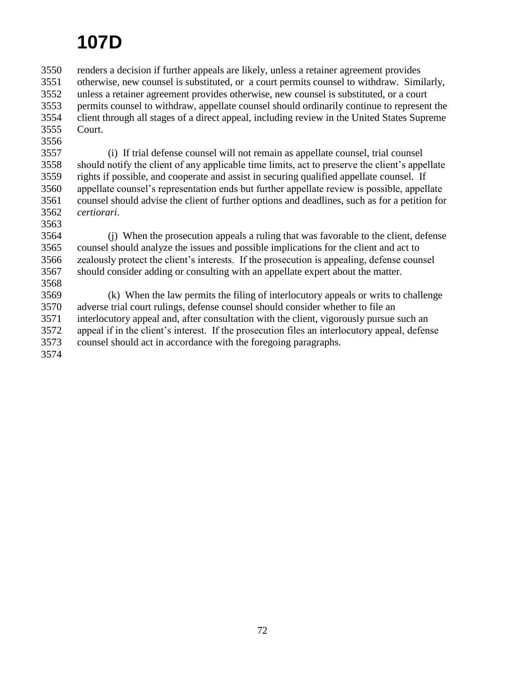renders a decision if further appeals are likely, unless a retainer agreement provides otherwise, new counsel is substituted, or a court permits counsel to withdraw. Similarly, unless a retainer agreement provides otherwise, new counsel is substituted, or a court permits counsel to withdraw, appellate counsel should ordinarily continue to represent the client through all stages of a direct appeal, including review in the United States Supreme Court.

 (i) If trial defense counsel will not remain as appellate counsel, trial counsel should notify the client of any applicable time limits, act to preserve the client's appellate rights if possible, and cooperate and assist in securing qualified appellate counsel. If appellate counsel's representation ends but further appellate review is possible, appellate counsel should advise the client of further options and deadlines, such as for a petition for *certiorari*.

 (j) When the prosecution appeals a ruling that was favorable to the client, defense counsel should analyze the issues and possible implications for the client and act to zealously protect the client's interests. If the prosecution is appealing, defense counsel should consider adding or consulting with an appellate expert about the matter. 

 (k) When the law permits the filing of interlocutory appeals or writs to challenge adverse trial court rulings, defense counsel should consider whether to file an interlocutory appeal and, after consultation with the client, vigorously pursue such an appeal if in the client's interest. If the prosecution files an interlocutory appeal, defense counsel should act in accordance with the foregoing paragraphs.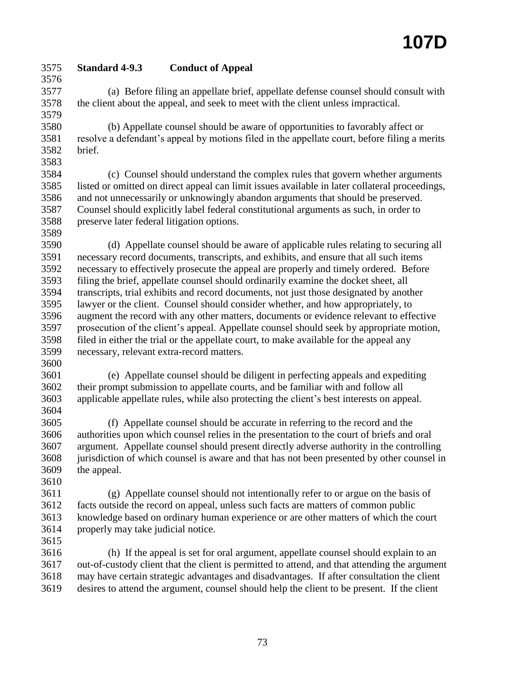#### **Standard 4-9.3 Conduct of Appeal**

 (a) Before filing an appellate brief, appellate defense counsel should consult with the client about the appeal, and seek to meet with the client unless impractical. 

 (b) Appellate counsel should be aware of opportunities to favorably affect or resolve a defendant's appeal by motions filed in the appellate court, before filing a merits brief. 

 (c) Counsel should understand the complex rules that govern whether arguments listed or omitted on direct appeal can limit issues available in later collateral proceedings, and not unnecessarily or unknowingly abandon arguments that should be preserved. Counsel should explicitly label federal constitutional arguments as such, in order to preserve later federal litigation options.

 (d) Appellate counsel should be aware of applicable rules relating to securing all necessary record documents, transcripts, and exhibits, and ensure that all such items necessary to effectively prosecute the appeal are properly and timely ordered. Before filing the brief, appellate counsel should ordinarily examine the docket sheet, all transcripts, trial exhibits and record documents, not just those designated by another lawyer or the client. Counsel should consider whether, and how appropriately, to augment the record with any other matters, documents or evidence relevant to effective prosecution of the client's appeal. Appellate counsel should seek by appropriate motion, filed in either the trial or the appellate court, to make available for the appeal any necessary, relevant extra-record matters.

 (e) Appellate counsel should be diligent in perfecting appeals and expediting their prompt submission to appellate courts, and be familiar with and follow all applicable appellate rules, while also protecting the client's best interests on appeal. 

 (f) Appellate counsel should be accurate in referring to the record and the authorities upon which counsel relies in the presentation to the court of briefs and oral argument. Appellate counsel should present directly adverse authority in the controlling jurisdiction of which counsel is aware and that has not been presented by other counsel in the appeal.

 (g) Appellate counsel should not intentionally refer to or argue on the basis of facts outside the record on appeal, unless such facts are matters of common public knowledge based on ordinary human experience or are other matters of which the court properly may take judicial notice.

 (h) If the appeal is set for oral argument, appellate counsel should explain to an out-of-custody client that the client is permitted to attend, and that attending the argument may have certain strategic advantages and disadvantages. If after consultation the client desires to attend the argument, counsel should help the client to be present. If the client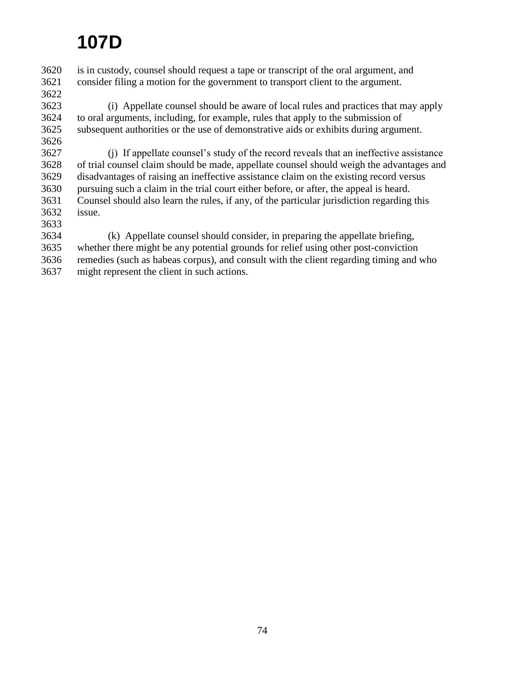# **107D**

 is in custody, counsel should request a tape or transcript of the oral argument, and consider filing a motion for the government to transport client to the argument. (i) Appellate counsel should be aware of local rules and practices that may apply to oral arguments, including, for example, rules that apply to the submission of subsequent authorities or the use of demonstrative aids or exhibits during argument. (j) If appellate counsel's study of the record reveals that an ineffective assistance of trial counsel claim should be made, appellate counsel should weigh the advantages and disadvantages of raising an ineffective assistance claim on the existing record versus pursuing such a claim in the trial court either before, or after, the appeal is heard. Counsel should also learn the rules, if any, of the particular jurisdiction regarding this issue. (k) Appellate counsel should consider, in preparing the appellate briefing, whether there might be any potential grounds for relief using other post-conviction remedies (such as habeas corpus), and consult with the client regarding timing and who

might represent the client in such actions.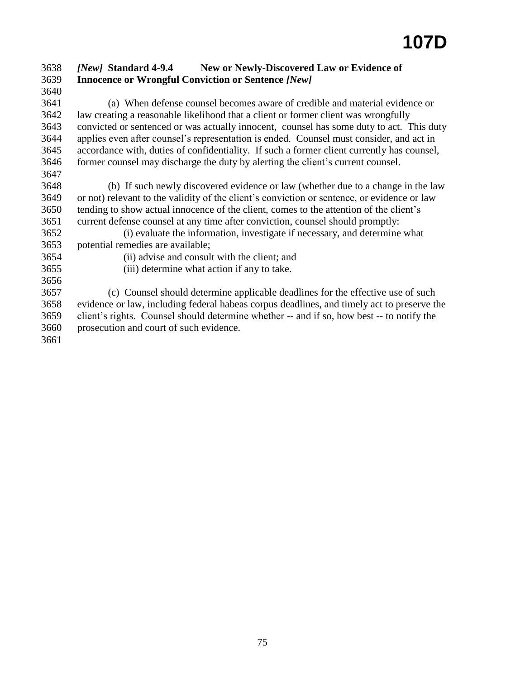#### *[New]* **Standard 4-9.4 New or Newly-Discovered Law or Evidence of Innocence or Wrongful Conviction or Sentence** *[New]*

 (a) When defense counsel becomes aware of credible and material evidence or law creating a reasonable likelihood that a client or former client was wrongfully convicted or sentenced or was actually innocent, counsel has some duty to act. This duty applies even after counsel's representation is ended. Counsel must consider, and act in accordance with, duties of confidentiality. If such a former client currently has counsel, former counsel may discharge the duty by alerting the client's current counsel.

 (b) If such newly discovered evidence or law (whether due to a change in the law or not) relevant to the validity of the client's conviction or sentence, or evidence or law tending to show actual innocence of the client, comes to the attention of the client's current defense counsel at any time after conviction, counsel should promptly:

- 3652 (i) evaluate the information, investigate if necessary, and determine what potential remedies are available;
- 

3654 (ii) advise and consult with the client; and

3655 (iii) determine what action if any to take.

 (c) Counsel should determine applicable deadlines for the effective use of such evidence or law, including federal habeas corpus deadlines, and timely act to preserve the client's rights. Counsel should determine whether -- and if so, how best -- to notify the prosecution and court of such evidence.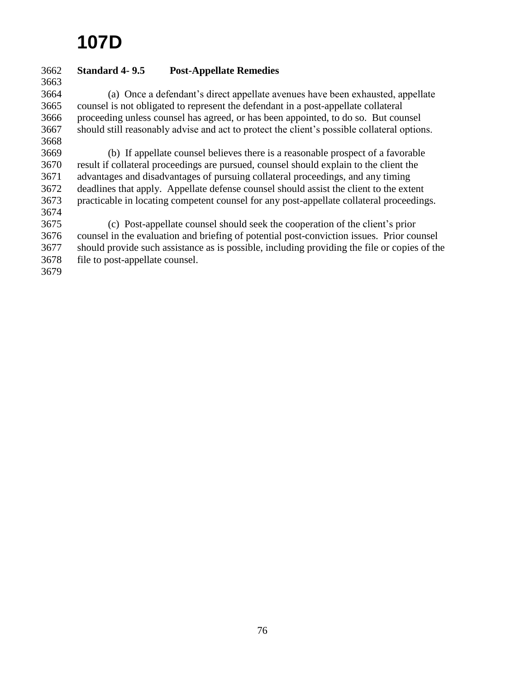## **107D**

### **Standard 4- 9.5 Post-Appellate Remedies**

 (a) Once a defendant's direct appellate avenues have been exhausted, appellate counsel is not obligated to represent the defendant in a post-appellate collateral proceeding unless counsel has agreed, or has been appointed, to do so. But counsel should still reasonably advise and act to protect the client's possible collateral options.

 (b) If appellate counsel believes there is a reasonable prospect of a favorable result if collateral proceedings are pursued, counsel should explain to the client the advantages and disadvantages of pursuing collateral proceedings, and any timing deadlines that apply. Appellate defense counsel should assist the client to the extent practicable in locating competent counsel for any post-appellate collateral proceedings. 

 (c) Post-appellate counsel should seek the cooperation of the client's prior counsel in the evaluation and briefing of potential post-conviction issues. Prior counsel should provide such assistance as is possible, including providing the file or copies of the file to post-appellate counsel.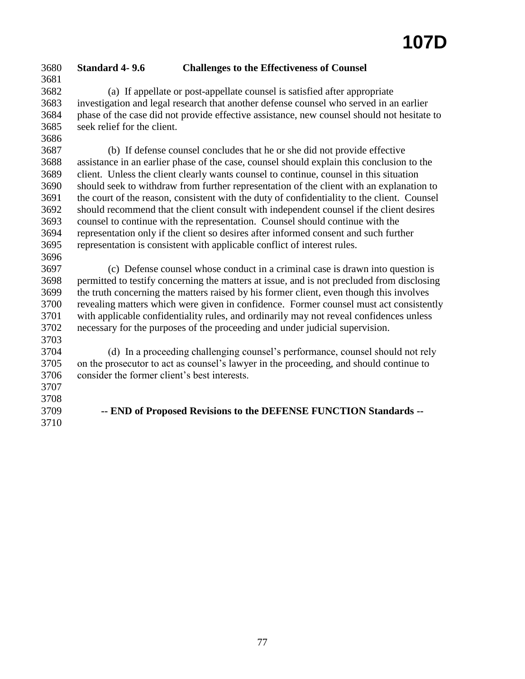| 3680 | <b>Standard 4-9.6</b>                                                                       | <b>Challenges to the Effectiveness of Counsel</b>                                          |
|------|---------------------------------------------------------------------------------------------|--------------------------------------------------------------------------------------------|
| 3681 |                                                                                             |                                                                                            |
| 3682 | (a) If appellate or post-appellate counsel is satisfied after appropriate                   |                                                                                            |
| 3683 | investigation and legal research that another defense counsel who served in an earlier      |                                                                                            |
| 3684 | phase of the case did not provide effective assistance, new counsel should not hesitate to  |                                                                                            |
| 3685 | seek relief for the client.                                                                 |                                                                                            |
| 3686 |                                                                                             |                                                                                            |
| 3687 |                                                                                             | (b) If defense counsel concludes that he or she did not provide effective                  |
| 3688 | assistance in an earlier phase of the case, counsel should explain this conclusion to the   |                                                                                            |
| 3689 | client. Unless the client clearly wants counsel to continue, counsel in this situation      |                                                                                            |
| 3690 | should seek to withdraw from further representation of the client with an explanation to    |                                                                                            |
| 3691 | the court of the reason, consistent with the duty of confidentiality to the client. Counsel |                                                                                            |
| 3692 | should recommend that the client consult with independent counsel if the client desires     |                                                                                            |
| 3693 | counsel to continue with the representation. Counsel should continue with the               |                                                                                            |
| 3694 | representation only if the client so desires after informed consent and such further        |                                                                                            |
| 3695 |                                                                                             | representation is consistent with applicable conflict of interest rules.                   |
| 3696 |                                                                                             |                                                                                            |
| 3697 |                                                                                             | (c) Defense counsel whose conduct in a criminal case is drawn into question is             |
| 3698 |                                                                                             | permitted to testify concerning the matters at issue, and is not precluded from disclosing |
| 3699 |                                                                                             | the truth concerning the matters raised by his former client, even though this involves    |
| 3700 |                                                                                             | revealing matters which were given in confidence. Former counsel must act consistently     |
| 3701 |                                                                                             | with applicable confidentiality rules, and ordinarily may not reveal confidences unless    |
| 3702 |                                                                                             | necessary for the purposes of the proceeding and under judicial supervision.               |
| 3703 |                                                                                             |                                                                                            |
| 3704 |                                                                                             | (d) In a proceeding challenging counsel's performance, counsel should not rely             |
| 3705 |                                                                                             | on the prosecutor to act as counsel's lawyer in the proceeding, and should continue to     |
| 3706 | consider the former client's best interests.                                                |                                                                                            |
| 3707 |                                                                                             |                                                                                            |
| 3708 |                                                                                             |                                                                                            |
| 3709 |                                                                                             | -- END of Proposed Revisions to the DEFENSE FUNCTION Standards --                          |
| 3710 |                                                                                             |                                                                                            |